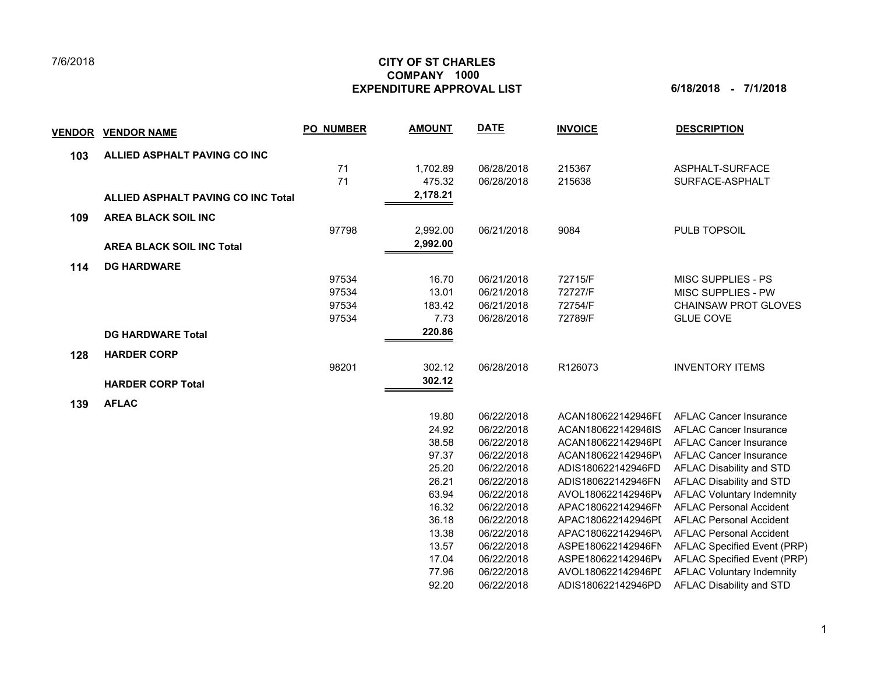## 7/6/2018

## **CITY OF ST CHARLES EXPENDITURE APPROVAL LIST 6/18/2018 - 7/1/2018 COMPANY 1000**

| V <u>ENDOR</u> | <b>VENDOR NAME</b>                        | <b>PO NUMBER</b> | <b>AMOUNT</b> | <b>DATE</b> | <b>INVOICE</b>     | <b>DESCRIPTION</b>               |
|----------------|-------------------------------------------|------------------|---------------|-------------|--------------------|----------------------------------|
| 103            | ALLIED ASPHALT PAVING CO INC              |                  |               |             |                    |                                  |
|                |                                           | 71               | 1,702.89      | 06/28/2018  | 215367             | ASPHALT-SURFACE                  |
|                |                                           | 71               | 475.32        | 06/28/2018  | 215638             | SURFACE-ASPHALT                  |
|                | <b>ALLIED ASPHALT PAVING CO INC Total</b> |                  | 2,178.21      |             |                    |                                  |
| 109            | <b>AREA BLACK SOIL INC</b>                |                  |               |             |                    |                                  |
|                |                                           | 97798            | 2,992.00      | 06/21/2018  | 9084               | PULB TOPSOIL                     |
|                | <b>AREA BLACK SOIL INC Total</b>          |                  | 2,992.00      |             |                    |                                  |
| 114            | <b>DG HARDWARE</b>                        |                  |               |             |                    |                                  |
|                |                                           | 97534            | 16.70         | 06/21/2018  | 72715/F            | MISC SUPPLIES - PS               |
|                |                                           | 97534            | 13.01         | 06/21/2018  | 72727/F            | MISC SUPPLIES - PW               |
|                |                                           | 97534            | 183.42        | 06/21/2018  | 72754/F            | <b>CHAINSAW PROT GLOVES</b>      |
|                |                                           | 97534            | 7.73          | 06/28/2018  | 72789/F            | <b>GLUE COVE</b>                 |
|                | <b>DG HARDWARE Total</b>                  |                  | 220.86        |             |                    |                                  |
| 128            | <b>HARDER CORP</b>                        |                  |               |             |                    |                                  |
|                |                                           | 98201            | 302.12        | 06/28/2018  | R126073            | <b>INVENTORY ITEMS</b>           |
|                | <b>HARDER CORP Total</b>                  |                  | 302.12        |             |                    |                                  |
| 139            | <b>AFLAC</b>                              |                  |               |             |                    |                                  |
|                |                                           |                  | 19.80         | 06/22/2018  | ACAN180622142946FI | <b>AFLAC Cancer Insurance</b>    |
|                |                                           |                  | 24.92         | 06/22/2018  | ACAN180622142946IS | <b>AFLAC Cancer Insurance</b>    |
|                |                                           |                  | 38.58         | 06/22/2018  | ACAN180622142946PI | <b>AFLAC Cancer Insurance</b>    |
|                |                                           |                  | 97.37         | 06/22/2018  | ACAN180622142946P\ | <b>AFLAC Cancer Insurance</b>    |
|                |                                           |                  | 25.20         | 06/22/2018  | ADIS180622142946FD | <b>AFLAC Disability and STD</b>  |
|                |                                           |                  | 26.21         | 06/22/2018  | ADIS180622142946FN | AFLAC Disability and STD         |
|                |                                           |                  | 63.94         | 06/22/2018  | AVOL180622142946PV | <b>AFLAC Voluntary Indemnity</b> |
|                |                                           |                  | 16.32         | 06/22/2018  | APAC180622142946FN | <b>AFLAC Personal Accident</b>   |
|                |                                           |                  | 36.18         | 06/22/2018  | APAC180622142946PI | <b>AFLAC Personal Accident</b>   |
|                |                                           |                  | 13.38         | 06/22/2018  | APAC180622142946P\ | <b>AFLAC Personal Accident</b>   |
|                |                                           |                  | 13.57         | 06/22/2018  | ASPE180622142946FN | AFLAC Specified Event (PRP)      |
|                |                                           |                  | 17.04         | 06/22/2018  | ASPE180622142946PV | AFLAC Specified Event (PRP)      |
|                |                                           |                  | 77.96         | 06/22/2018  | AVOL180622142946PI | <b>AFLAC Voluntary Indemnity</b> |
|                |                                           |                  | 92.20         | 06/22/2018  | ADIS180622142946PD | AFLAC Disability and STD         |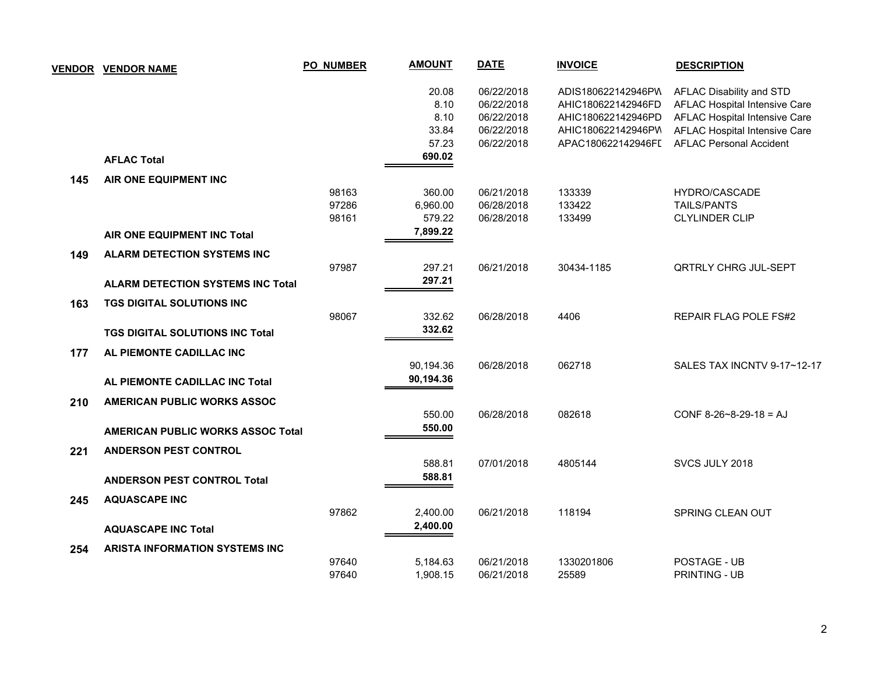|     | <b>VENDOR VENDOR NAME</b>                | <b>PO_NUMBER</b> | <b>AMOUNT</b> | <b>DATE</b> | <b>INVOICE</b>     | <b>DESCRIPTION</b>             |
|-----|------------------------------------------|------------------|---------------|-------------|--------------------|--------------------------------|
|     |                                          |                  | 20.08         | 06/22/2018  | ADIS180622142946PW | AFLAC Disability and STD       |
|     |                                          |                  | 8.10          | 06/22/2018  | AHIC180622142946FD | AFLAC Hospital Intensive Care  |
|     |                                          |                  | 8.10          | 06/22/2018  | AHIC180622142946PD | AFLAC Hospital Intensive Care  |
|     |                                          |                  | 33.84         | 06/22/2018  | AHIC180622142946PW | AFLAC Hospital Intensive Care  |
|     |                                          |                  | 57.23         | 06/22/2018  | APAC180622142946FI | <b>AFLAC Personal Accident</b> |
|     | <b>AFLAC Total</b>                       |                  | 690.02        |             |                    |                                |
| 145 | AIR ONE EQUIPMENT INC                    |                  |               |             |                    |                                |
|     |                                          | 98163            | 360.00        | 06/21/2018  | 133339             | HYDRO/CASCADE                  |
|     |                                          | 97286            | 6,960.00      | 06/28/2018  | 133422             | <b>TAILS/PANTS</b>             |
|     |                                          | 98161            | 579.22        | 06/28/2018  | 133499             | <b>CLYLINDER CLIP</b>          |
|     | AIR ONE EQUIPMENT INC Total              |                  | 7,899.22      |             |                    |                                |
| 149 | <b>ALARM DETECTION SYSTEMS INC</b>       |                  |               |             |                    |                                |
|     |                                          | 97987            | 297.21        | 06/21/2018  | 30434-1185         | <b>QRTRLY CHRG JUL-SEPT</b>    |
|     | <b>ALARM DETECTION SYSTEMS INC Total</b> |                  | 297.21        |             |                    |                                |
| 163 | <b>TGS DIGITAL SOLUTIONS INC</b>         |                  |               |             |                    |                                |
|     |                                          | 98067            | 332.62        | 06/28/2018  | 4406               | REPAIR FLAG POLE FS#2          |
|     | <b>TGS DIGITAL SOLUTIONS INC Total</b>   |                  | 332.62        |             |                    |                                |
| 177 | AL PIEMONTE CADILLAC INC                 |                  |               |             |                    |                                |
|     |                                          |                  | 90,194.36     | 06/28/2018  | 062718             | SALES TAX INCNTV 9-17~12-17    |
|     | AL PIEMONTE CADILLAC INC Total           |                  | 90,194.36     |             |                    |                                |
| 210 | <b>AMERICAN PUBLIC WORKS ASSOC</b>       |                  |               |             |                    |                                |
|     |                                          |                  | 550.00        | 06/28/2018  | 082618             | CONF $8-26-8-29-18 = AJ$       |
|     | <b>AMERICAN PUBLIC WORKS ASSOC Total</b> |                  | 550.00        |             |                    |                                |
| 221 | <b>ANDERSON PEST CONTROL</b>             |                  |               |             |                    |                                |
|     |                                          |                  | 588.81        | 07/01/2018  | 4805144            | SVCS JULY 2018                 |
|     | <b>ANDERSON PEST CONTROL Total</b>       |                  | 588.81        |             |                    |                                |
|     |                                          |                  |               |             |                    |                                |
| 245 | <b>AQUASCAPE INC</b>                     |                  |               |             |                    |                                |
|     |                                          | 97862            | 2,400.00      | 06/21/2018  | 118194             | SPRING CLEAN OUT               |
|     | <b>AQUASCAPE INC Total</b>               |                  | 2,400.00      |             |                    |                                |
| 254 | <b>ARISTA INFORMATION SYSTEMS INC</b>    |                  |               |             |                    |                                |
|     |                                          | 97640            | 5,184.63      | 06/21/2018  | 1330201806         | <b>POSTAGE - UB</b>            |
|     |                                          | 97640            | 1,908.15      | 06/21/2018  | 25589              | PRINTING - UB                  |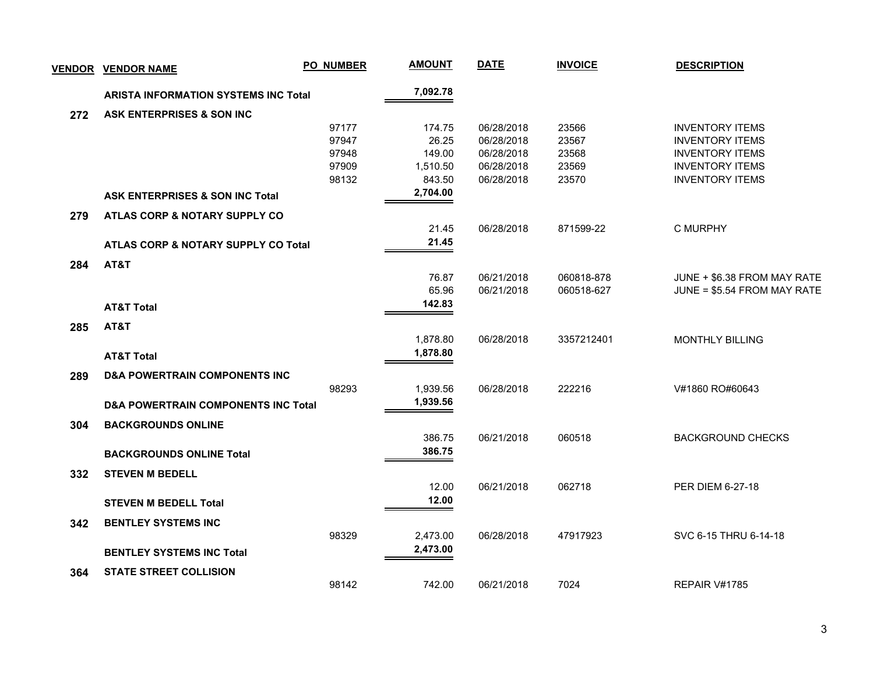| <b>VENDOR</b> | <b>VENDOR NAME</b>                             | <b>PO_NUMBER</b> | <b>AMOUNT</b> | <b>DATE</b> | <b>INVOICE</b> | <b>DESCRIPTION</b>          |
|---------------|------------------------------------------------|------------------|---------------|-------------|----------------|-----------------------------|
|               | <b>ARISTA INFORMATION SYSTEMS INC Total</b>    |                  | 7,092.78      |             |                |                             |
| 272           | ASK ENTERPRISES & SON INC                      |                  |               |             |                |                             |
|               |                                                | 97177            | 174.75        | 06/28/2018  | 23566          | <b>INVENTORY ITEMS</b>      |
|               |                                                | 97947            | 26.25         | 06/28/2018  | 23567          | <b>INVENTORY ITEMS</b>      |
|               |                                                | 97948            | 149.00        | 06/28/2018  | 23568          | <b>INVENTORY ITEMS</b>      |
|               |                                                | 97909            | 1,510.50      | 06/28/2018  | 23569          | <b>INVENTORY ITEMS</b>      |
|               |                                                | 98132            | 843.50        | 06/28/2018  | 23570          | <b>INVENTORY ITEMS</b>      |
|               | <b>ASK ENTERPRISES &amp; SON INC Total</b>     |                  | 2,704.00      |             |                |                             |
| 279           | ATLAS CORP & NOTARY SUPPLY CO                  |                  |               |             |                |                             |
|               |                                                |                  | 21.45         | 06/28/2018  | 871599-22      | C MURPHY                    |
|               | ATLAS CORP & NOTARY SUPPLY CO Total            |                  | 21.45         |             |                |                             |
| 284           | AT&T                                           |                  |               |             |                |                             |
|               |                                                |                  | 76.87         | 06/21/2018  | 060818-878     | JUNE + \$6.38 FROM MAY RATE |
|               |                                                |                  | 65.96         | 06/21/2018  | 060518-627     | JUNE = \$5.54 FROM MAY RATE |
|               | <b>AT&amp;T Total</b>                          |                  | 142.83        |             |                |                             |
| 285           | AT&T                                           |                  |               |             |                |                             |
|               |                                                |                  | 1,878.80      | 06/28/2018  | 3357212401     | <b>MONTHLY BILLING</b>      |
|               | <b>AT&amp;T Total</b>                          |                  | 1,878.80      |             |                |                             |
| 289           | <b>D&amp;A POWERTRAIN COMPONENTS INC</b>       |                  |               |             |                |                             |
|               |                                                | 98293            | 1,939.56      | 06/28/2018  | 222216         | V#1860 RO#60643             |
|               | <b>D&amp;A POWERTRAIN COMPONENTS INC Total</b> |                  | 1,939.56      |             |                |                             |
|               |                                                |                  |               |             |                |                             |
| 304           | <b>BACKGROUNDS ONLINE</b>                      |                  | 386.75        | 06/21/2018  | 060518         | <b>BACKGROUND CHECKS</b>    |
|               |                                                |                  | 386.75        |             |                |                             |
|               | <b>BACKGROUNDS ONLINE Total</b>                |                  |               |             |                |                             |
| 332           | <b>STEVEN M BEDELL</b>                         |                  |               |             |                |                             |
|               |                                                |                  | 12.00         | 06/21/2018  | 062718         | PER DIEM 6-27-18            |
|               | <b>STEVEN M BEDELL Total</b>                   |                  | 12.00         |             |                |                             |
| 342           | <b>BENTLEY SYSTEMS INC</b>                     |                  |               |             |                |                             |
|               |                                                | 98329            | 2,473.00      | 06/28/2018  | 47917923       | SVC 6-15 THRU 6-14-18       |
|               | <b>BENTLEY SYSTEMS INC Total</b>               |                  | 2,473.00      |             |                |                             |
| 364           | <b>STATE STREET COLLISION</b>                  |                  |               |             |                |                             |
|               |                                                | 98142            | 742.00        | 06/21/2018  | 7024           | REPAIR V#1785               |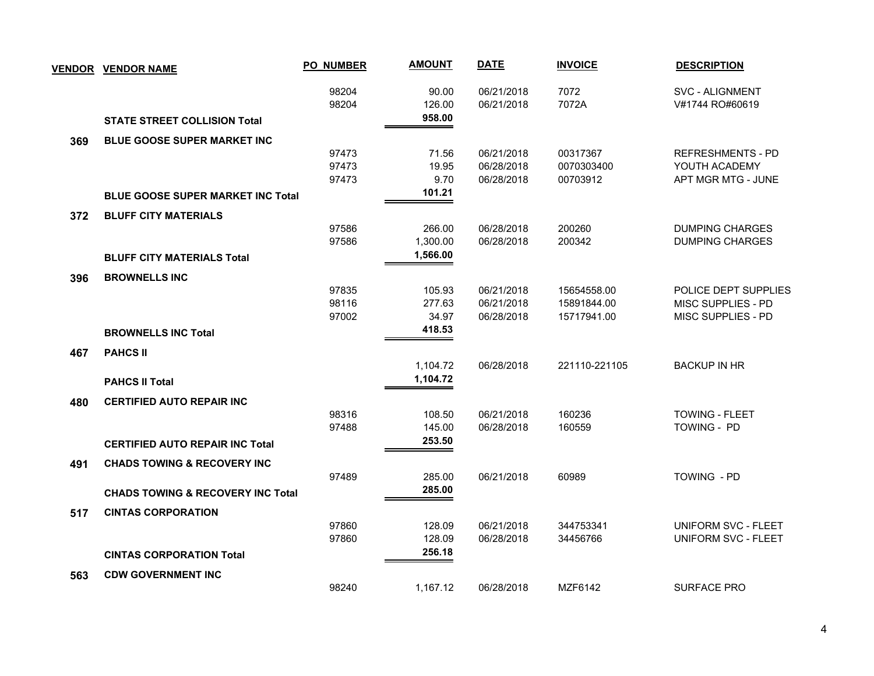|     | <b>VENDOR VENDOR NAME</b>                    | <b>PO_NUMBER</b> | <b>AMOUNT</b>             | <b>DATE</b>              | <b>INVOICE</b> | <b>DESCRIPTION</b>                        |
|-----|----------------------------------------------|------------------|---------------------------|--------------------------|----------------|-------------------------------------------|
|     | <b>STATE STREET COLLISION Total</b>          | 98204<br>98204   | 90.00<br>126.00<br>958.00 | 06/21/2018<br>06/21/2018 | 7072<br>7072A  | <b>SVC - ALIGNMENT</b><br>V#1744 RO#60619 |
|     |                                              |                  |                           |                          |                |                                           |
| 369 | <b>BLUE GOOSE SUPER MARKET INC</b>           | 97473            | 71.56                     | 06/21/2018               | 00317367       | <b>REFRESHMENTS - PD</b>                  |
|     |                                              | 97473            | 19.95                     | 06/28/2018               | 0070303400     | YOUTH ACADEMY                             |
|     |                                              | 97473            | 9.70                      | 06/28/2018               | 00703912       | APT MGR MTG - JUNE                        |
|     | <b>BLUE GOOSE SUPER MARKET INC Total</b>     |                  | 101.21                    |                          |                |                                           |
| 372 | <b>BLUFF CITY MATERIALS</b>                  |                  |                           |                          |                |                                           |
|     |                                              | 97586            | 266.00                    | 06/28/2018               | 200260         | <b>DUMPING CHARGES</b>                    |
|     |                                              | 97586            | 1,300.00                  | 06/28/2018               | 200342         | <b>DUMPING CHARGES</b>                    |
|     | <b>BLUFF CITY MATERIALS Total</b>            |                  | 1,566.00                  |                          |                |                                           |
| 396 | <b>BROWNELLS INC</b>                         |                  |                           |                          |                |                                           |
|     |                                              | 97835            | 105.93                    | 06/21/2018               | 15654558.00    | POLICE DEPT SUPPLIES                      |
|     |                                              | 98116            | 277.63                    | 06/21/2018               | 15891844.00    | MISC SUPPLIES - PD                        |
|     |                                              | 97002            | 34.97                     | 06/28/2018               | 15717941.00    | MISC SUPPLIES - PD                        |
|     | <b>BROWNELLS INC Total</b>                   |                  | 418.53                    |                          |                |                                           |
| 467 | <b>PAHCS II</b>                              |                  |                           |                          |                |                                           |
|     |                                              |                  | 1,104.72                  | 06/28/2018               | 221110-221105  | <b>BACKUP IN HR</b>                       |
|     | <b>PAHCS II Total</b>                        |                  | 1,104.72                  |                          |                |                                           |
| 480 | <b>CERTIFIED AUTO REPAIR INC</b>             |                  |                           |                          |                |                                           |
|     |                                              | 98316            | 108.50                    | 06/21/2018               | 160236         | <b>TOWING - FLEET</b>                     |
|     |                                              | 97488            | 145.00                    | 06/28/2018               | 160559         | TOWING - PD                               |
|     | <b>CERTIFIED AUTO REPAIR INC Total</b>       |                  | 253.50                    |                          |                |                                           |
| 491 | <b>CHADS TOWING &amp; RECOVERY INC</b>       |                  |                           |                          |                |                                           |
|     |                                              | 97489            | 285.00                    | 06/21/2018               | 60989          | TOWING - PD                               |
|     | <b>CHADS TOWING &amp; RECOVERY INC Total</b> |                  | 285.00                    |                          |                |                                           |
| 517 | <b>CINTAS CORPORATION</b>                    |                  |                           |                          |                |                                           |
|     |                                              | 97860            | 128.09                    | 06/21/2018               | 344753341      | UNIFORM SVC - FLEET                       |
|     |                                              | 97860            | 128.09                    | 06/28/2018               | 34456766       | <b>UNIFORM SVC - FLEET</b>                |
|     | <b>CINTAS CORPORATION Total</b>              |                  | 256.18                    |                          |                |                                           |
| 563 | <b>CDW GOVERNMENT INC</b>                    |                  |                           |                          |                |                                           |
|     |                                              | 98240            | 1,167.12                  | 06/28/2018               | MZF6142        | <b>SURFACE PRO</b>                        |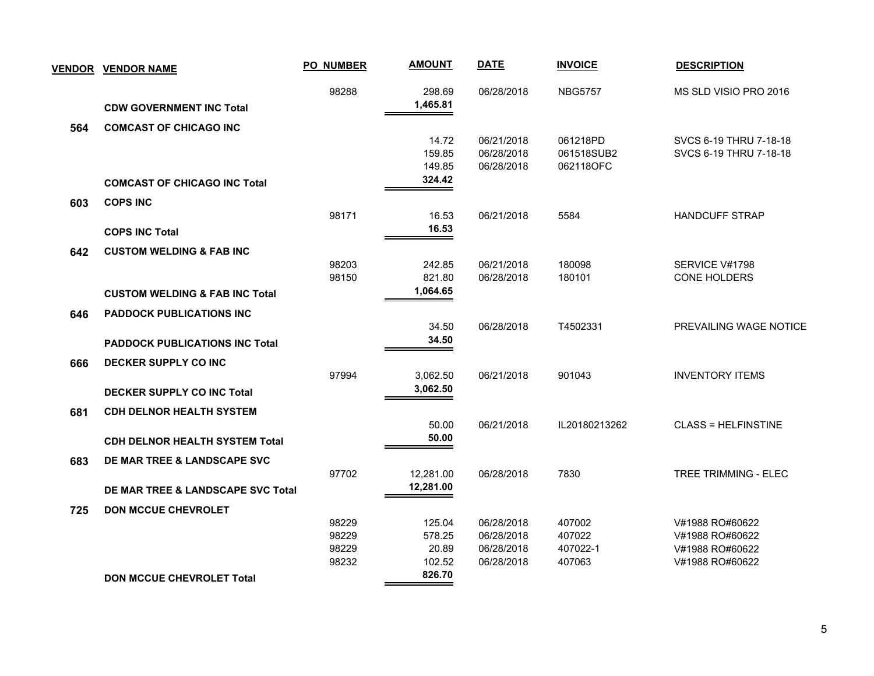| <b>VENDOR</b> | <b>VENDOR NAME</b>                        | <b>PO_NUMBER</b> | <b>AMOUNT</b>      | <b>DATE</b>              | <b>INVOICE</b>   | <b>DESCRIPTION</b>                 |
|---------------|-------------------------------------------|------------------|--------------------|--------------------------|------------------|------------------------------------|
|               | <b>CDW GOVERNMENT INC Total</b>           | 98288            | 298.69<br>1,465.81 | 06/28/2018               | <b>NBG5757</b>   | MS SLD VISIO PRO 2016              |
| 564           | <b>COMCAST OF CHICAGO INC</b>             |                  |                    |                          |                  |                                    |
|               |                                           |                  | 14.72              | 06/21/2018               | 061218PD         | SVCS 6-19 THRU 7-18-18             |
|               |                                           |                  | 159.85             | 06/28/2018               | 061518SUB2       | SVCS 6-19 THRU 7-18-18             |
|               |                                           |                  | 149.85             | 06/28/2018               | 062118OFC        |                                    |
|               | <b>COMCAST OF CHICAGO INC Total</b>       |                  | 324.42             |                          |                  |                                    |
| 603           | <b>COPS INC</b>                           |                  |                    |                          |                  |                                    |
|               |                                           | 98171            | 16.53              | 06/21/2018               | 5584             | <b>HANDCUFF STRAP</b>              |
|               | <b>COPS INC Total</b>                     |                  | 16.53              |                          |                  |                                    |
| 642           | <b>CUSTOM WELDING &amp; FAB INC</b>       |                  |                    |                          |                  |                                    |
|               |                                           | 98203            | 242.85             | 06/21/2018               | 180098           | SERVICE V#1798                     |
|               |                                           | 98150            | 821.80             | 06/28/2018               | 180101           | CONE HOLDERS                       |
|               | <b>CUSTOM WELDING &amp; FAB INC Total</b> |                  | 1,064.65           |                          |                  |                                    |
| 646           | <b>PADDOCK PUBLICATIONS INC</b>           |                  |                    |                          |                  |                                    |
|               |                                           |                  | 34.50              | 06/28/2018               | T4502331         | PREVAILING WAGE NOTICE             |
|               | <b>PADDOCK PUBLICATIONS INC Total</b>     |                  | 34.50              |                          |                  |                                    |
| 666           | DECKER SUPPLY CO INC                      |                  |                    |                          |                  |                                    |
|               |                                           | 97994            | 3,062.50           | 06/21/2018               | 901043           | <b>INVENTORY ITEMS</b>             |
|               | <b>DECKER SUPPLY CO INC Total</b>         |                  | 3,062.50           |                          |                  |                                    |
| 681           | <b>CDH DELNOR HEALTH SYSTEM</b>           |                  |                    |                          |                  |                                    |
|               |                                           |                  | 50.00              | 06/21/2018               | IL20180213262    | <b>CLASS = HELFINSTINE</b>         |
|               | <b>CDH DELNOR HEALTH SYSTEM Total</b>     |                  | 50.00              |                          |                  |                                    |
|               |                                           |                  |                    |                          |                  |                                    |
| 683           | DE MAR TREE & LANDSCAPE SVC               | 97702            | 12,281.00          | 06/28/2018               | 7830             | <b>TREE TRIMMING - ELEC</b>        |
|               | DE MAR TREE & LANDSCAPE SVC Total         |                  | 12,281.00          |                          |                  |                                    |
|               |                                           |                  |                    |                          |                  |                                    |
| 725           | <b>DON MCCUE CHEVROLET</b>                |                  |                    |                          |                  |                                    |
|               |                                           | 98229<br>98229   | 125.04<br>578.25   | 06/28/2018<br>06/28/2018 | 407002<br>407022 | V#1988 RO#60622<br>V#1988 RO#60622 |
|               |                                           | 98229            | 20.89              | 06/28/2018               | 407022-1         | V#1988 RO#60622                    |
|               |                                           | 98232            | 102.52             | 06/28/2018               | 407063           | V#1988 RO#60622                    |
|               | <b>DON MCCUE CHEVROLET Total</b>          |                  | 826.70             |                          |                  |                                    |
|               |                                           |                  |                    |                          |                  |                                    |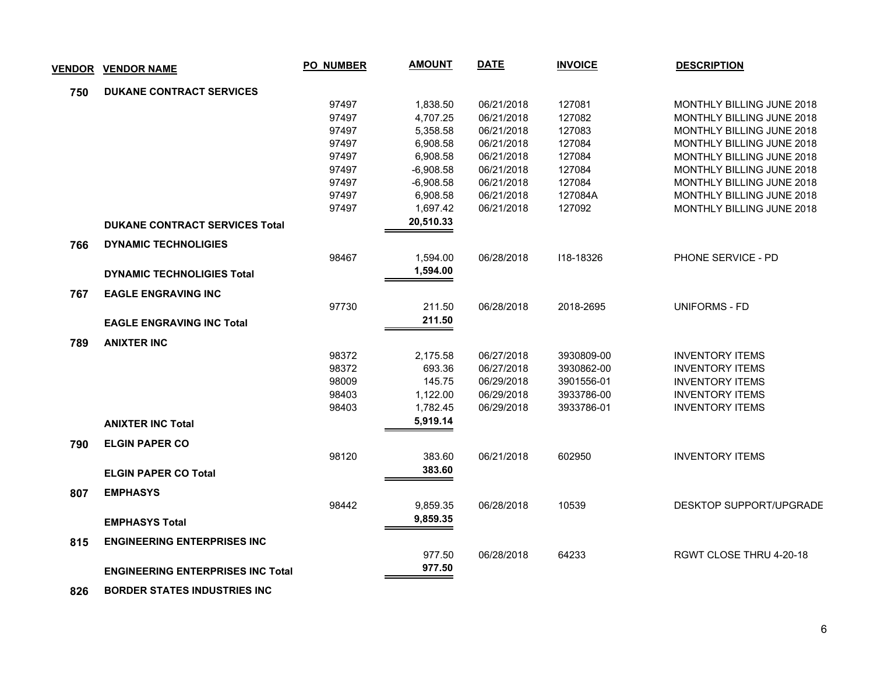| <b>VENDOR</b> | <b>VENDOR NAME</b>                       | <b>PO_NUMBER</b> | <b>AMOUNT</b> | <b>DATE</b> | <b>INVOICE</b> | <b>DESCRIPTION</b>               |
|---------------|------------------------------------------|------------------|---------------|-------------|----------------|----------------------------------|
| 750           | <b>DUKANE CONTRACT SERVICES</b>          |                  |               |             |                |                                  |
|               |                                          | 97497            | 1,838.50      | 06/21/2018  | 127081         | MONTHLY BILLING JUNE 2018        |
|               |                                          | 97497            | 4,707.25      | 06/21/2018  | 127082         | <b>MONTHLY BILLING JUNE 2018</b> |
|               |                                          | 97497            | 5,358.58      | 06/21/2018  | 127083         | MONTHLY BILLING JUNE 2018        |
|               |                                          | 97497            | 6,908.58      | 06/21/2018  | 127084         | <b>MONTHLY BILLING JUNE 2018</b> |
|               |                                          | 97497            | 6,908.58      | 06/21/2018  | 127084         | MONTHLY BILLING JUNE 2018        |
|               |                                          | 97497            | $-6,908.58$   | 06/21/2018  | 127084         | <b>MONTHLY BILLING JUNE 2018</b> |
|               |                                          | 97497            | $-6,908.58$   | 06/21/2018  | 127084         | MONTHLY BILLING JUNE 2018        |
|               |                                          | 97497            | 6,908.58      | 06/21/2018  | 127084A        | MONTHLY BILLING JUNE 2018        |
|               |                                          | 97497            | 1,697.42      | 06/21/2018  | 127092         | MONTHLY BILLING JUNE 2018        |
|               | <b>DUKANE CONTRACT SERVICES Total</b>    |                  | 20,510.33     |             |                |                                  |
| 766           | <b>DYNAMIC TECHNOLIGIES</b>              |                  |               |             |                |                                  |
|               |                                          | 98467            | 1,594.00      | 06/28/2018  | 118-18326      | PHONE SERVICE - PD               |
|               | <b>DYNAMIC TECHNOLIGIES Total</b>        |                  | 1,594.00      |             |                |                                  |
| 767           | <b>EAGLE ENGRAVING INC</b>               |                  |               |             |                |                                  |
|               |                                          | 97730            | 211.50        | 06/28/2018  | 2018-2695      | <b>UNIFORMS - FD</b>             |
|               | <b>EAGLE ENGRAVING INC Total</b>         |                  | 211.50        |             |                |                                  |
| 789           | <b>ANIXTER INC</b>                       |                  |               |             |                |                                  |
|               |                                          | 98372            | 2,175.58      | 06/27/2018  | 3930809-00     | <b>INVENTORY ITEMS</b>           |
|               |                                          | 98372            | 693.36        | 06/27/2018  | 3930862-00     | <b>INVENTORY ITEMS</b>           |
|               |                                          | 98009            | 145.75        | 06/29/2018  | 3901556-01     | <b>INVENTORY ITEMS</b>           |
|               |                                          | 98403            | 1,122.00      | 06/29/2018  | 3933786-00     | <b>INVENTORY ITEMS</b>           |
|               |                                          | 98403            | 1,782.45      | 06/29/2018  | 3933786-01     | <b>INVENTORY ITEMS</b>           |
|               | <b>ANIXTER INC Total</b>                 |                  | 5,919.14      |             |                |                                  |
| 790           | <b>ELGIN PAPER CO</b>                    |                  |               |             |                |                                  |
|               |                                          | 98120            | 383.60        | 06/21/2018  | 602950         | <b>INVENTORY ITEMS</b>           |
|               | <b>ELGIN PAPER CO Total</b>              |                  | 383.60        |             |                |                                  |
| 807           | <b>EMPHASYS</b>                          |                  |               |             |                |                                  |
|               |                                          | 98442            | 9,859.35      | 06/28/2018  | 10539          | <b>DESKTOP SUPPORT/UPGRADE</b>   |
|               | <b>EMPHASYS Total</b>                    |                  | 9,859.35      |             |                |                                  |
|               |                                          |                  |               |             |                |                                  |
| 815           | <b>ENGINEERING ENTERPRISES INC</b>       |                  |               |             |                |                                  |
|               |                                          |                  | 977.50        | 06/28/2018  | 64233          | RGWT CLOSE THRU 4-20-18          |
|               | <b>ENGINEERING ENTERPRISES INC Total</b> |                  | 977.50        |             |                |                                  |
| 826           | <b>BORDER STATES INDUSTRIES INC.</b>     |                  |               |             |                |                                  |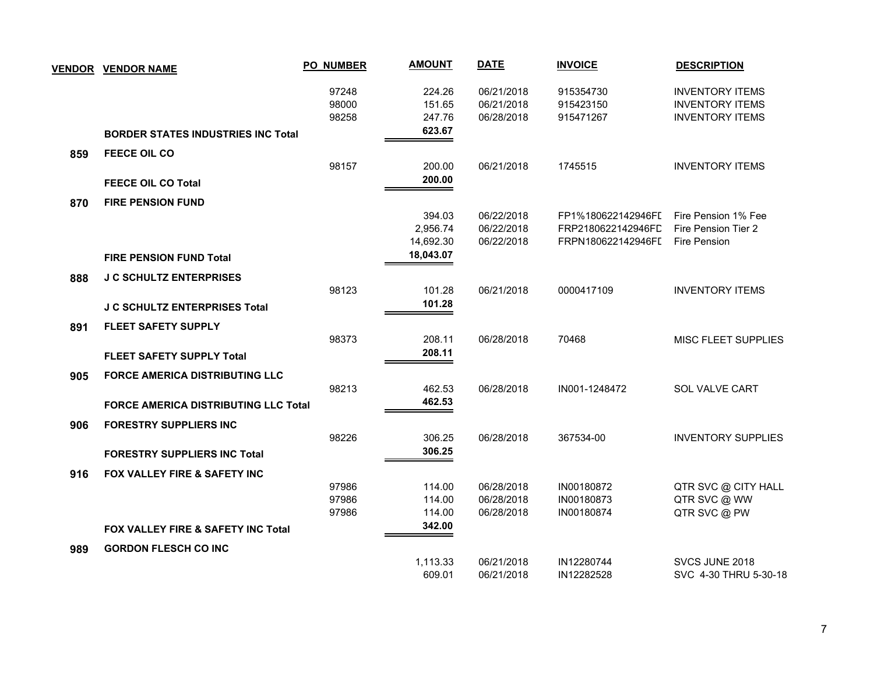| <b>VENDOR</b> | <b>VENDOR NAME</b>                            | <b>PO_NUMBER</b>        | <b>AMOUNT</b>              | <b>DATE</b>                            | <b>INVOICE</b>                           | <b>DESCRIPTION</b>                                                         |
|---------------|-----------------------------------------------|-------------------------|----------------------------|----------------------------------------|------------------------------------------|----------------------------------------------------------------------------|
|               |                                               | 97248<br>98000<br>98258 | 224.26<br>151.65<br>247.76 | 06/21/2018<br>06/21/2018<br>06/28/2018 | 915354730<br>915423150<br>915471267      | <b>INVENTORY ITEMS</b><br><b>INVENTORY ITEMS</b><br><b>INVENTORY ITEMS</b> |
|               | <b>BORDER STATES INDUSTRIES INC Total</b>     |                         | 623.67                     |                                        |                                          |                                                                            |
| 859           | <b>FEECE OIL CO</b>                           |                         |                            |                                        |                                          |                                                                            |
|               |                                               | 98157                   | 200.00                     | 06/21/2018                             | 1745515                                  | <b>INVENTORY ITEMS</b>                                                     |
|               | <b>FEECE OIL CO Total</b>                     |                         | 200.00                     |                                        |                                          |                                                                            |
| 870           | <b>FIRE PENSION FUND</b>                      |                         |                            |                                        |                                          |                                                                            |
|               |                                               |                         | 394.03<br>2,956.74         | 06/22/2018<br>06/22/2018               | FP1%180622142946FI<br>FRP2180622142946FD | Fire Pension 1% Fee<br>Fire Pension Tier 2                                 |
|               |                                               |                         | 14,692.30                  | 06/22/2018                             | FRPN180622142946FL                       | Fire Pension                                                               |
|               | <b>FIRE PENSION FUND Total</b>                |                         | 18,043.07                  |                                        |                                          |                                                                            |
| 888           | <b>J C SCHULTZ ENTERPRISES</b>                |                         |                            |                                        |                                          |                                                                            |
|               |                                               | 98123                   | 101.28                     | 06/21/2018                             | 0000417109                               | <b>INVENTORY ITEMS</b>                                                     |
|               | <b>J C SCHULTZ ENTERPRISES Total</b>          |                         | 101.28                     |                                        |                                          |                                                                            |
| 891           | <b>FLEET SAFETY SUPPLY</b>                    |                         |                            |                                        |                                          |                                                                            |
|               |                                               | 98373                   | 208.11                     | 06/28/2018                             | 70468                                    | <b>MISC FLEET SUPPLIES</b>                                                 |
|               | <b>FLEET SAFETY SUPPLY Total</b>              |                         | 208.11                     |                                        |                                          |                                                                            |
| 905           | <b>FORCE AMERICA DISTRIBUTING LLC</b>         |                         |                            |                                        |                                          |                                                                            |
|               |                                               | 98213                   | 462.53                     | 06/28/2018                             | IN001-1248472                            | <b>SOL VALVE CART</b>                                                      |
|               | <b>FORCE AMERICA DISTRIBUTING LLC Total</b>   |                         | 462.53                     |                                        |                                          |                                                                            |
| 906           | <b>FORESTRY SUPPLIERS INC</b>                 |                         |                            |                                        |                                          |                                                                            |
|               |                                               | 98226                   | 306.25                     | 06/28/2018                             | 367534-00                                | <b>INVENTORY SUPPLIES</b>                                                  |
|               | <b>FORESTRY SUPPLIERS INC Total</b>           |                         | 306.25                     |                                        |                                          |                                                                            |
| 916           | FOX VALLEY FIRE & SAFETY INC                  |                         |                            |                                        |                                          |                                                                            |
|               |                                               | 97986                   | 114.00                     | 06/28/2018                             | IN00180872                               | QTR SVC @ CITY HALL                                                        |
|               |                                               | 97986<br>97986          | 114.00<br>114.00           | 06/28/2018<br>06/28/2018               | IN00180873<br>IN00180874                 | QTR SVC @ WW<br>QTR SVC @ PW                                               |
|               | <b>FOX VALLEY FIRE &amp; SAFETY INC Total</b> |                         | 342.00                     |                                        |                                          |                                                                            |
|               |                                               |                         |                            |                                        |                                          |                                                                            |
| 989           | <b>GORDON FLESCH CO INC</b>                   |                         | 1,113.33                   | 06/21/2018                             | IN12280744                               | SVCS JUNE 2018                                                             |
|               |                                               |                         | 609.01                     | 06/21/2018                             | IN12282528                               | SVC 4-30 THRU 5-30-18                                                      |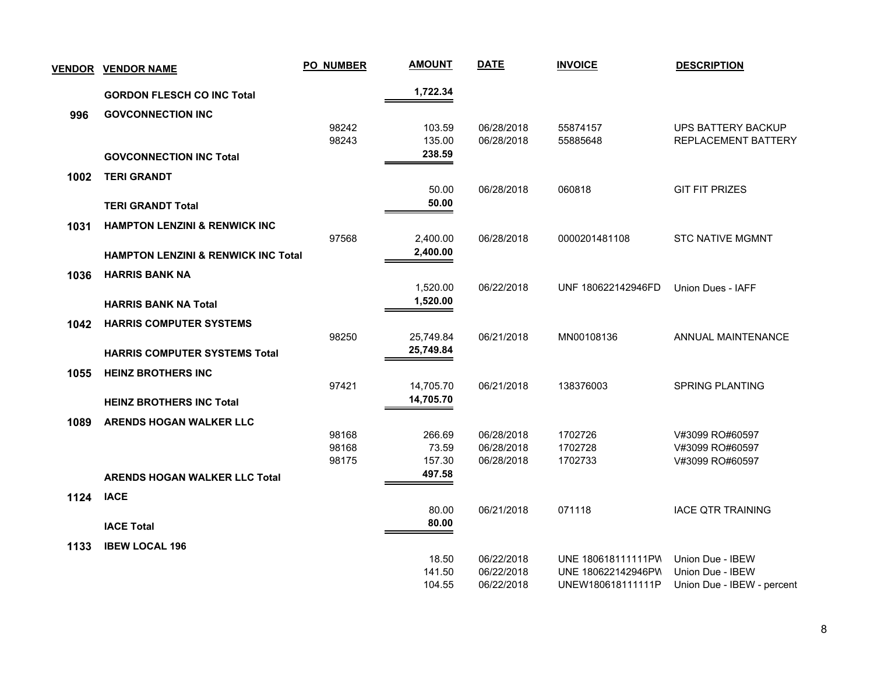| <b>VENDOR</b> | <b>VENDOR NAME</b>                             | <b>PO_NUMBER</b> | <b>AMOUNT</b>    | <b>DATE</b>              | <b>INVOICE</b>                          | <b>DESCRIPTION</b>                             |
|---------------|------------------------------------------------|------------------|------------------|--------------------------|-----------------------------------------|------------------------------------------------|
|               | <b>GORDON FLESCH CO INC Total</b>              |                  | 1,722.34         |                          |                                         |                                                |
| 996           | <b>GOVCONNECTION INC</b>                       |                  |                  |                          |                                         |                                                |
|               |                                                | 98242            | 103.59           | 06/28/2018               | 55874157                                | <b>UPS BATTERY BACKUP</b>                      |
|               |                                                | 98243            | 135.00           | 06/28/2018               | 55885648                                | REPLACEMENT BATTERY                            |
|               | <b>GOVCONNECTION INC Total</b>                 |                  | 238.59           |                          |                                         |                                                |
| 1002          | <b>TERI GRANDT</b>                             |                  |                  |                          |                                         |                                                |
|               |                                                |                  | 50.00            | 06/28/2018               | 060818                                  | <b>GIT FIT PRIZES</b>                          |
|               | <b>TERI GRANDT Total</b>                       |                  | 50.00            |                          |                                         |                                                |
| 1031          | <b>HAMPTON LENZINI &amp; RENWICK INC</b>       |                  |                  |                          |                                         |                                                |
|               |                                                | 97568            | 2,400.00         | 06/28/2018               | 0000201481108                           | <b>STC NATIVE MGMNT</b>                        |
|               | <b>HAMPTON LENZINI &amp; RENWICK INC Total</b> |                  | 2,400.00         |                          |                                         |                                                |
| 1036          | <b>HARRIS BANK NA</b>                          |                  |                  |                          |                                         |                                                |
|               |                                                |                  | 1,520.00         | 06/22/2018               | UNF 180622142946FD                      | Union Dues - IAFF                              |
|               | <b>HARRIS BANK NA Total</b>                    |                  | 1,520.00         |                          |                                         |                                                |
| 1042          | <b>HARRIS COMPUTER SYSTEMS</b>                 |                  |                  |                          |                                         |                                                |
|               |                                                | 98250            | 25,749.84        | 06/21/2018               | MN00108136                              | ANNUAL MAINTENANCE                             |
|               | <b>HARRIS COMPUTER SYSTEMS Total</b>           |                  | 25,749.84        |                          |                                         |                                                |
| 1055          | <b>HEINZ BROTHERS INC</b>                      |                  |                  |                          |                                         |                                                |
|               |                                                | 97421            | 14,705.70        | 06/21/2018               | 138376003                               | <b>SPRING PLANTING</b>                         |
|               | <b>HEINZ BROTHERS INC Total</b>                |                  | 14,705.70        |                          |                                         |                                                |
| 1089          | ARENDS HOGAN WALKER LLC                        |                  |                  |                          |                                         |                                                |
|               |                                                | 98168            | 266.69           | 06/28/2018               | 1702726                                 | V#3099 RO#60597                                |
|               |                                                | 98168            | 73.59            | 06/28/2018               | 1702728                                 | V#3099 RO#60597                                |
|               |                                                | 98175            | 157.30<br>497.58 | 06/28/2018               | 1702733                                 | V#3099 RO#60597                                |
|               | <b>ARENDS HOGAN WALKER LLC Total</b>           |                  |                  |                          |                                         |                                                |
| 1124          | <b>IACE</b>                                    |                  |                  |                          |                                         |                                                |
|               |                                                |                  | 80.00            | 06/21/2018               | 071118                                  | <b>IACE QTR TRAINING</b>                       |
|               | <b>IACE Total</b>                              |                  | 80.00            |                          |                                         |                                                |
| 1133          | <b>IBEW LOCAL 196</b>                          |                  |                  |                          |                                         |                                                |
|               |                                                |                  | 18.50            | 06/22/2018               | UNE 180618111111PW                      | Union Due - IBEW                               |
|               |                                                |                  | 141.50<br>104.55 | 06/22/2018<br>06/22/2018 | UNE 180622142946PW<br>UNEW180618111111P | Union Due - IBEW<br>Union Due - IBEW - percent |
|               |                                                |                  |                  |                          |                                         |                                                |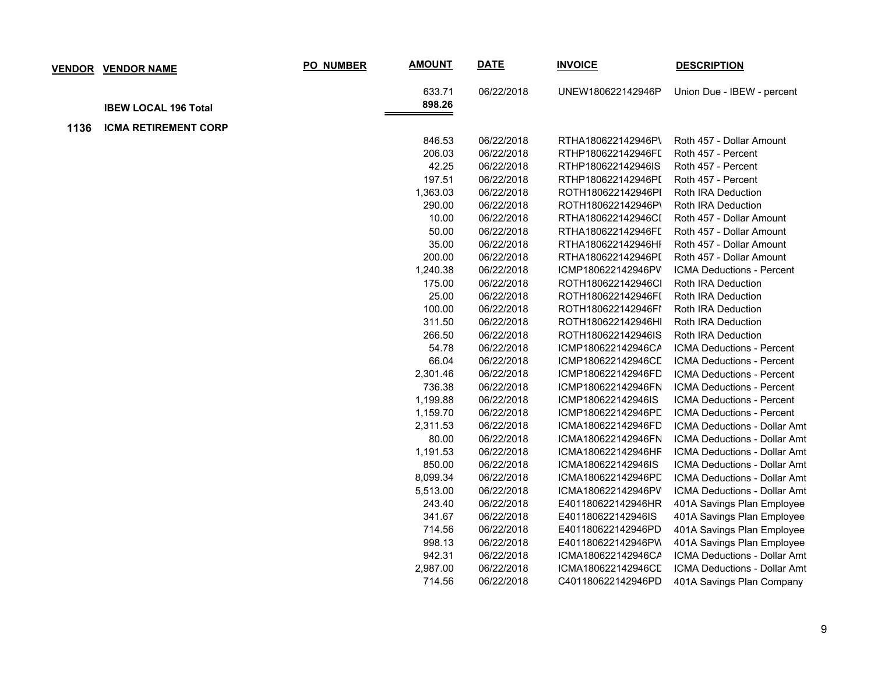|      | <b>VENDOR VENDOR NAME</b>   | PO_NUMBER | <b>AMOUNT</b> | <b>DATE</b> | <b>INVOICE</b>     | <b>DESCRIPTION</b>           |
|------|-----------------------------|-----------|---------------|-------------|--------------------|------------------------------|
|      |                             |           | 633.71        | 06/22/2018  | UNEW180622142946P  | Union Due - IBEW - percent   |
|      | <b>IBEW LOCAL 196 Total</b> |           | 898.26        |             |                    |                              |
| 1136 | <b>ICMA RETIREMENT CORP</b> |           |               |             |                    |                              |
|      |                             |           | 846.53        | 06/22/2018  | RTHA180622142946P\ | Roth 457 - Dollar Amount     |
|      |                             |           | 206.03        | 06/22/2018  | RTHP180622142946FI | Roth 457 - Percent           |
|      |                             |           | 42.25         | 06/22/2018  | RTHP180622142946IS | Roth 457 - Percent           |
|      |                             |           | 197.51        | 06/22/2018  | RTHP180622142946PI | Roth 457 - Percent           |
|      |                             |           | 1,363.03      | 06/22/2018  | ROTH180622142946PI | Roth IRA Deduction           |
|      |                             |           | 290.00        | 06/22/2018  | ROTH180622142946P\ | Roth IRA Deduction           |
|      |                             |           | 10.00         | 06/22/2018  | RTHA180622142946CI | Roth 457 - Dollar Amount     |
|      |                             |           | 50.00         | 06/22/2018  | RTHA180622142946FL | Roth 457 - Dollar Amount     |
|      |                             |           | 35.00         | 06/22/2018  | RTHA180622142946HI | Roth 457 - Dollar Amount     |
|      |                             |           | 200.00        | 06/22/2018  | RTHA180622142946PI | Roth 457 - Dollar Amount     |
|      |                             |           | 1,240.38      | 06/22/2018  | ICMP180622142946PV | ICMA Deductions - Percent    |
|      |                             |           | 175.00        | 06/22/2018  | ROTH180622142946Cl | Roth IRA Deduction           |
|      |                             |           | 25.00         | 06/22/2018  | ROTH180622142946FI | Roth IRA Deduction           |
|      |                             |           | 100.00        | 06/22/2018  | ROTH180622142946FI | Roth IRA Deduction           |
|      |                             |           | 311.50        | 06/22/2018  | ROTH180622142946HI | Roth IRA Deduction           |
|      |                             |           | 266.50        | 06/22/2018  | ROTH180622142946IS | Roth IRA Deduction           |
|      |                             |           | 54.78         | 06/22/2018  | ICMP180622142946CA | ICMA Deductions - Percent    |
|      |                             |           | 66.04         | 06/22/2018  | ICMP180622142946CL | ICMA Deductions - Percent    |
|      |                             |           | 2,301.46      | 06/22/2018  | ICMP180622142946FD | ICMA Deductions - Percent    |
|      |                             |           | 736.38        | 06/22/2018  | ICMP180622142946FN | ICMA Deductions - Percent    |
|      |                             |           | 1,199.88      | 06/22/2018  | ICMP180622142946IS | ICMA Deductions - Percent    |
|      |                             |           | 1,159.70      | 06/22/2018  | ICMP180622142946PD | ICMA Deductions - Percent    |
|      |                             |           | 2,311.53      | 06/22/2018  | ICMA180622142946FD | ICMA Deductions - Dollar Amt |
|      |                             |           | 80.00         | 06/22/2018  | ICMA180622142946FN | ICMA Deductions - Dollar Amt |
|      |                             |           | 1,191.53      | 06/22/2018  | ICMA180622142946HF | ICMA Deductions - Dollar Amt |
|      |                             |           | 850.00        | 06/22/2018  | ICMA180622142946IS | ICMA Deductions - Dollar Amt |
|      |                             |           | 8,099.34      | 06/22/2018  | ICMA180622142946PD | ICMA Deductions - Dollar Amt |
|      |                             |           | 5,513.00      | 06/22/2018  | ICMA180622142946PV | ICMA Deductions - Dollar Amt |
|      |                             |           | 243.40        | 06/22/2018  | E401180622142946HR | 401A Savings Plan Employee   |
|      |                             |           | 341.67        | 06/22/2018  | E401180622142946IS | 401A Savings Plan Employee   |
|      |                             |           | 714.56        | 06/22/2018  | E401180622142946PD | 401A Savings Plan Employee   |
|      |                             |           | 998.13        | 06/22/2018  | E401180622142946PW | 401A Savings Plan Employee   |
|      |                             |           | 942.31        | 06/22/2018  | ICMA180622142946CA | ICMA Deductions - Dollar Amt |
|      |                             |           | 2,987.00      | 06/22/2018  | ICMA180622142946CE | ICMA Deductions - Dollar Amt |
|      |                             |           | 714.56        | 06/22/2018  | C401180622142946PD | 401A Savings Plan Company    |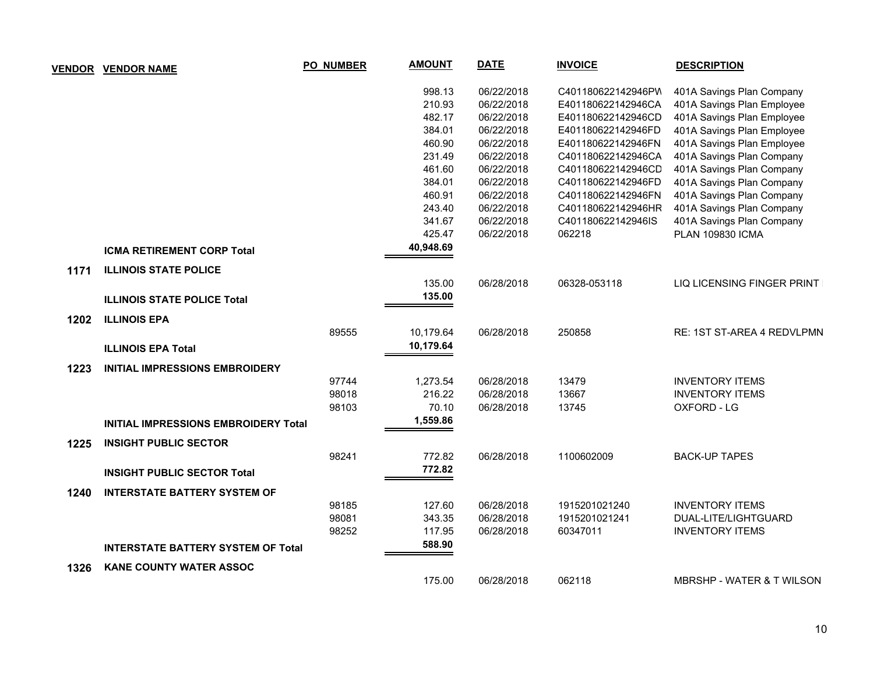| <b>VENDOR</b> | <b>VENDOR NAME</b>                          | <b>PO_NUMBER</b> | <b>AMOUNT</b> | <b>DATE</b> | <b>INVOICE</b>     | <b>DESCRIPTION</b>                   |
|---------------|---------------------------------------------|------------------|---------------|-------------|--------------------|--------------------------------------|
|               |                                             |                  | 998.13        | 06/22/2018  | C401180622142946PW | 401A Savings Plan Company            |
|               |                                             |                  | 210.93        | 06/22/2018  | E401180622142946CA | 401A Savings Plan Employee           |
|               |                                             |                  | 482.17        | 06/22/2018  | E401180622142946CD | 401A Savings Plan Employee           |
|               |                                             |                  | 384.01        | 06/22/2018  | E401180622142946FD | 401A Savings Plan Employee           |
|               |                                             |                  | 460.90        | 06/22/2018  | E401180622142946FN | 401A Savings Plan Employee           |
|               |                                             |                  | 231.49        | 06/22/2018  | C401180622142946CA | 401A Savings Plan Company            |
|               |                                             |                  | 461.60        | 06/22/2018  | C401180622142946CD | 401A Savings Plan Company            |
|               |                                             |                  | 384.01        | 06/22/2018  | C401180622142946FD | 401A Savings Plan Company            |
|               |                                             |                  | 460.91        | 06/22/2018  | C401180622142946FN | 401A Savings Plan Company            |
|               |                                             |                  | 243.40        | 06/22/2018  | C401180622142946HR | 401A Savings Plan Company            |
|               |                                             |                  | 341.67        | 06/22/2018  | C401180622142946IS | 401A Savings Plan Company            |
|               |                                             |                  | 425.47        | 06/22/2018  | 062218             | <b>PLAN 109830 ICMA</b>              |
|               | <b>ICMA RETIREMENT CORP Total</b>           |                  | 40,948.69     |             |                    |                                      |
| 1171          | <b>ILLINOIS STATE POLICE</b>                |                  |               |             |                    |                                      |
|               |                                             |                  | 135.00        | 06/28/2018  | 06328-053118       | LIQ LICENSING FINGER PRINT           |
|               | <b>ILLINOIS STATE POLICE Total</b>          |                  | 135.00        |             |                    |                                      |
| 1202          | <b>ILLINOIS EPA</b>                         |                  |               |             |                    |                                      |
|               |                                             | 89555            | 10,179.64     | 06/28/2018  | 250858             | RE: 1ST ST-AREA 4 REDVLPMN           |
|               | <b>ILLINOIS EPA Total</b>                   |                  | 10,179.64     |             |                    |                                      |
| 1223          | <b>INITIAL IMPRESSIONS EMBROIDERY</b>       |                  |               |             |                    |                                      |
|               |                                             | 97744            | 1,273.54      | 06/28/2018  | 13479              | <b>INVENTORY ITEMS</b>               |
|               |                                             | 98018            | 216.22        | 06/28/2018  | 13667              | <b>INVENTORY ITEMS</b>               |
|               |                                             | 98103            | 70.10         | 06/28/2018  | 13745              | OXFORD - LG                          |
|               | <b>INITIAL IMPRESSIONS EMBROIDERY Total</b> |                  | 1,559.86      |             |                    |                                      |
| 1225          | <b>INSIGHT PUBLIC SECTOR</b>                |                  |               |             |                    |                                      |
|               |                                             | 98241            | 772.82        | 06/28/2018  | 1100602009         | <b>BACK-UP TAPES</b>                 |
|               | <b>INSIGHT PUBLIC SECTOR Total</b>          |                  | 772.82        |             |                    |                                      |
| 1240          | <b>INTERSTATE BATTERY SYSTEM OF</b>         |                  |               |             |                    |                                      |
|               |                                             | 98185            | 127.60        | 06/28/2018  | 1915201021240      | <b>INVENTORY ITEMS</b>               |
|               |                                             | 98081            | 343.35        | 06/28/2018  | 1915201021241      | DUAL-LITE/LIGHTGUARD                 |
|               |                                             | 98252            | 117.95        | 06/28/2018  | 60347011           | <b>INVENTORY ITEMS</b>               |
|               | <b>INTERSTATE BATTERY SYSTEM OF Total</b>   |                  | 588.90        |             |                    |                                      |
| 1326          | <b>KANE COUNTY WATER ASSOC</b>              |                  |               |             |                    |                                      |
|               |                                             |                  | 175.00        | 06/28/2018  | 062118             | <b>MBRSHP - WATER &amp; T WILSON</b> |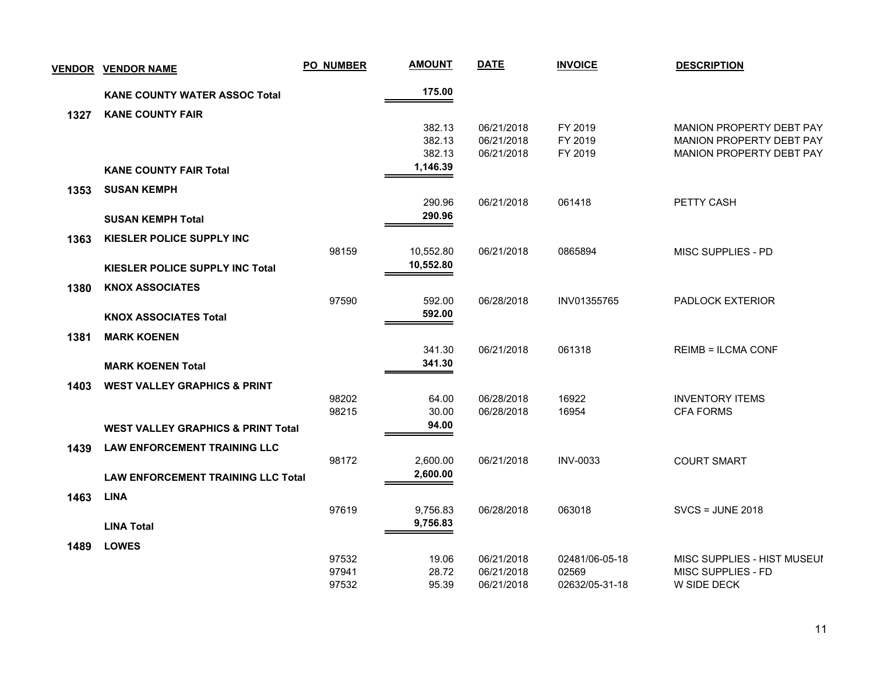| 175.00<br><b>KANE COUNTY WATER ASSOC Total</b><br><b>KANE COUNTY FAIR</b><br>1327<br>06/21/2018<br>FY 2019<br>MANION PROPERTY DEBT PAY<br>382.13<br>382.13<br>06/21/2018<br>FY 2019<br>MANION PROPERTY DEBT PAY<br>382.13<br>06/21/2018<br>FY 2019<br><b>MANION PROPERTY DEBT PAY</b><br>1,146.39<br><b>KANE COUNTY FAIR Total</b><br>1353<br><b>SUSAN KEMPH</b><br>06/21/2018<br>061418<br>PETTY CASH<br>290.96<br>290.96<br><b>SUSAN KEMPH Total</b><br>KIESLER POLICE SUPPLY INC<br>1363<br>98159<br>06/21/2018<br>0865894<br>MISC SUPPLIES - PD<br>10,552.80<br>10,552.80<br><b>KIESLER POLICE SUPPLY INC Total</b><br>1380<br><b>KNOX ASSOCIATES</b><br>97590<br>592.00<br>06/28/2018<br>INV01355765<br>PADLOCK EXTERIOR<br>592.00<br><b>KNOX ASSOCIATES Total</b><br><b>MARK KOENEN</b><br>1381<br>061318<br><b>REIMB = ILCMA CONF</b><br>341.30<br>06/21/2018<br>341.30<br><b>MARK KOENEN Total</b><br><b>WEST VALLEY GRAPHICS &amp; PRINT</b><br>1403<br>98202<br>16922<br>64.00<br>06/28/2018<br><b>INVENTORY ITEMS</b><br>98215<br>30.00<br>06/28/2018<br>16954<br><b>CFA FORMS</b><br>94.00<br><b>WEST VALLEY GRAPHICS &amp; PRINT Total</b><br><b>LAW ENFORCEMENT TRAINING LLC</b><br>1439<br>98172<br>2,600.00<br>06/21/2018<br><b>INV-0033</b><br><b>COURT SMART</b><br>2,600.00<br><b>LAW ENFORCEMENT TRAINING LLC Total</b><br><b>LINA</b><br>1463 | <b>VENDOR VENDOR NAME</b> | <b>PO_NUMBER</b> | <b>AMOUNT</b> | <b>DATE</b> | <b>INVOICE</b> | <b>DESCRIPTION</b>      |
|--------------------------------------------------------------------------------------------------------------------------------------------------------------------------------------------------------------------------------------------------------------------------------------------------------------------------------------------------------------------------------------------------------------------------------------------------------------------------------------------------------------------------------------------------------------------------------------------------------------------------------------------------------------------------------------------------------------------------------------------------------------------------------------------------------------------------------------------------------------------------------------------------------------------------------------------------------------------------------------------------------------------------------------------------------------------------------------------------------------------------------------------------------------------------------------------------------------------------------------------------------------------------------------------------------------------------------------------------------------------|---------------------------|------------------|---------------|-------------|----------------|-------------------------|
|                                                                                                                                                                                                                                                                                                                                                                                                                                                                                                                                                                                                                                                                                                                                                                                                                                                                                                                                                                                                                                                                                                                                                                                                                                                                                                                                                                    |                           |                  |               |             |                |                         |
|                                                                                                                                                                                                                                                                                                                                                                                                                                                                                                                                                                                                                                                                                                                                                                                                                                                                                                                                                                                                                                                                                                                                                                                                                                                                                                                                                                    |                           |                  |               |             |                |                         |
|                                                                                                                                                                                                                                                                                                                                                                                                                                                                                                                                                                                                                                                                                                                                                                                                                                                                                                                                                                                                                                                                                                                                                                                                                                                                                                                                                                    |                           |                  |               |             |                |                         |
|                                                                                                                                                                                                                                                                                                                                                                                                                                                                                                                                                                                                                                                                                                                                                                                                                                                                                                                                                                                                                                                                                                                                                                                                                                                                                                                                                                    |                           |                  |               |             |                |                         |
|                                                                                                                                                                                                                                                                                                                                                                                                                                                                                                                                                                                                                                                                                                                                                                                                                                                                                                                                                                                                                                                                                                                                                                                                                                                                                                                                                                    |                           |                  |               |             |                |                         |
|                                                                                                                                                                                                                                                                                                                                                                                                                                                                                                                                                                                                                                                                                                                                                                                                                                                                                                                                                                                                                                                                                                                                                                                                                                                                                                                                                                    |                           |                  |               |             |                |                         |
|                                                                                                                                                                                                                                                                                                                                                                                                                                                                                                                                                                                                                                                                                                                                                                                                                                                                                                                                                                                                                                                                                                                                                                                                                                                                                                                                                                    |                           |                  |               |             |                |                         |
|                                                                                                                                                                                                                                                                                                                                                                                                                                                                                                                                                                                                                                                                                                                                                                                                                                                                                                                                                                                                                                                                                                                                                                                                                                                                                                                                                                    |                           |                  |               |             |                |                         |
|                                                                                                                                                                                                                                                                                                                                                                                                                                                                                                                                                                                                                                                                                                                                                                                                                                                                                                                                                                                                                                                                                                                                                                                                                                                                                                                                                                    |                           |                  |               |             |                |                         |
|                                                                                                                                                                                                                                                                                                                                                                                                                                                                                                                                                                                                                                                                                                                                                                                                                                                                                                                                                                                                                                                                                                                                                                                                                                                                                                                                                                    |                           |                  |               |             |                |                         |
|                                                                                                                                                                                                                                                                                                                                                                                                                                                                                                                                                                                                                                                                                                                                                                                                                                                                                                                                                                                                                                                                                                                                                                                                                                                                                                                                                                    |                           |                  |               |             |                |                         |
|                                                                                                                                                                                                                                                                                                                                                                                                                                                                                                                                                                                                                                                                                                                                                                                                                                                                                                                                                                                                                                                                                                                                                                                                                                                                                                                                                                    |                           |                  |               |             |                |                         |
|                                                                                                                                                                                                                                                                                                                                                                                                                                                                                                                                                                                                                                                                                                                                                                                                                                                                                                                                                                                                                                                                                                                                                                                                                                                                                                                                                                    |                           |                  |               |             |                |                         |
|                                                                                                                                                                                                                                                                                                                                                                                                                                                                                                                                                                                                                                                                                                                                                                                                                                                                                                                                                                                                                                                                                                                                                                                                                                                                                                                                                                    |                           |                  |               |             |                |                         |
|                                                                                                                                                                                                                                                                                                                                                                                                                                                                                                                                                                                                                                                                                                                                                                                                                                                                                                                                                                                                                                                                                                                                                                                                                                                                                                                                                                    |                           |                  |               |             |                |                         |
|                                                                                                                                                                                                                                                                                                                                                                                                                                                                                                                                                                                                                                                                                                                                                                                                                                                                                                                                                                                                                                                                                                                                                                                                                                                                                                                                                                    |                           |                  |               |             |                |                         |
|                                                                                                                                                                                                                                                                                                                                                                                                                                                                                                                                                                                                                                                                                                                                                                                                                                                                                                                                                                                                                                                                                                                                                                                                                                                                                                                                                                    |                           |                  |               |             |                |                         |
|                                                                                                                                                                                                                                                                                                                                                                                                                                                                                                                                                                                                                                                                                                                                                                                                                                                                                                                                                                                                                                                                                                                                                                                                                                                                                                                                                                    |                           |                  |               |             |                |                         |
|                                                                                                                                                                                                                                                                                                                                                                                                                                                                                                                                                                                                                                                                                                                                                                                                                                                                                                                                                                                                                                                                                                                                                                                                                                                                                                                                                                    |                           |                  |               |             |                |                         |
|                                                                                                                                                                                                                                                                                                                                                                                                                                                                                                                                                                                                                                                                                                                                                                                                                                                                                                                                                                                                                                                                                                                                                                                                                                                                                                                                                                    |                           |                  |               |             |                |                         |
|                                                                                                                                                                                                                                                                                                                                                                                                                                                                                                                                                                                                                                                                                                                                                                                                                                                                                                                                                                                                                                                                                                                                                                                                                                                                                                                                                                    |                           |                  |               |             |                |                         |
|                                                                                                                                                                                                                                                                                                                                                                                                                                                                                                                                                                                                                                                                                                                                                                                                                                                                                                                                                                                                                                                                                                                                                                                                                                                                                                                                                                    |                           |                  |               |             |                |                         |
|                                                                                                                                                                                                                                                                                                                                                                                                                                                                                                                                                                                                                                                                                                                                                                                                                                                                                                                                                                                                                                                                                                                                                                                                                                                                                                                                                                    |                           |                  |               |             |                |                         |
|                                                                                                                                                                                                                                                                                                                                                                                                                                                                                                                                                                                                                                                                                                                                                                                                                                                                                                                                                                                                                                                                                                                                                                                                                                                                                                                                                                    |                           |                  |               |             |                |                         |
|                                                                                                                                                                                                                                                                                                                                                                                                                                                                                                                                                                                                                                                                                                                                                                                                                                                                                                                                                                                                                                                                                                                                                                                                                                                                                                                                                                    |                           |                  |               |             |                |                         |
|                                                                                                                                                                                                                                                                                                                                                                                                                                                                                                                                                                                                                                                                                                                                                                                                                                                                                                                                                                                                                                                                                                                                                                                                                                                                                                                                                                    |                           |                  |               |             |                |                         |
|                                                                                                                                                                                                                                                                                                                                                                                                                                                                                                                                                                                                                                                                                                                                                                                                                                                                                                                                                                                                                                                                                                                                                                                                                                                                                                                                                                    |                           | 97619            | 9,756.83      | 06/28/2018  | 063018         | <b>SVCS = JUNE 2018</b> |
| 9,756.83<br><b>LINA Total</b>                                                                                                                                                                                                                                                                                                                                                                                                                                                                                                                                                                                                                                                                                                                                                                                                                                                                                                                                                                                                                                                                                                                                                                                                                                                                                                                                      |                           |                  |               |             |                |                         |
|                                                                                                                                                                                                                                                                                                                                                                                                                                                                                                                                                                                                                                                                                                                                                                                                                                                                                                                                                                                                                                                                                                                                                                                                                                                                                                                                                                    |                           |                  |               |             |                |                         |
| <b>LOWES</b><br>1489                                                                                                                                                                                                                                                                                                                                                                                                                                                                                                                                                                                                                                                                                                                                                                                                                                                                                                                                                                                                                                                                                                                                                                                                                                                                                                                                               |                           |                  |               |             |                |                         |
| 97532<br>19.06<br>06/21/2018<br>02481/06-05-18<br>MISC SUPPLIES - HIST MUSEUI<br>97941<br>28.72<br>06/21/2018<br>02569<br>MISC SUPPLIES - FD                                                                                                                                                                                                                                                                                                                                                                                                                                                                                                                                                                                                                                                                                                                                                                                                                                                                                                                                                                                                                                                                                                                                                                                                                       |                           |                  |               |             |                |                         |
| 97532<br>95.39<br>06/21/2018<br>02632/05-31-18<br>W SIDE DECK                                                                                                                                                                                                                                                                                                                                                                                                                                                                                                                                                                                                                                                                                                                                                                                                                                                                                                                                                                                                                                                                                                                                                                                                                                                                                                      |                           |                  |               |             |                |                         |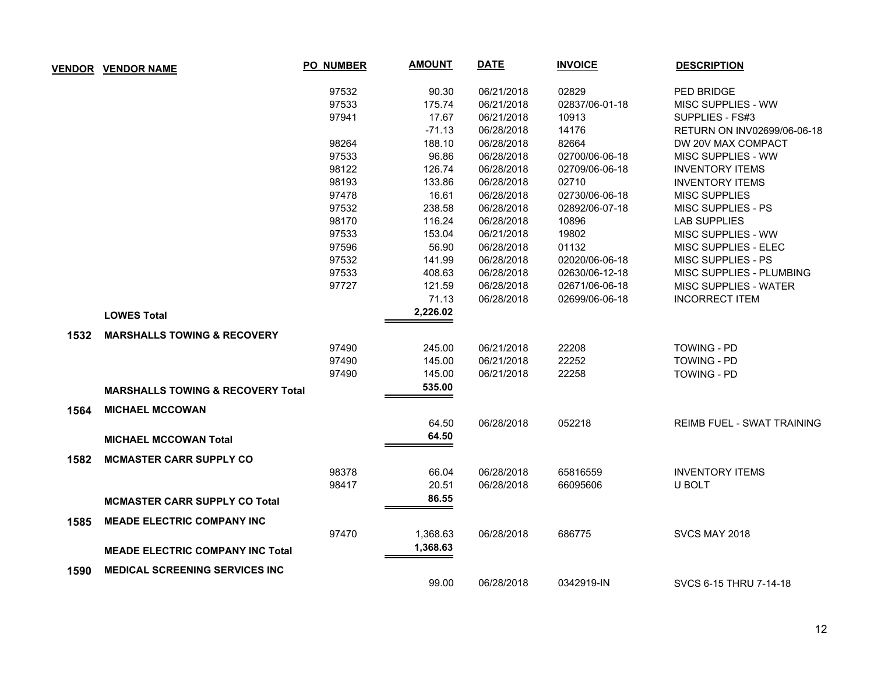| <b>VENDOR</b> | <b>VENDOR NAME</b>                           | <b>PO NUMBER</b> | <b>AMOUNT</b> | <b>DATE</b> | <b>INVOICE</b> | <b>DESCRIPTION</b>                |
|---------------|----------------------------------------------|------------------|---------------|-------------|----------------|-----------------------------------|
|               |                                              | 97532            | 90.30         | 06/21/2018  | 02829          | <b>PED BRIDGE</b>                 |
|               |                                              | 97533            | 175.74        | 06/21/2018  | 02837/06-01-18 | MISC SUPPLIES - WW                |
|               |                                              | 97941            | 17.67         | 06/21/2018  | 10913          | SUPPLIES - FS#3                   |
|               |                                              |                  | $-71.13$      | 06/28/2018  | 14176          | RETURN ON INV02699/06-06-18       |
|               |                                              | 98264            | 188.10        | 06/28/2018  | 82664          | DW 20V MAX COMPACT                |
|               |                                              | 97533            | 96.86         | 06/28/2018  | 02700/06-06-18 | MISC SUPPLIES - WW                |
|               |                                              | 98122            | 126.74        | 06/28/2018  | 02709/06-06-18 | <b>INVENTORY ITEMS</b>            |
|               |                                              | 98193            | 133.86        | 06/28/2018  | 02710          | <b>INVENTORY ITEMS</b>            |
|               |                                              | 97478            | 16.61         | 06/28/2018  | 02730/06-06-18 | <b>MISC SUPPLIES</b>              |
|               |                                              | 97532            | 238.58        | 06/28/2018  | 02892/06-07-18 | <b>MISC SUPPLIES - PS</b>         |
|               |                                              | 98170            | 116.24        | 06/28/2018  | 10896          | <b>LAB SUPPLIES</b>               |
|               |                                              | 97533            | 153.04        | 06/21/2018  | 19802          | MISC SUPPLIES - WW                |
|               |                                              | 97596            | 56.90         | 06/28/2018  | 01132          | MISC SUPPLIES - ELEC              |
|               |                                              | 97532            | 141.99        | 06/28/2018  | 02020/06-06-18 | MISC SUPPLIES - PS                |
|               |                                              | 97533            | 408.63        | 06/28/2018  | 02630/06-12-18 | MISC SUPPLIES - PLUMBING          |
|               |                                              | 97727            | 121.59        | 06/28/2018  | 02671/06-06-18 | MISC SUPPLIES - WATER             |
|               |                                              |                  | 71.13         | 06/28/2018  | 02699/06-06-18 | <b>INCORRECT ITEM</b>             |
|               | <b>LOWES Total</b>                           |                  | 2,226.02      |             |                |                                   |
| 1532          | <b>MARSHALLS TOWING &amp; RECOVERY</b>       |                  |               |             |                |                                   |
|               |                                              | 97490            | 245.00        | 06/21/2018  | 22208          | <b>TOWING - PD</b>                |
|               |                                              | 97490            | 145.00        | 06/21/2018  | 22252          | <b>TOWING - PD</b>                |
|               |                                              | 97490            | 145.00        | 06/21/2018  | 22258          | <b>TOWING - PD</b>                |
|               | <b>MARSHALLS TOWING &amp; RECOVERY Total</b> |                  | 535.00        |             |                |                                   |
| 1564          | <b>MICHAEL MCCOWAN</b>                       |                  |               |             |                |                                   |
|               |                                              |                  | 64.50         | 06/28/2018  | 052218         | <b>REIMB FUEL - SWAT TRAINING</b> |
|               | <b>MICHAEL MCCOWAN Total</b>                 |                  | 64.50         |             |                |                                   |
| 1582          | <b>MCMASTER CARR SUPPLY CO</b>               |                  |               |             |                |                                   |
|               |                                              | 98378            | 66.04         | 06/28/2018  | 65816559       | <b>INVENTORY ITEMS</b>            |
|               |                                              | 98417            | 20.51         | 06/28/2018  | 66095606       | U BOLT                            |
|               | <b>MCMASTER CARR SUPPLY CO Total</b>         |                  | 86.55         |             |                |                                   |
| 1585          | <b>MEADE ELECTRIC COMPANY INC</b>            |                  |               |             |                |                                   |
|               |                                              | 97470            | 1,368.63      | 06/28/2018  | 686775         | SVCS MAY 2018                     |
|               | <b>MEADE ELECTRIC COMPANY INC Total</b>      |                  | 1,368.63      |             |                |                                   |
| 1590          | <b>MEDICAL SCREENING SERVICES INC</b>        |                  |               |             |                |                                   |
|               |                                              |                  | 99.00         | 06/28/2018  | 0342919-IN     | SVCS 6-15 THRU 7-14-18            |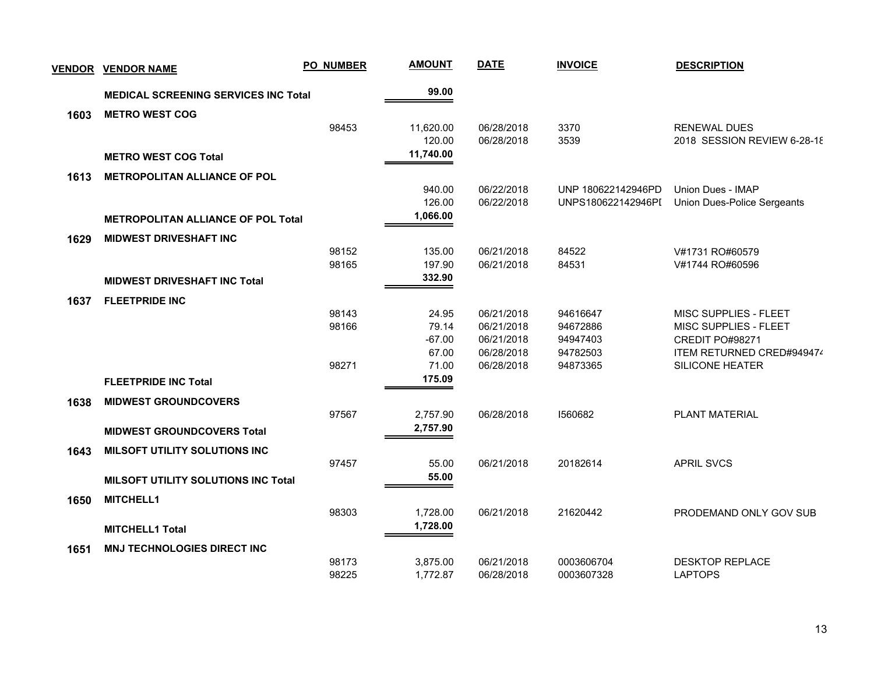| <b>VENDOR</b> | <b>VENDOR NAME</b>                          | <b>PO_NUMBER</b> | <b>AMOUNT</b> | <b>DATE</b> | <b>INVOICE</b>     | <b>DESCRIPTION</b>                 |
|---------------|---------------------------------------------|------------------|---------------|-------------|--------------------|------------------------------------|
|               | <b>MEDICAL SCREENING SERVICES INC Total</b> |                  | 99.00         |             |                    |                                    |
| 1603          | <b>METRO WEST COG</b>                       |                  |               |             |                    |                                    |
|               |                                             | 98453            | 11,620.00     | 06/28/2018  | 3370               | <b>RENEWAL DUES</b>                |
|               |                                             |                  | 120.00        | 06/28/2018  | 3539               | 2018 SESSION REVIEW 6-28-18        |
|               | <b>METRO WEST COG Total</b>                 |                  | 11,740.00     |             |                    |                                    |
| 1613          | <b>METROPOLITAN ALLIANCE OF POL</b>         |                  |               |             |                    |                                    |
|               |                                             |                  | 940.00        | 06/22/2018  | UNP 180622142946PD | <b>Union Dues - IMAP</b>           |
|               |                                             |                  | 126.00        | 06/22/2018  | UNPS180622142946PI | <b>Union Dues-Police Sergeants</b> |
|               | <b>METROPOLITAN ALLIANCE OF POL Total</b>   |                  | 1,066.00      |             |                    |                                    |
| 1629          | <b>MIDWEST DRIVESHAFT INC</b>               |                  |               |             |                    |                                    |
|               |                                             | 98152            | 135.00        | 06/21/2018  | 84522              | V#1731 RO#60579                    |
|               |                                             | 98165            | 197.90        | 06/21/2018  | 84531              | V#1744 RO#60596                    |
|               | <b>MIDWEST DRIVESHAFT INC Total</b>         |                  | 332.90        |             |                    |                                    |
| 1637          | <b>FLEETPRIDE INC</b>                       |                  |               |             |                    |                                    |
|               |                                             | 98143            | 24.95         | 06/21/2018  | 94616647           | MISC SUPPLIES - FLEET              |
|               |                                             | 98166            | 79.14         | 06/21/2018  | 94672886           | MISC SUPPLIES - FLEET              |
|               |                                             |                  | $-67.00$      | 06/21/2018  | 94947403           | CREDIT PO#98271                    |
|               |                                             |                  | 67.00         | 06/28/2018  | 94782503           | ITEM RETURNED CRED#949474          |
|               |                                             | 98271            | 71.00         | 06/28/2018  | 94873365           | <b>SILICONE HEATER</b>             |
|               | <b>FLEETPRIDE INC Total</b>                 |                  | 175.09        |             |                    |                                    |
| 1638          | <b>MIDWEST GROUNDCOVERS</b>                 |                  |               |             |                    |                                    |
|               |                                             | 97567            | 2,757.90      | 06/28/2018  | 1560682            | PLANT MATERIAL                     |
|               | <b>MIDWEST GROUNDCOVERS Total</b>           |                  | 2,757.90      |             |                    |                                    |
| 1643          | <b>MILSOFT UTILITY SOLUTIONS INC</b>        |                  |               |             |                    |                                    |
|               |                                             | 97457            | 55.00         | 06/21/2018  | 20182614           | <b>APRIL SVCS</b>                  |
|               | <b>MILSOFT UTILITY SOLUTIONS INC Total</b>  |                  | 55.00         |             |                    |                                    |
| 1650          | <b>MITCHELL1</b>                            |                  |               |             |                    |                                    |
|               |                                             | 98303            | 1,728.00      | 06/21/2018  | 21620442           | PRODEMAND ONLY GOV SUB             |
|               | <b>MITCHELL1 Total</b>                      |                  | 1,728.00      |             |                    |                                    |
| 1651          | <b>MNJ TECHNOLOGIES DIRECT INC</b>          |                  |               |             |                    |                                    |
|               |                                             | 98173            | 3,875.00      | 06/21/2018  | 0003606704         | <b>DESKTOP REPLACE</b>             |
|               |                                             | 98225            | 1,772.87      | 06/28/2018  | 0003607328         | <b>LAPTOPS</b>                     |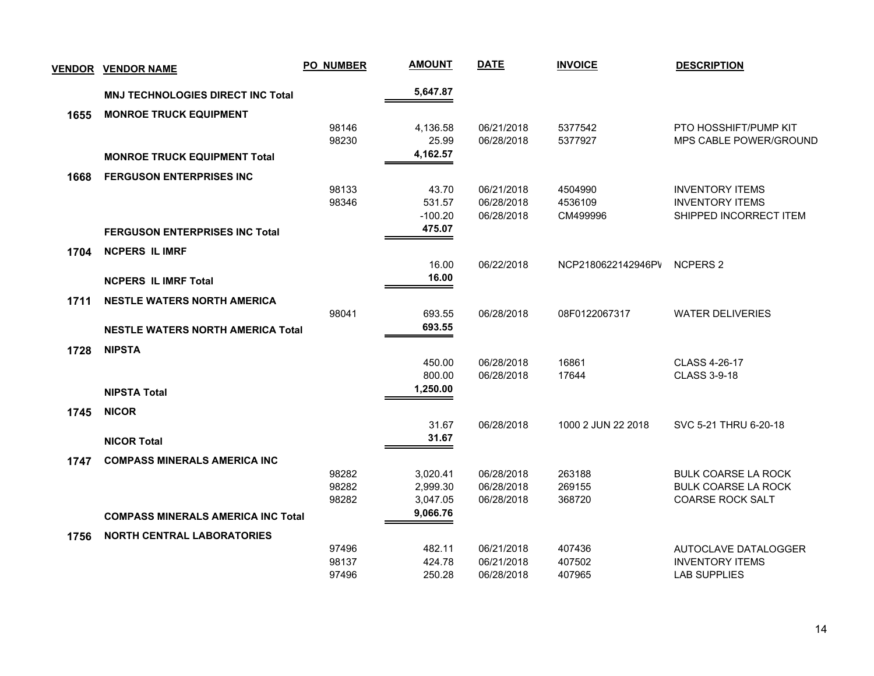| <b>VENDOR</b> | <b>VENDOR NAME</b>                        | <b>PO_NUMBER</b> | <b>AMOUNT</b> | <b>DATE</b> | <b>INVOICE</b>     | <b>DESCRIPTION</b>         |
|---------------|-------------------------------------------|------------------|---------------|-------------|--------------------|----------------------------|
|               | <b>MNJ TECHNOLOGIES DIRECT INC Total</b>  |                  | 5,647.87      |             |                    |                            |
| 1655          | <b>MONROE TRUCK EQUIPMENT</b>             |                  |               |             |                    |                            |
|               |                                           | 98146            | 4,136.58      | 06/21/2018  | 5377542            | PTO HOSSHIFT/PUMP KIT      |
|               |                                           | 98230            | 25.99         | 06/28/2018  | 5377927            | MPS CABLE POWER/GROUND     |
|               | <b>MONROE TRUCK EQUIPMENT Total</b>       |                  | 4,162.57      |             |                    |                            |
| 1668          | <b>FERGUSON ENTERPRISES INC</b>           |                  |               |             |                    |                            |
|               |                                           | 98133            | 43.70         | 06/21/2018  | 4504990            | <b>INVENTORY ITEMS</b>     |
|               |                                           | 98346            | 531.57        | 06/28/2018  | 4536109            | <b>INVENTORY ITEMS</b>     |
|               |                                           |                  | $-100.20$     | 06/28/2018  | CM499996           | SHIPPED INCORRECT ITEM     |
|               | <b>FERGUSON ENTERPRISES INC Total</b>     |                  | 475.07        |             |                    |                            |
| 1704          | <b>NCPERS IL IMRF</b>                     |                  |               |             |                    |                            |
|               |                                           |                  | 16.00         | 06/22/2018  | NCP2180622142946PV | <b>NCPERS 2</b>            |
|               | <b>NCPERS IL IMRF Total</b>               |                  | 16.00         |             |                    |                            |
| 1711          | <b>NESTLE WATERS NORTH AMERICA</b>        |                  |               |             |                    |                            |
|               |                                           | 98041            | 693.55        | 06/28/2018  | 08F0122067317      | <b>WATER DELIVERIES</b>    |
|               | <b>NESTLE WATERS NORTH AMERICA Total</b>  |                  | 693.55        |             |                    |                            |
| 1728          | <b>NIPSTA</b>                             |                  |               |             |                    |                            |
|               |                                           |                  | 450.00        | 06/28/2018  | 16861              | CLASS 4-26-17              |
|               |                                           |                  | 800.00        | 06/28/2018  | 17644              | <b>CLASS 3-9-18</b>        |
|               | <b>NIPSTA Total</b>                       |                  | 1,250.00      |             |                    |                            |
| 1745          | <b>NICOR</b>                              |                  |               |             |                    |                            |
|               |                                           |                  | 31.67         | 06/28/2018  | 1000 2 JUN 22 2018 | SVC 5-21 THRU 6-20-18      |
|               | <b>NICOR Total</b>                        |                  | 31.67         |             |                    |                            |
| 1747          | <b>COMPASS MINERALS AMERICA INC</b>       |                  |               |             |                    |                            |
|               |                                           | 98282            | 3,020.41      | 06/28/2018  | 263188             | <b>BULK COARSE LA ROCK</b> |
|               |                                           | 98282            | 2,999.30      | 06/28/2018  | 269155             | <b>BULK COARSE LA ROCK</b> |
|               |                                           | 98282            | 3,047.05      | 06/28/2018  | 368720             | <b>COARSE ROCK SALT</b>    |
|               | <b>COMPASS MINERALS AMERICA INC Total</b> |                  | 9,066.76      |             |                    |                            |
| 1756          | <b>NORTH CENTRAL LABORATORIES</b>         |                  |               |             |                    |                            |
|               |                                           | 97496            | 482.11        | 06/21/2018  | 407436             | AUTOCLAVE DATALOGGER       |
|               |                                           | 98137            | 424.78        | 06/21/2018  | 407502             | <b>INVENTORY ITEMS</b>     |
|               |                                           | 97496            | 250.28        | 06/28/2018  | 407965             | <b>LAB SUPPLIES</b>        |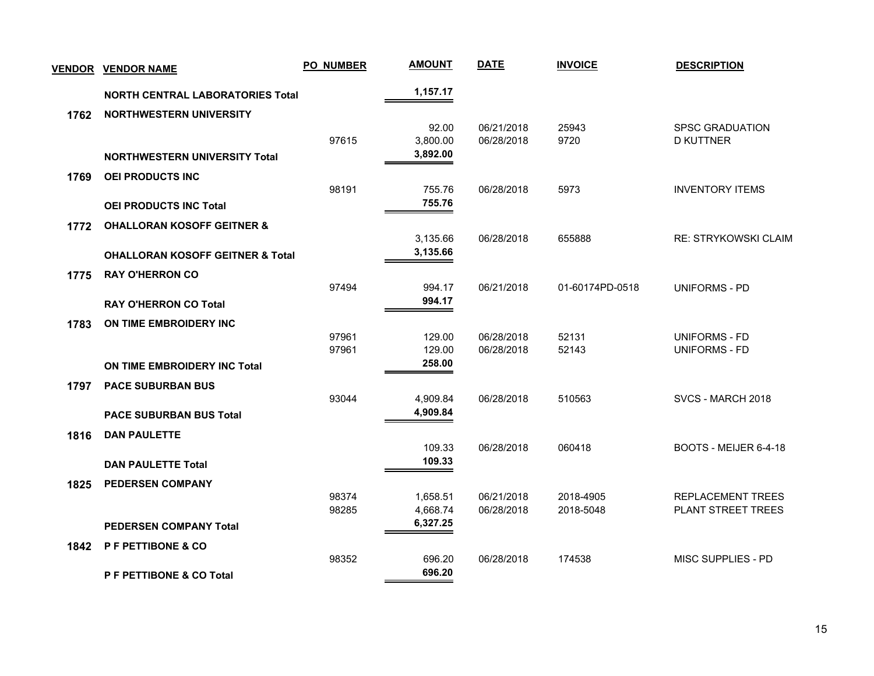| <u>VENDOR</u> | <b>VENDOR NAME</b>                          | <b>PO_NUMBER</b> | <b>AMOUNT</b> | <b>DATE</b> | <b>INVOICE</b>  | <b>DESCRIPTION</b>          |
|---------------|---------------------------------------------|------------------|---------------|-------------|-----------------|-----------------------------|
|               | <b>NORTH CENTRAL LABORATORIES Total</b>     |                  | 1,157.17      |             |                 |                             |
| 1762          | <b>NORTHWESTERN UNIVERSITY</b>              |                  |               |             |                 |                             |
|               |                                             |                  | 92.00         | 06/21/2018  | 25943           | <b>SPSC GRADUATION</b>      |
|               |                                             | 97615            | 3,800.00      | 06/28/2018  | 9720            | <b>D KUTTNER</b>            |
|               | <b>NORTHWESTERN UNIVERSITY Total</b>        |                  | 3,892.00      |             |                 |                             |
| 1769          | <b>OEI PRODUCTS INC</b>                     |                  |               |             |                 |                             |
|               |                                             | 98191            | 755.76        | 06/28/2018  | 5973            | <b>INVENTORY ITEMS</b>      |
|               | <b>OEI PRODUCTS INC Total</b>               |                  | 755.76        |             |                 |                             |
| 1772          | <b>OHALLORAN KOSOFF GEITNER &amp;</b>       |                  |               |             |                 |                             |
|               |                                             |                  | 3,135.66      | 06/28/2018  | 655888          | <b>RE: STRYKOWSKI CLAIM</b> |
|               | <b>OHALLORAN KOSOFF GEITNER &amp; Total</b> |                  | 3,135.66      |             |                 |                             |
| 1775          | <b>RAY O'HERRON CO</b>                      |                  |               |             |                 |                             |
|               |                                             | 97494            | 994.17        | 06/21/2018  | 01-60174PD-0518 | <b>UNIFORMS - PD</b>        |
|               | <b>RAY O'HERRON CO Total</b>                |                  | 994.17        |             |                 |                             |
| 1783          | ON TIME EMBROIDERY INC                      |                  |               |             |                 |                             |
|               |                                             | 97961            | 129.00        | 06/28/2018  | 52131           | <b>UNIFORMS - FD</b>        |
|               |                                             | 97961            | 129.00        | 06/28/2018  | 52143           | <b>UNIFORMS - FD</b>        |
|               | ON TIME EMBROIDERY INC Total                |                  | 258.00        |             |                 |                             |
| 1797          | <b>PACE SUBURBAN BUS</b>                    |                  |               |             |                 |                             |
|               |                                             | 93044            | 4,909.84      | 06/28/2018  | 510563          | SVCS - MARCH 2018           |
|               | <b>PACE SUBURBAN BUS Total</b>              |                  | 4,909.84      |             |                 |                             |
| 1816          | <b>DAN PAULETTE</b>                         |                  |               |             |                 |                             |
|               |                                             |                  | 109.33        | 06/28/2018  | 060418          | BOOTS - MEIJER 6-4-18       |
|               | <b>DAN PAULETTE Total</b>                   |                  | 109.33        |             |                 |                             |
| 1825          | <b>PEDERSEN COMPANY</b>                     |                  |               |             |                 |                             |
|               |                                             | 98374            | 1,658.51      | 06/21/2018  | 2018-4905       | <b>REPLACEMENT TREES</b>    |
|               |                                             | 98285            | 4,668.74      | 06/28/2018  | 2018-5048       | PLANT STREET TREES          |
|               | <b>PEDERSEN COMPANY Total</b>               |                  | 6,327.25      |             |                 |                             |
| 1842          | P F PETTIBONE & CO                          |                  |               |             |                 |                             |
|               |                                             | 98352            | 696.20        | 06/28/2018  | 174538          | MISC SUPPLIES - PD          |
|               | <b>P F PETTIBONE &amp; CO Total</b>         |                  | 696.20        |             |                 |                             |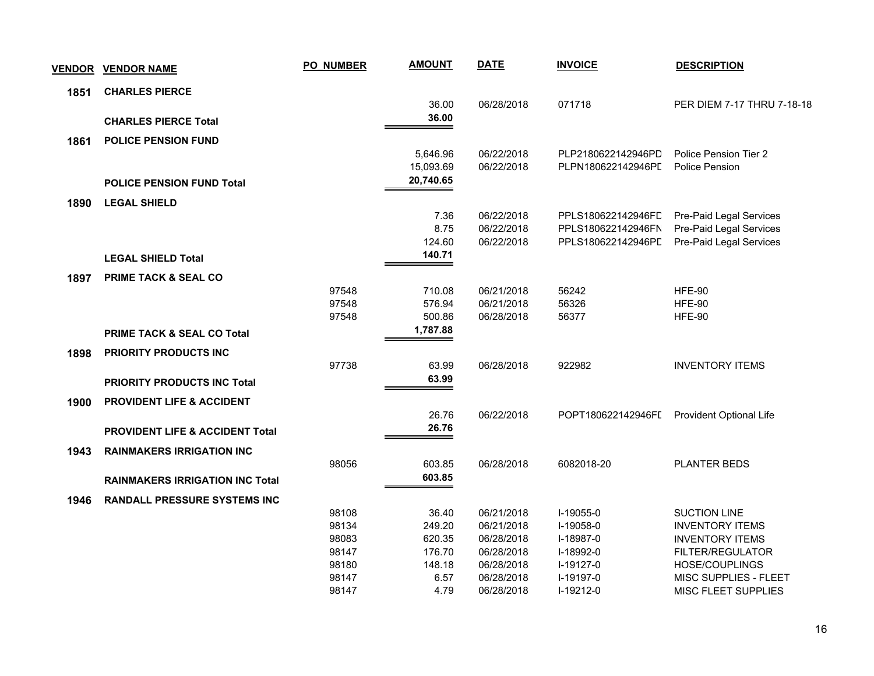| <b>VENDOR</b> | <b>VENDOR NAME</b>                         | <b>PO_NUMBER</b> | <b>AMOUNT</b> | <b>DATE</b> | <b>INVOICE</b>     | <b>DESCRIPTION</b>             |
|---------------|--------------------------------------------|------------------|---------------|-------------|--------------------|--------------------------------|
| 1851          | <b>CHARLES PIERCE</b>                      |                  |               |             |                    |                                |
|               |                                            |                  | 36.00         | 06/28/2018  | 071718             | PER DIEM 7-17 THRU 7-18-18     |
|               | <b>CHARLES PIERCE Total</b>                |                  | 36.00         |             |                    |                                |
| 1861          | <b>POLICE PENSION FUND</b>                 |                  |               |             |                    |                                |
|               |                                            |                  | 5,646.96      | 06/22/2018  | PLP2180622142946PD | Police Pension Tier 2          |
|               |                                            |                  | 15,093.69     | 06/22/2018  | PLPN180622142946PL | Police Pension                 |
|               | <b>POLICE PENSION FUND Total</b>           |                  | 20,740.65     |             |                    |                                |
| 1890          | <b>LEGAL SHIELD</b>                        |                  |               |             |                    |                                |
|               |                                            |                  | 7.36          | 06/22/2018  | PPLS180622142946FD | Pre-Paid Legal Services        |
|               |                                            |                  | 8.75          | 06/22/2018  | PPLS180622142946FN | Pre-Paid Legal Services        |
|               |                                            |                  | 124.60        | 06/22/2018  | PPLS180622142946PL | Pre-Paid Legal Services        |
|               | <b>LEGAL SHIELD Total</b>                  |                  | 140.71        |             |                    |                                |
| 1897          | <b>PRIME TACK &amp; SEAL CO</b>            |                  |               |             |                    |                                |
|               |                                            | 97548            | 710.08        | 06/21/2018  | 56242              | <b>HFE-90</b>                  |
|               |                                            | 97548            | 576.94        | 06/21/2018  | 56326              | <b>HFE-90</b>                  |
|               |                                            | 97548            | 500.86        | 06/28/2018  | 56377              | <b>HFE-90</b>                  |
|               | <b>PRIME TACK &amp; SEAL CO Total</b>      |                  | 1,787.88      |             |                    |                                |
| 1898          | PRIORITY PRODUCTS INC                      |                  |               |             |                    |                                |
|               |                                            | 97738            | 63.99         | 06/28/2018  | 922982             | <b>INVENTORY ITEMS</b>         |
|               | <b>PRIORITY PRODUCTS INC Total</b>         |                  | 63.99         |             |                    |                                |
|               | <b>PROVIDENT LIFE &amp; ACCIDENT</b>       |                  |               |             |                    |                                |
| 1900          |                                            |                  | 26.76         | 06/22/2018  | POPT180622142946FI | <b>Provident Optional Life</b> |
|               |                                            |                  | 26.76         |             |                    |                                |
|               | <b>PROVIDENT LIFE &amp; ACCIDENT Total</b> |                  |               |             |                    |                                |
| 1943          | <b>RAINMAKERS IRRIGATION INC</b>           |                  |               |             |                    |                                |
|               |                                            | 98056            | 603.85        | 06/28/2018  | 6082018-20         | <b>PLANTER BEDS</b>            |
|               | <b>RAINMAKERS IRRIGATION INC Total</b>     |                  | 603.85        |             |                    |                                |
| 1946          | <b>RANDALL PRESSURE SYSTEMS INC</b>        |                  |               |             |                    |                                |
|               |                                            | 98108            | 36.40         | 06/21/2018  | I-19055-0          | <b>SUCTION LINE</b>            |
|               |                                            | 98134            | 249.20        | 06/21/2018  | I-19058-0          | <b>INVENTORY ITEMS</b>         |
|               |                                            | 98083            | 620.35        | 06/28/2018  | I-18987-0          | <b>INVENTORY ITEMS</b>         |
|               |                                            | 98147            | 176.70        | 06/28/2018  | I-18992-0          | FILTER/REGULATOR               |
|               |                                            | 98180            | 148.18        | 06/28/2018  | I-19127-0          | HOSE/COUPLINGS                 |
|               |                                            | 98147            | 6.57          | 06/28/2018  | I-19197-0          | MISC SUPPLIES - FLEET          |
|               |                                            | 98147            | 4.79          | 06/28/2018  | I-19212-0          | MISC FLEET SUPPLIES            |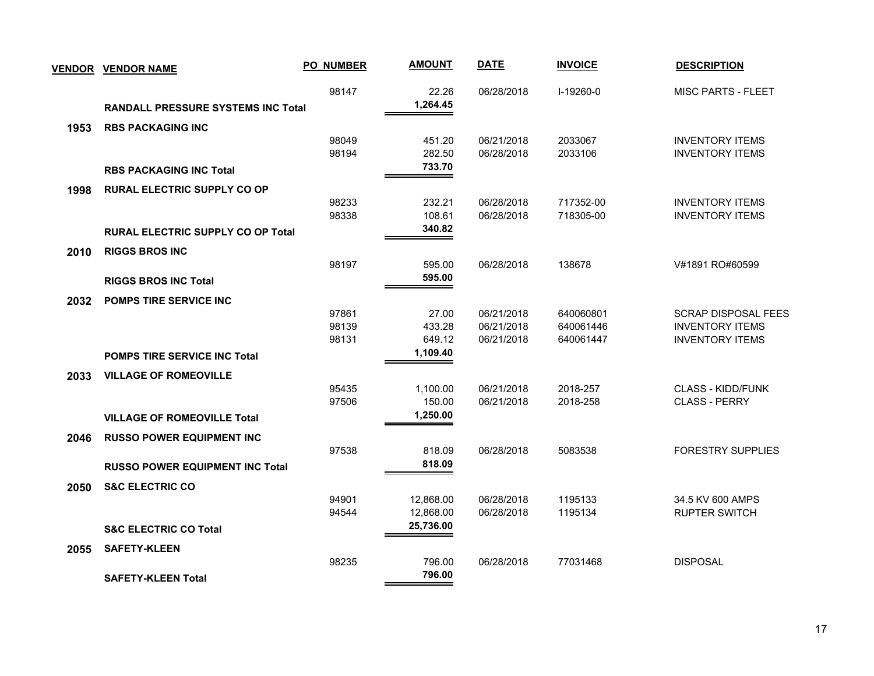| <b>VENDOR</b> | <b>VENDOR NAME</b>                        | <b>PO_NUMBER</b> | <b>AMOUNT</b>          | <b>DATE</b>              | <b>INVOICE</b>     | <b>DESCRIPTION</b>                               |
|---------------|-------------------------------------------|------------------|------------------------|--------------------------|--------------------|--------------------------------------------------|
|               | <b>RANDALL PRESSURE SYSTEMS INC Total</b> | 98147            | 22.26<br>1,264.45      | 06/28/2018               | I-19260-0          | <b>MISC PARTS - FLEET</b>                        |
|               |                                           |                  |                        |                          |                    |                                                  |
| 1953          | <b>RBS PACKAGING INC</b>                  |                  |                        |                          |                    |                                                  |
|               |                                           | 98049<br>98194   | 451.20<br>282.50       | 06/21/2018<br>06/28/2018 | 2033067<br>2033106 | <b>INVENTORY ITEMS</b><br><b>INVENTORY ITEMS</b> |
|               | <b>RBS PACKAGING INC Total</b>            |                  | 733.70                 |                          |                    |                                                  |
|               |                                           |                  |                        |                          |                    |                                                  |
| 1998          | <b>RURAL ELECTRIC SUPPLY CO OP</b>        |                  |                        |                          |                    |                                                  |
|               |                                           | 98233            | 232.21                 | 06/28/2018               | 717352-00          | <b>INVENTORY ITEMS</b>                           |
|               |                                           | 98338            | 108.61<br>340.82       | 06/28/2018               | 718305-00          | <b>INVENTORY ITEMS</b>                           |
|               | <b>RURAL ELECTRIC SUPPLY CO OP Total</b>  |                  |                        |                          |                    |                                                  |
| 2010          | <b>RIGGS BROS INC</b>                     |                  |                        |                          |                    |                                                  |
|               |                                           | 98197            | 595.00                 | 06/28/2018               | 138678             | V#1891 RO#60599                                  |
|               | <b>RIGGS BROS INC Total</b>               |                  | 595.00                 |                          |                    |                                                  |
| 2032          | POMPS TIRE SERVICE INC                    |                  |                        |                          |                    |                                                  |
|               |                                           | 97861            | 27.00                  | 06/21/2018               | 640060801          | <b>SCRAP DISPOSAL FEES</b>                       |
|               |                                           | 98139            | 433.28                 | 06/21/2018               | 640061446          | <b>INVENTORY ITEMS</b>                           |
|               |                                           | 98131            | 649.12                 | 06/21/2018               | 640061447          | <b>INVENTORY ITEMS</b>                           |
|               | <b>POMPS TIRE SERVICE INC Total</b>       |                  | 1,109.40               |                          |                    |                                                  |
| 2033          | <b>VILLAGE OF ROMEOVILLE</b>              |                  |                        |                          |                    |                                                  |
|               |                                           | 95435            | 1,100.00               | 06/21/2018               | 2018-257           | <b>CLASS - KIDD/FUNK</b>                         |
|               |                                           | 97506            | 150.00                 | 06/21/2018               | 2018-258           | <b>CLASS - PERRY</b>                             |
|               | <b>VILLAGE OF ROMEOVILLE Total</b>        |                  | 1,250.00               |                          |                    |                                                  |
| 2046          | <b>RUSSO POWER EQUIPMENT INC</b>          |                  |                        |                          |                    |                                                  |
|               |                                           | 97538            | 818.09                 | 06/28/2018               | 5083538            | <b>FORESTRY SUPPLIES</b>                         |
|               | <b>RUSSO POWER EQUIPMENT INC Total</b>    |                  | 818.09                 |                          |                    |                                                  |
|               |                                           |                  |                        |                          |                    |                                                  |
| 2050          | <b>S&amp;C ELECTRIC CO</b>                |                  |                        |                          |                    |                                                  |
|               |                                           | 94901<br>94544   | 12,868.00<br>12,868.00 | 06/28/2018<br>06/28/2018 | 1195133<br>1195134 | 34.5 KV 600 AMPS<br><b>RUPTER SWITCH</b>         |
|               |                                           |                  | 25,736.00              |                          |                    |                                                  |
|               | <b>S&amp;C ELECTRIC CO Total</b>          |                  |                        |                          |                    |                                                  |
| 2055          | <b>SAFETY-KLEEN</b>                       |                  |                        |                          |                    |                                                  |
|               |                                           | 98235            | 796.00                 | 06/28/2018               | 77031468           | <b>DISPOSAL</b>                                  |
|               | <b>SAFETY-KLEEN Total</b>                 |                  | 796.00                 |                          |                    |                                                  |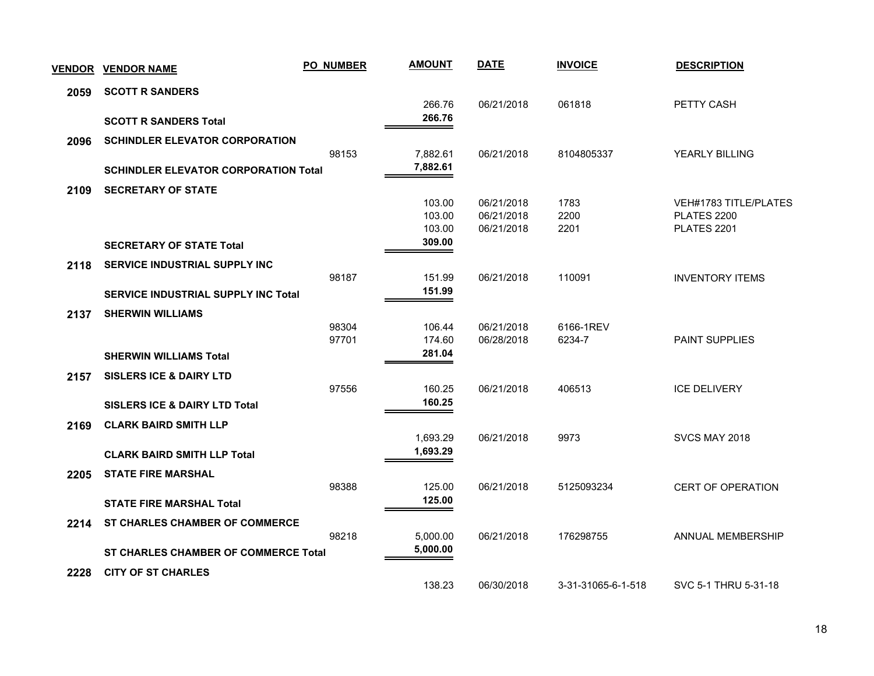| <b>VENDOR</b> | <b>VENDOR NAME</b>                          | <b>PO_NUMBER</b> | <b>AMOUNT</b>    | <b>DATE</b>              | <b>INVOICE</b>     | <b>DESCRIPTION</b>         |
|---------------|---------------------------------------------|------------------|------------------|--------------------------|--------------------|----------------------------|
| 2059          | <b>SCOTT R SANDERS</b>                      |                  |                  |                          |                    |                            |
|               |                                             |                  | 266.76           | 06/21/2018               | 061818             | PETTY CASH                 |
|               | <b>SCOTT R SANDERS Total</b>                |                  | 266.76           |                          |                    |                            |
| 2096          | <b>SCHINDLER ELEVATOR CORPORATION</b>       |                  |                  |                          |                    |                            |
|               |                                             | 98153            | 7,882.61         | 06/21/2018               | 8104805337         | YEARLY BILLING             |
|               | <b>SCHINDLER ELEVATOR CORPORATION Total</b> |                  | 7,882.61         |                          |                    |                            |
| 2109          | <b>SECRETARY OF STATE</b>                   |                  |                  |                          |                    |                            |
|               |                                             |                  | 103.00           | 06/21/2018               | 1783<br>2200       | VEH#1783 TITLE/PLATES      |
|               |                                             |                  | 103.00<br>103.00 | 06/21/2018<br>06/21/2018 | 2201               | PLATES 2200<br>PLATES 2201 |
|               | <b>SECRETARY OF STATE Total</b>             |                  | 309.00           |                          |                    |                            |
| 2118          | <b>SERVICE INDUSTRIAL SUPPLY INC</b>        |                  |                  |                          |                    |                            |
|               |                                             | 98187            | 151.99           | 06/21/2018               | 110091             | <b>INVENTORY ITEMS</b>     |
|               | <b>SERVICE INDUSTRIAL SUPPLY INC Total</b>  |                  | 151.99           |                          |                    |                            |
| 2137          | <b>SHERWIN WILLIAMS</b>                     |                  |                  |                          |                    |                            |
|               |                                             | 98304            | 106.44           | 06/21/2018               | 6166-1REV          |                            |
|               |                                             | 97701            | 174.60           | 06/28/2018               | 6234-7             | <b>PAINT SUPPLIES</b>      |
|               | <b>SHERWIN WILLIAMS Total</b>               |                  | 281.04           |                          |                    |                            |
| 2157          | <b>SISLERS ICE &amp; DAIRY LTD</b>          |                  |                  |                          |                    |                            |
|               |                                             | 97556            | 160.25           | 06/21/2018               | 406513             | <b>ICE DELIVERY</b>        |
|               | <b>SISLERS ICE &amp; DAIRY LTD Total</b>    |                  | 160.25           |                          |                    |                            |
| 2169          | <b>CLARK BAIRD SMITH LLP</b>                |                  |                  |                          |                    |                            |
|               |                                             |                  | 1,693.29         | 06/21/2018               | 9973               | SVCS MAY 2018              |
|               | <b>CLARK BAIRD SMITH LLP Total</b>          |                  | 1,693.29         |                          |                    |                            |
| 2205          | <b>STATE FIRE MARSHAL</b>                   |                  |                  |                          |                    |                            |
|               |                                             | 98388            | 125.00           | 06/21/2018               | 5125093234         | <b>CERT OF OPERATION</b>   |
|               | <b>STATE FIRE MARSHAL Total</b>             |                  | 125.00           |                          |                    |                            |
| 2214          | <b>ST CHARLES CHAMBER OF COMMERCE</b>       |                  |                  |                          |                    |                            |
|               |                                             | 98218            | 5,000.00         | 06/21/2018               | 176298755          | ANNUAL MEMBERSHIP          |
|               | <b>ST CHARLES CHAMBER OF COMMERCE Total</b> |                  | 5,000.00         |                          |                    |                            |
| 2228          | <b>CITY OF ST CHARLES</b>                   |                  |                  |                          |                    |                            |
|               |                                             |                  | 138.23           | 06/30/2018               | 3-31-31065-6-1-518 | SVC 5-1 THRU 5-31-18       |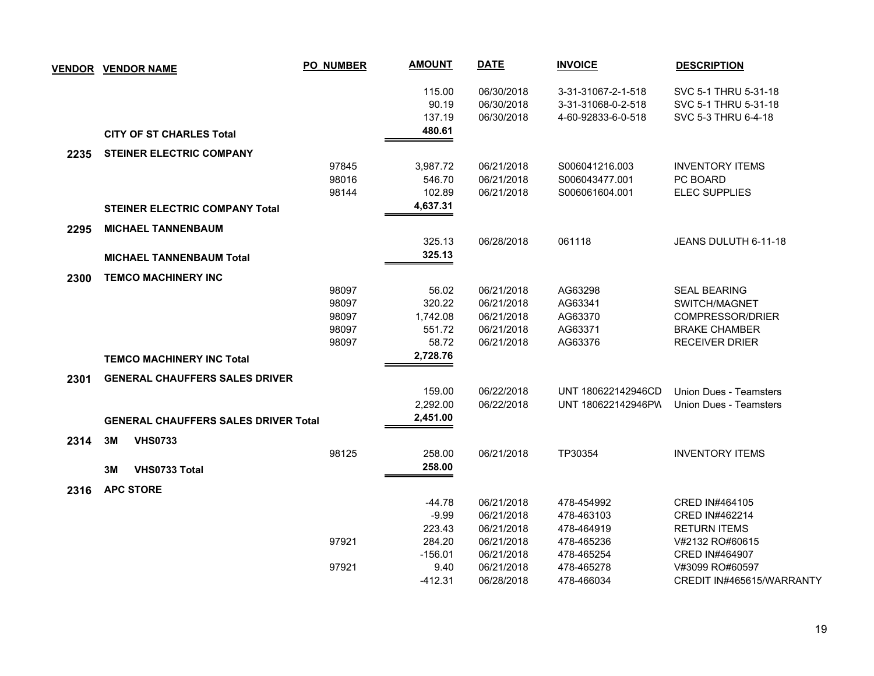|      | <b>VENDOR VENDOR NAME</b>                   | <b>PO_NUMBER</b> | <b>AMOUNT</b> | <b>DATE</b> | <b>INVOICE</b>     | <b>DESCRIPTION</b>            |
|------|---------------------------------------------|------------------|---------------|-------------|--------------------|-------------------------------|
|      |                                             |                  | 115.00        | 06/30/2018  | 3-31-31067-2-1-518 | SVC 5-1 THRU 5-31-18          |
|      |                                             |                  | 90.19         | 06/30/2018  | 3-31-31068-0-2-518 | SVC 5-1 THRU 5-31-18          |
|      |                                             |                  | 137.19        | 06/30/2018  | 4-60-92833-6-0-518 | SVC 5-3 THRU 6-4-18           |
|      | <b>CITY OF ST CHARLES Total</b>             |                  | 480.61        |             |                    |                               |
| 2235 | <b>STEINER ELECTRIC COMPANY</b>             |                  |               |             |                    |                               |
|      |                                             | 97845            | 3,987.72      | 06/21/2018  | S006041216.003     | <b>INVENTORY ITEMS</b>        |
|      |                                             | 98016            | 546.70        | 06/21/2018  | S006043477.001     | PC BOARD                      |
|      |                                             | 98144            | 102.89        | 06/21/2018  | S006061604.001     | <b>ELEC SUPPLIES</b>          |
|      | <b>STEINER ELECTRIC COMPANY Total</b>       |                  | 4,637.31      |             |                    |                               |
| 2295 | <b>MICHAEL TANNENBAUM</b>                   |                  |               |             |                    |                               |
|      |                                             |                  | 325.13        | 06/28/2018  | 061118             | JEANS DULUTH 6-11-18          |
|      | <b>MICHAEL TANNENBAUM Total</b>             |                  | 325.13        |             |                    |                               |
| 2300 | <b>TEMCO MACHINERY INC</b>                  |                  |               |             |                    |                               |
|      |                                             | 98097            | 56.02         | 06/21/2018  | AG63298            | <b>SEAL BEARING</b>           |
|      |                                             | 98097            | 320.22        | 06/21/2018  | AG63341            | SWITCH/MAGNET                 |
|      |                                             | 98097            | 1,742.08      | 06/21/2018  | AG63370            | <b>COMPRESSOR/DRIER</b>       |
|      |                                             | 98097            | 551.72        | 06/21/2018  | AG63371            | <b>BRAKE CHAMBER</b>          |
|      |                                             | 98097            | 58.72         | 06/21/2018  | AG63376            | <b>RECEIVER DRIER</b>         |
|      | <b>TEMCO MACHINERY INC Total</b>            |                  | 2,728.76      |             |                    |                               |
| 2301 | <b>GENERAL CHAUFFERS SALES DRIVER</b>       |                  |               |             |                    |                               |
|      |                                             |                  | 159.00        | 06/22/2018  | UNT 180622142946CD | <b>Union Dues - Teamsters</b> |
|      |                                             |                  | 2,292.00      | 06/22/2018  | UNT 180622142946PW | Union Dues - Teamsters        |
|      | <b>GENERAL CHAUFFERS SALES DRIVER Total</b> |                  | 2,451.00      |             |                    |                               |
| 2314 | 3M<br><b>VHS0733</b>                        |                  |               |             |                    |                               |
|      |                                             | 98125            | 258.00        | 06/21/2018  | TP30354            | <b>INVENTORY ITEMS</b>        |
|      | VHS0733 Total<br>3M                         |                  | 258.00        |             |                    |                               |
| 2316 | <b>APC STORE</b>                            |                  |               |             |                    |                               |
|      |                                             |                  | -44.78        | 06/21/2018  | 478-454992         | CRED IN#464105                |
|      |                                             |                  | $-9.99$       | 06/21/2018  | 478-463103         | CRED IN#462214                |
|      |                                             |                  | 223.43        | 06/21/2018  | 478-464919         | <b>RETURN ITEMS</b>           |
|      |                                             | 97921            | 284.20        | 06/21/2018  | 478-465236         | V#2132 RO#60615               |
|      |                                             |                  | $-156.01$     | 06/21/2018  | 478-465254         | CRED IN#464907                |
|      |                                             | 97921            | 9.40          | 06/21/2018  | 478-465278         | V#3099 RO#60597               |
|      |                                             |                  | $-412.31$     | 06/28/2018  | 478-466034         | CREDIT IN#465615/WARRANTY     |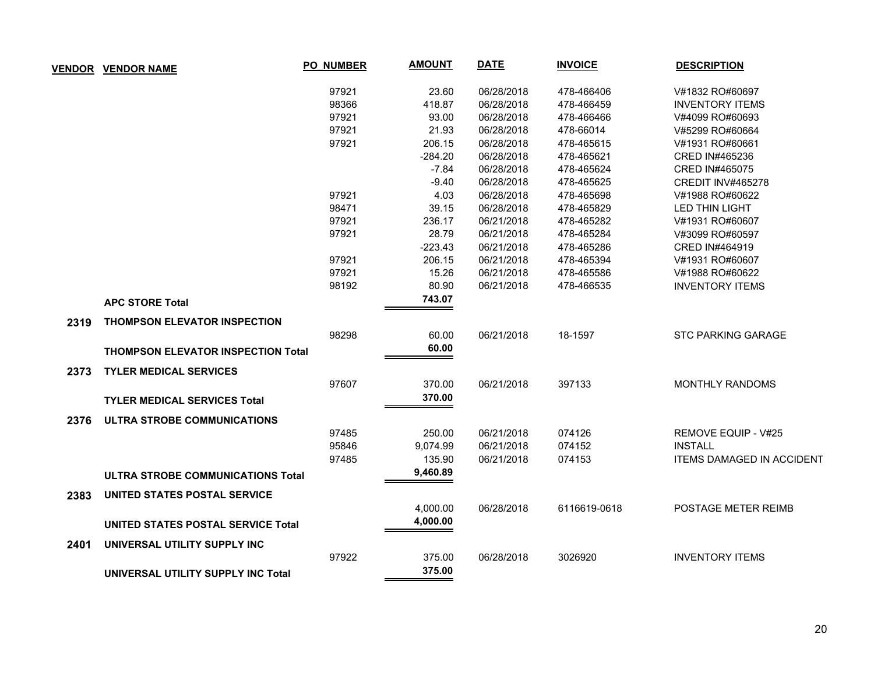| <b>VENDOR</b> | <b>VENDOR NAME</b>                        | <b>PO_NUMBER</b> | <b>AMOUNT</b> | <b>DATE</b> | <b>INVOICE</b> | <b>DESCRIPTION</b>               |
|---------------|-------------------------------------------|------------------|---------------|-------------|----------------|----------------------------------|
|               |                                           | 97921            | 23.60         | 06/28/2018  | 478-466406     | V#1832 RO#60697                  |
|               |                                           | 98366            | 418.87        | 06/28/2018  | 478-466459     | <b>INVENTORY ITEMS</b>           |
|               |                                           | 97921            | 93.00         | 06/28/2018  | 478-466466     | V#4099 RO#60693                  |
|               |                                           | 97921            | 21.93         | 06/28/2018  | 478-66014      | V#5299 RO#60664                  |
|               |                                           | 97921            | 206.15        | 06/28/2018  | 478-465615     | V#1931 RO#60661                  |
|               |                                           |                  | $-284.20$     | 06/28/2018  | 478-465621     | CRED IN#465236                   |
|               |                                           |                  | $-7.84$       | 06/28/2018  | 478-465624     | <b>CRED IN#465075</b>            |
|               |                                           |                  | $-9.40$       | 06/28/2018  | 478-465625     | CREDIT INV#465278                |
|               |                                           | 97921            | 4.03          | 06/28/2018  | 478-465698     | V#1988 RO#60622                  |
|               |                                           | 98471            | 39.15         | 06/28/2018  | 478-465829     | <b>LED THIN LIGHT</b>            |
|               |                                           | 97921            | 236.17        | 06/21/2018  | 478-465282     | V#1931 RO#60607                  |
|               |                                           | 97921            | 28.79         | 06/21/2018  | 478-465284     | V#3099 RO#60597                  |
|               |                                           |                  | $-223.43$     | 06/21/2018  | 478-465286     | CRED IN#464919                   |
|               |                                           | 97921            | 206.15        | 06/21/2018  | 478-465394     | V#1931 RO#60607                  |
|               |                                           | 97921            | 15.26         | 06/21/2018  | 478-465586     | V#1988 RO#60622                  |
|               |                                           | 98192            | 80.90         | 06/21/2018  | 478-466535     | <b>INVENTORY ITEMS</b>           |
|               | <b>APC STORE Total</b>                    |                  | 743.07        |             |                |                                  |
| 2319          | <b>THOMPSON ELEVATOR INSPECTION</b>       |                  |               |             |                |                                  |
|               |                                           | 98298            | 60.00         | 06/21/2018  | 18-1597        | <b>STC PARKING GARAGE</b>        |
|               | <b>THOMPSON ELEVATOR INSPECTION Total</b> |                  | 60.00         |             |                |                                  |
| 2373          | <b>TYLER MEDICAL SERVICES</b>             |                  |               |             |                |                                  |
|               |                                           | 97607            | 370.00        | 06/21/2018  | 397133         | MONTHLY RANDOMS                  |
|               | <b>TYLER MEDICAL SERVICES Total</b>       |                  | 370.00        |             |                |                                  |
| 2376          | ULTRA STROBE COMMUNICATIONS               |                  |               |             |                |                                  |
|               |                                           | 97485            | 250.00        | 06/21/2018  | 074126         | REMOVE EQUIP - V#25              |
|               |                                           | 95846            | 9,074.99      | 06/21/2018  | 074152         | <b>INSTALL</b>                   |
|               |                                           | 97485            | 135.90        | 06/21/2018  | 074153         | <b>ITEMS DAMAGED IN ACCIDENT</b> |
|               | ULTRA STROBE COMMUNICATIONS Total         |                  | 9,460.89      |             |                |                                  |
| 2383          | UNITED STATES POSTAL SERVICE              |                  |               |             |                |                                  |
|               |                                           |                  | 4,000.00      | 06/28/2018  | 6116619-0618   | POSTAGE METER REIMB              |
|               | <b>UNITED STATES POSTAL SERVICE Total</b> |                  | 4,000.00      |             |                |                                  |
| 2401          | UNIVERSAL UTILITY SUPPLY INC              |                  |               |             |                |                                  |
|               |                                           | 97922            | 375.00        | 06/28/2018  | 3026920        | <b>INVENTORY ITEMS</b>           |
|               | UNIVERSAL UTILITY SUPPLY INC Total        |                  | 375.00        |             |                |                                  |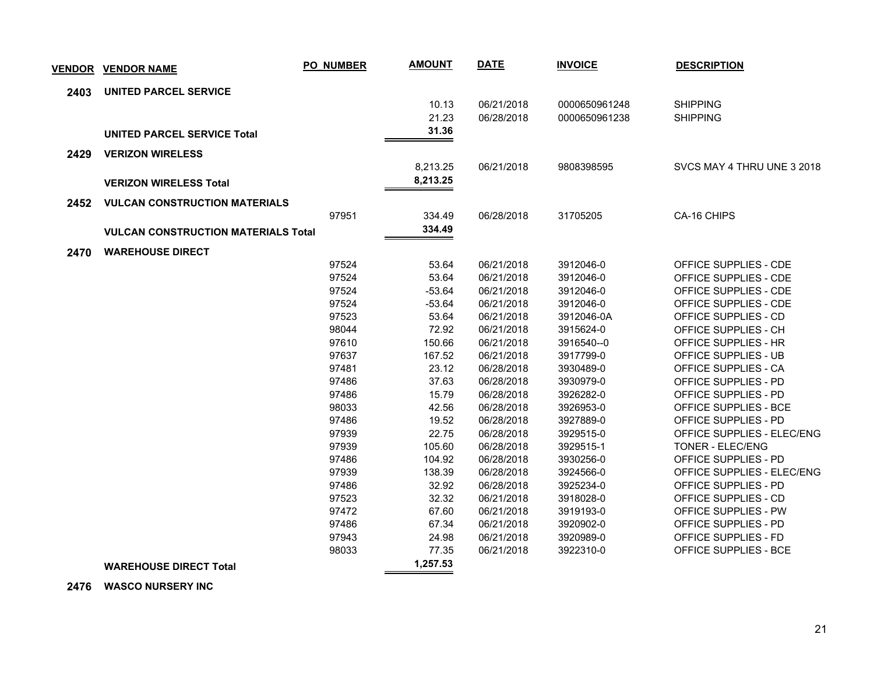|      | <b>VENDOR VENDOR NAME</b>                  | <b>PO_NUMBER</b> | <b>AMOUNT</b> | <b>DATE</b> | <b>INVOICE</b> | <b>DESCRIPTION</b>          |
|------|--------------------------------------------|------------------|---------------|-------------|----------------|-----------------------------|
| 2403 | <b>UNITED PARCEL SERVICE</b>               |                  |               |             |                |                             |
|      |                                            |                  | 10.13         | 06/21/2018  | 0000650961248  | <b>SHIPPING</b>             |
|      |                                            |                  | 21.23         | 06/28/2018  | 0000650961238  | <b>SHIPPING</b>             |
|      | <b>UNITED PARCEL SERVICE Total</b>         |                  | 31.36         |             |                |                             |
| 2429 | <b>VERIZON WIRELESS</b>                    |                  |               |             |                |                             |
|      |                                            |                  | 8,213.25      | 06/21/2018  | 9808398595     | SVCS MAY 4 THRU UNE 3 2018  |
|      | <b>VERIZON WIRELESS Total</b>              |                  | 8,213.25      |             |                |                             |
| 2452 | <b>VULCAN CONSTRUCTION MATERIALS</b>       |                  |               |             |                |                             |
|      |                                            | 97951            | 334.49        | 06/28/2018  | 31705205       | CA-16 CHIPS                 |
|      | <b>VULCAN CONSTRUCTION MATERIALS Total</b> |                  | 334.49        |             |                |                             |
|      | <b>WAREHOUSE DIRECT</b>                    |                  |               |             |                |                             |
| 2470 |                                            | 97524            | 53.64         | 06/21/2018  | 3912046-0      | OFFICE SUPPLIES - CDE       |
|      |                                            | 97524            | 53.64         | 06/21/2018  | 3912046-0      | OFFICE SUPPLIES - CDE       |
|      |                                            | 97524            | $-53.64$      | 06/21/2018  | 3912046-0      | OFFICE SUPPLIES - CDE       |
|      |                                            | 97524            | $-53.64$      | 06/21/2018  | 3912046-0      | OFFICE SUPPLIES - CDE       |
|      |                                            | 97523            | 53.64         | 06/21/2018  | 3912046-0A     | OFFICE SUPPLIES - CD        |
|      |                                            | 98044            | 72.92         | 06/21/2018  | 3915624-0      | OFFICE SUPPLIES - CH        |
|      |                                            | 97610            | 150.66        | 06/21/2018  | 3916540--0     | OFFICE SUPPLIES - HR        |
|      |                                            | 97637            | 167.52        | 06/21/2018  | 3917799-0      | OFFICE SUPPLIES - UB        |
|      |                                            | 97481            | 23.12         | 06/28/2018  | 3930489-0      | OFFICE SUPPLIES - CA        |
|      |                                            | 97486            | 37.63         | 06/28/2018  | 3930979-0      | OFFICE SUPPLIES - PD        |
|      |                                            | 97486            | 15.79         | 06/28/2018  | 3926282-0      | OFFICE SUPPLIES - PD        |
|      |                                            | 98033            | 42.56         | 06/28/2018  | 3926953-0      | OFFICE SUPPLIES - BCE       |
|      |                                            | 97486            | 19.52         | 06/28/2018  | 3927889-0      | OFFICE SUPPLIES - PD        |
|      |                                            | 97939            | 22.75         | 06/28/2018  | 3929515-0      | OFFICE SUPPLIES - ELEC/ENG  |
|      |                                            | 97939            | 105.60        | 06/28/2018  | 3929515-1      | TONER - ELEC/ENG            |
|      |                                            | 97486            | 104.92        | 06/28/2018  | 3930256-0      | <b>OFFICE SUPPLIES - PD</b> |
|      |                                            | 97939            | 138.39        | 06/28/2018  | 3924566-0      | OFFICE SUPPLIES - ELEC/ENG  |
|      |                                            | 97486            | 32.92         | 06/28/2018  | 3925234-0      | OFFICE SUPPLIES - PD        |
|      |                                            | 97523            | 32.32         | 06/21/2018  | 3918028-0      | OFFICE SUPPLIES - CD        |
|      |                                            | 97472            | 67.60         | 06/21/2018  | 3919193-0      | OFFICE SUPPLIES - PW        |
|      |                                            | 97486            | 67.34         | 06/21/2018  | 3920902-0      | OFFICE SUPPLIES - PD        |
|      |                                            | 97943            | 24.98         | 06/21/2018  | 3920989-0      | OFFICE SUPPLIES - FD        |
|      |                                            | 98033            | 77.35         | 06/21/2018  | 3922310-0      | OFFICE SUPPLIES - BCE       |
|      | <b>WAREHOUSE DIRECT Total</b>              |                  | 1,257.53      |             |                |                             |

 **2476 WASCO NURSERY INC**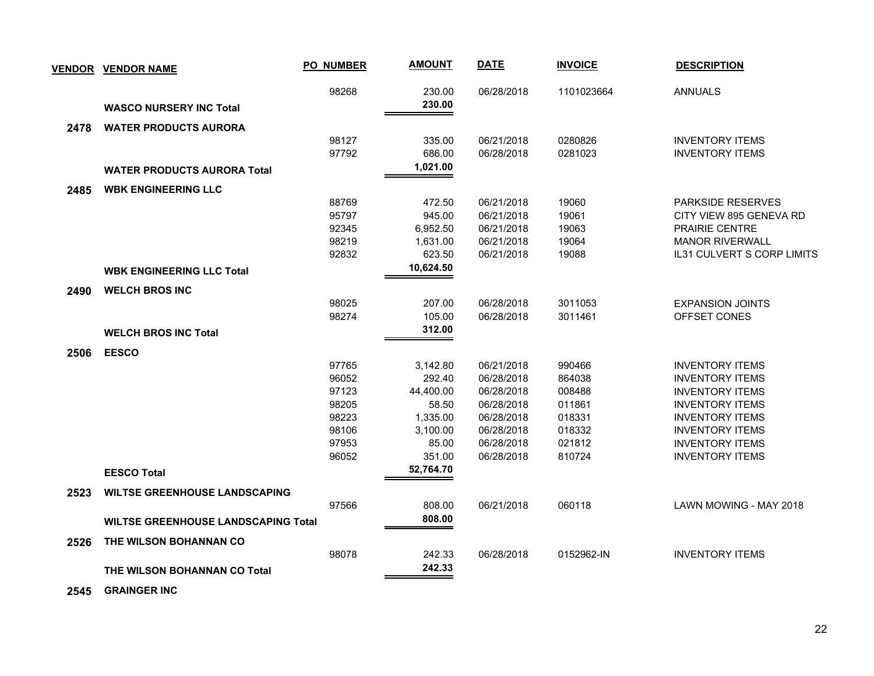|      | <u>VENDOR VENDOR NAME</u>                  | <b>PO_NUMBER</b> | <b>AMOUNT</b> | <b>DATE</b> | <b>INVOICE</b> | <b>DESCRIPTION</b>         |
|------|--------------------------------------------|------------------|---------------|-------------|----------------|----------------------------|
|      |                                            | 98268            | 230.00        | 06/28/2018  | 1101023664     | <b>ANNUALS</b>             |
|      | <b>WASCO NURSERY INC Total</b>             |                  | 230.00        |             |                |                            |
| 2478 | <b>WATER PRODUCTS AURORA</b>               |                  |               |             |                |                            |
|      |                                            | 98127            | 335.00        | 06/21/2018  | 0280826        | <b>INVENTORY ITEMS</b>     |
|      |                                            | 97792            | 686.00        | 06/28/2018  | 0281023        | <b>INVENTORY ITEMS</b>     |
|      | <b>WATER PRODUCTS AURORA Total</b>         |                  | 1,021.00      |             |                |                            |
| 2485 | <b>WBK ENGINEERING LLC</b>                 |                  |               |             |                |                            |
|      |                                            | 88769            | 472.50        | 06/21/2018  | 19060          | <b>PARKSIDE RESERVES</b>   |
|      |                                            | 95797            | 945.00        | 06/21/2018  | 19061          | CITY VIEW 895 GENEVA RD    |
|      |                                            | 92345            | 6,952.50      | 06/21/2018  | 19063          | <b>PRAIRIE CENTRE</b>      |
|      |                                            | 98219            | 1,631.00      | 06/21/2018  | 19064          | <b>MANOR RIVERWALL</b>     |
|      |                                            | 92832            | 623.50        | 06/21/2018  | 19088          | IL31 CULVERT S CORP LIMITS |
|      | <b>WBK ENGINEERING LLC Total</b>           |                  | 10,624.50     |             |                |                            |
| 2490 | <b>WELCH BROS INC</b>                      |                  |               |             |                |                            |
|      |                                            | 98025            | 207.00        | 06/28/2018  | 3011053        | <b>EXPANSION JOINTS</b>    |
|      |                                            | 98274            | 105.00        | 06/28/2018  | 3011461        | OFFSET CONES               |
|      | <b>WELCH BROS INC Total</b>                |                  | 312.00        |             |                |                            |
| 2506 | <b>EESCO</b>                               |                  |               |             |                |                            |
|      |                                            | 97765            | 3,142.80      | 06/21/2018  | 990466         | <b>INVENTORY ITEMS</b>     |
|      |                                            | 96052            | 292.40        | 06/28/2018  | 864038         | <b>INVENTORY ITEMS</b>     |
|      |                                            | 97123            | 44,400.00     | 06/28/2018  | 008488         | <b>INVENTORY ITEMS</b>     |
|      |                                            | 98205            | 58.50         | 06/28/2018  | 011861         | <b>INVENTORY ITEMS</b>     |
|      |                                            | 98223            | 1,335.00      | 06/28/2018  | 018331         | <b>INVENTORY ITEMS</b>     |
|      |                                            | 98106            | 3,100.00      | 06/28/2018  | 018332         | <b>INVENTORY ITEMS</b>     |
|      |                                            | 97953            | 85.00         | 06/28/2018  | 021812         | <b>INVENTORY ITEMS</b>     |
|      |                                            | 96052            | 351.00        | 06/28/2018  | 810724         | <b>INVENTORY ITEMS</b>     |
|      | <b>EESCO Total</b>                         |                  | 52,764.70     |             |                |                            |
| 2523 | <b>WILTSE GREENHOUSE LANDSCAPING</b>       |                  |               |             |                |                            |
|      |                                            | 97566            | 808.00        | 06/21/2018  | 060118         | LAWN MOWING - MAY 2018     |
|      | <b>WILTSE GREENHOUSE LANDSCAPING Total</b> |                  | 808.00        |             |                |                            |
| 2526 | THE WILSON BOHANNAN CO                     |                  |               |             |                |                            |
|      |                                            | 98078            | 242.33        | 06/28/2018  | 0152962-IN     | <b>INVENTORY ITEMS</b>     |
|      | THE WILSON BOHANNAN CO Total               |                  | 242.33        |             |                |                            |
|      |                                            |                  |               |             |                |                            |

 **2545 GRAINGER INC**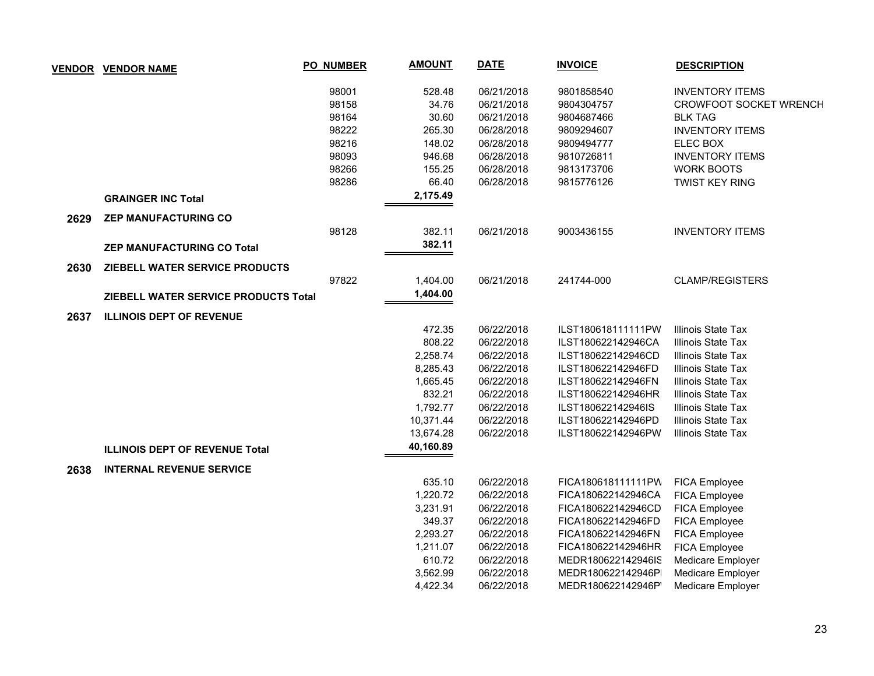|      | <b>VENDOR VENDOR NAME</b>             | <b>PO_NUMBER</b> | <b>AMOUNT</b> | <b>DATE</b> | <b>INVOICE</b>     | <b>DESCRIPTION</b>            |
|------|---------------------------------------|------------------|---------------|-------------|--------------------|-------------------------------|
|      |                                       | 98001            | 528.48        | 06/21/2018  | 9801858540         | <b>INVENTORY ITEMS</b>        |
|      |                                       | 98158            | 34.76         | 06/21/2018  | 9804304757         | <b>CROWFOOT SOCKET WRENCH</b> |
|      |                                       | 98164            | 30.60         | 06/21/2018  | 9804687466         | <b>BLK TAG</b>                |
|      |                                       | 98222            | 265.30        | 06/28/2018  | 9809294607         | <b>INVENTORY ITEMS</b>        |
|      |                                       | 98216            | 148.02        | 06/28/2018  | 9809494777         | ELEC BOX                      |
|      |                                       | 98093            | 946.68        | 06/28/2018  | 9810726811         | <b>INVENTORY ITEMS</b>        |
|      |                                       | 98266            | 155.25        | 06/28/2018  | 9813173706         | <b>WORK BOOTS</b>             |
|      |                                       | 98286            | 66.40         | 06/28/2018  | 9815776126         | <b>TWIST KEY RING</b>         |
|      | <b>GRAINGER INC Total</b>             |                  | 2,175.49      |             |                    |                               |
| 2629 | <b>ZEP MANUFACTURING CO</b>           |                  |               |             |                    |                               |
|      |                                       | 98128            | 382.11        | 06/21/2018  | 9003436155         | <b>INVENTORY ITEMS</b>        |
|      | <b>ZEP MANUFACTURING CO Total</b>     |                  | 382.11        |             |                    |                               |
| 2630 | ZIEBELL WATER SERVICE PRODUCTS        |                  |               |             |                    |                               |
|      |                                       | 97822            | 1,404.00      | 06/21/2018  | 241744-000         | <b>CLAMP/REGISTERS</b>        |
|      | ZIEBELL WATER SERVICE PRODUCTS Total  |                  | 1,404.00      |             |                    |                               |
| 2637 | <b>ILLINOIS DEPT OF REVENUE</b>       |                  |               |             |                    |                               |
|      |                                       |                  | 472.35        | 06/22/2018  | ILST180618111111PW | Illinois State Tax            |
|      |                                       |                  | 808.22        | 06/22/2018  | ILST180622142946CA | Illinois State Tax            |
|      |                                       |                  | 2,258.74      | 06/22/2018  | ILST180622142946CD | Illinois State Tax            |
|      |                                       |                  | 8,285.43      | 06/22/2018  | ILST180622142946FD | Illinois State Tax            |
|      |                                       |                  | 1,665.45      | 06/22/2018  | ILST180622142946FN | Illinois State Tax            |
|      |                                       |                  | 832.21        | 06/22/2018  | ILST180622142946HR | Illinois State Tax            |
|      |                                       |                  | 1,792.77      | 06/22/2018  | ILST180622142946IS | Illinois State Tax            |
|      |                                       |                  | 10,371.44     | 06/22/2018  | ILST180622142946PD | Illinois State Tax            |
|      |                                       |                  | 13,674.28     | 06/22/2018  | ILST180622142946PW | Illinois State Tax            |
|      | <b>ILLINOIS DEPT OF REVENUE Total</b> |                  | 40,160.89     |             |                    |                               |
| 2638 | <b>INTERNAL REVENUE SERVICE</b>       |                  |               |             |                    |                               |
|      |                                       |                  | 635.10        | 06/22/2018  | FICA180618111111PW | FICA Employee                 |
|      |                                       |                  | 1,220.72      | 06/22/2018  | FICA180622142946CA | FICA Employee                 |
|      |                                       |                  | 3,231.91      | 06/22/2018  | FICA180622142946CD | FICA Employee                 |
|      |                                       |                  | 349.37        | 06/22/2018  | FICA180622142946FD | FICA Employee                 |
|      |                                       |                  | 2,293.27      | 06/22/2018  | FICA180622142946FN | FICA Employee                 |
|      |                                       |                  | 1,211.07      | 06/22/2018  | FICA180622142946HR | FICA Employee                 |
|      |                                       |                  | 610.72        | 06/22/2018  | MEDR180622142946IS | Medicare Employer             |
|      |                                       |                  | 3,562.99      | 06/22/2018  | MEDR180622142946P  | Medicare Employer             |
|      |                                       |                  | 4,422.34      | 06/22/2018  | MEDR180622142946P  | <b>Medicare Employer</b>      |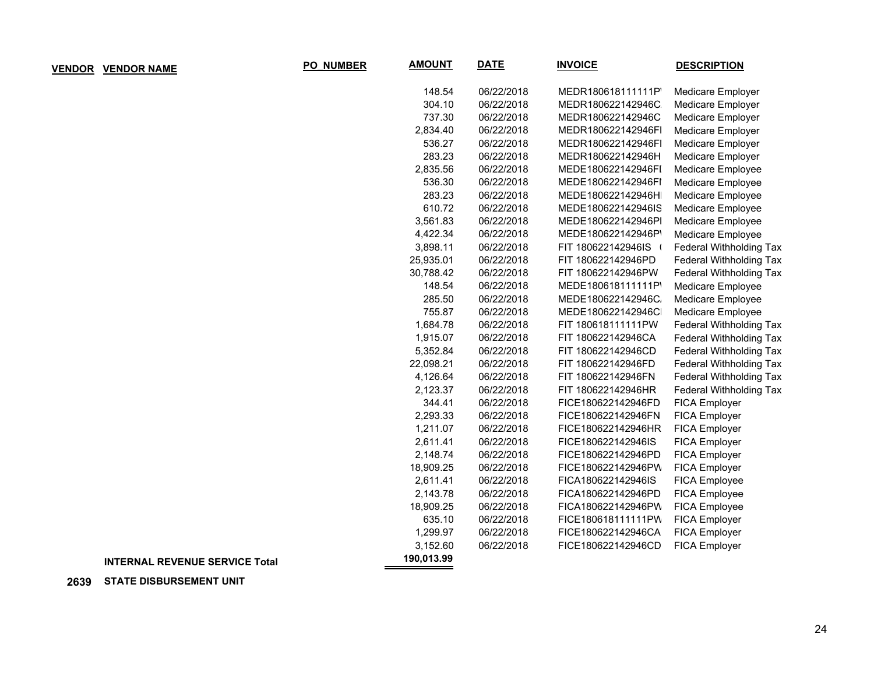| PO_NUMBER | <b>AMOUNT</b> | <u>DATE</u> | <b>INVOICE</b>     | <b>DESCRIPTION</b>             |
|-----------|---------------|-------------|--------------------|--------------------------------|
|           | 148.54        | 06/22/2018  | MEDR180618111111P  | Medicare Employer              |
|           | 304.10        | 06/22/2018  | MEDR180622142946C  | Medicare Employer              |
|           | 737.30        | 06/22/2018  | MEDR180622142946C  | Medicare Employer              |
|           | 2,834.40      | 06/22/2018  | MEDR180622142946FI | Medicare Employer              |
|           | 536.27        | 06/22/2018  | MEDR180622142946FI | Medicare Employer              |
|           | 283.23        | 06/22/2018  | MEDR180622142946H  | Medicare Employer              |
|           | 2,835.56      | 06/22/2018  | MEDE180622142946FI | Medicare Employee              |
|           | 536.30        | 06/22/2018  | MEDE180622142946FI | Medicare Employee              |
|           | 283.23        | 06/22/2018  | MEDE180622142946H  | Medicare Employee              |
|           | 610.72        | 06/22/2018  | MEDE180622142946IS | Medicare Employee              |
|           | 3,561.83      | 06/22/2018  | MEDE180622142946PI | Medicare Employee              |
|           | 4,422.34      | 06/22/2018  | MEDE180622142946P' | Medicare Employee              |
|           | 3,898.11      | 06/22/2018  | FIT 180622142946IS | Federal Withholding Tax        |
|           | 25,935.01     | 06/22/2018  | FIT 180622142946PD | Federal Withholding Tax        |
|           | 30,788.42     | 06/22/2018  | FIT 180622142946PW | Federal Withholding Tax        |
|           | 148.54        | 06/22/2018  | MEDE180618111111P  | Medicare Employee              |
|           | 285.50        | 06/22/2018  | MEDE180622142946C. | Medicare Employee              |
|           | 755.87        | 06/22/2018  | MEDE180622142946C  | Medicare Employee              |
|           | 1,684.78      | 06/22/2018  | FIT 180618111111PW | Federal Withholding Tax        |
|           | 1,915.07      | 06/22/2018  | FIT 180622142946CA | Federal Withholding Tax        |
|           | 5,352.84      | 06/22/2018  | FIT 180622142946CD | <b>Federal Withholding Tax</b> |
|           | 22,098.21     | 06/22/2018  | FIT 180622142946FD | Federal Withholding Tax        |
|           | 4,126.64      | 06/22/2018  | FIT 180622142946FN | Federal Withholding Tax        |
|           | 2,123.37      | 06/22/2018  | FIT 180622142946HR | Federal Withholding Tax        |
|           | 344.41        | 06/22/2018  | FICE180622142946FD | <b>FICA Employer</b>           |
|           | 2,293.33      | 06/22/2018  | FICE180622142946FN | FICA Employer                  |
|           | 1,211.07      | 06/22/2018  | FICE180622142946HR | FICA Employer                  |
|           | 2,611.41      | 06/22/2018  | FICE180622142946IS | FICA Employer                  |
|           | 2,148.74      | 06/22/2018  | FICE180622142946PD | FICA Employer                  |
|           | 18,909.25     | 06/22/2018  | FICE180622142946PW | FICA Employer                  |
|           | 2,611.41      | 06/22/2018  | FICA180622142946IS | FICA Employee                  |
|           | 2,143.78      | 06/22/2018  | FICA180622142946PD | FICA Employee                  |
|           | 18,909.25     | 06/22/2018  | FICA180622142946PW | FICA Employee                  |
|           | 635.10        | 06/22/2018  | FICE180618111111PW | FICA Employer                  |
|           | 1,299.97      | 06/22/2018  | FICE180622142946CA | FICA Employer                  |
|           | 3,152.60      | 06/22/2018  | FICE180622142946CD | <b>FICA Employer</b>           |
|           | 190.013.99    |             |                    |                                |

**VENDOR VENDOR NAME** 

## **190,013.99 INTERNAL REVENUE SERVICE Total**

## **2639 STATE DISBURSEMENT UNIT**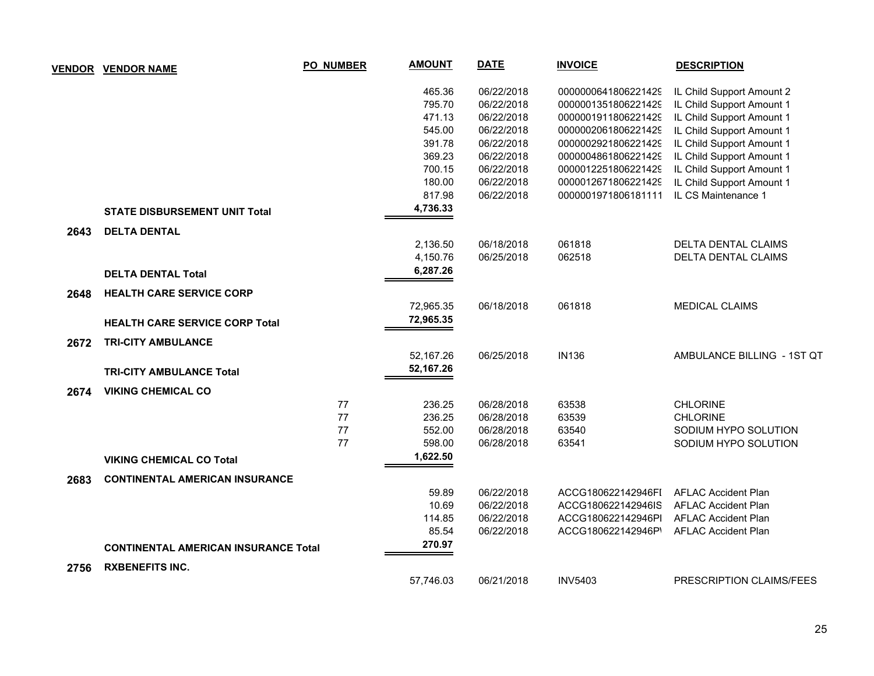| VENDOR | <b>VENDOR NAME</b>                          | <b>PO_NUMBER</b> | <b>AMOUNT</b> | <b>DATE</b> | <b>INVOICE</b>      | <b>DESCRIPTION</b>         |
|--------|---------------------------------------------|------------------|---------------|-------------|---------------------|----------------------------|
|        |                                             |                  | 465.36        | 06/22/2018  | 0000000641806221429 | IL Child Support Amount 2  |
|        |                                             |                  | 795.70        | 06/22/2018  | 0000001351806221429 | IL Child Support Amount 1  |
|        |                                             |                  | 471.13        | 06/22/2018  | 0000001911806221429 | IL Child Support Amount 1  |
|        |                                             |                  | 545.00        | 06/22/2018  | 0000002061806221429 | IL Child Support Amount 1  |
|        |                                             |                  | 391.78        | 06/22/2018  | 0000002921806221429 | IL Child Support Amount 1  |
|        |                                             |                  | 369.23        | 06/22/2018  | 0000004861806221429 | IL Child Support Amount 1  |
|        |                                             |                  | 700.15        | 06/22/2018  | 0000012251806221429 | IL Child Support Amount 1  |
|        |                                             |                  | 180.00        | 06/22/2018  | 0000012671806221429 | IL Child Support Amount 1  |
|        |                                             |                  | 817.98        | 06/22/2018  | 0000001971806181111 | IL CS Maintenance 1        |
|        | <b>STATE DISBURSEMENT UNIT Total</b>        |                  | 4,736.33      |             |                     |                            |
| 2643   | <b>DELTA DENTAL</b>                         |                  |               |             |                     |                            |
|        |                                             |                  | 2,136.50      | 06/18/2018  | 061818              | DELTA DENTAL CLAIMS        |
|        |                                             |                  | 4,150.76      | 06/25/2018  | 062518              | <b>DELTA DENTAL CLAIMS</b> |
|        | <b>DELTA DENTAL Total</b>                   |                  | 6,287.26      |             |                     |                            |
| 2648   | <b>HEALTH CARE SERVICE CORP</b>             |                  |               |             |                     |                            |
|        |                                             |                  | 72,965.35     | 06/18/2018  | 061818              | <b>MEDICAL CLAIMS</b>      |
|        | <b>HEALTH CARE SERVICE CORP Total</b>       |                  | 72,965.35     |             |                     |                            |
| 2672   | <b>TRI-CITY AMBULANCE</b>                   |                  |               |             |                     |                            |
|        |                                             |                  | 52,167.26     | 06/25/2018  | <b>IN136</b>        | AMBULANCE BILLING - 1ST QT |
|        | <b>TRI-CITY AMBULANCE Total</b>             |                  | 52,167.26     |             |                     |                            |
| 2674   | <b>VIKING CHEMICAL CO</b>                   |                  |               |             |                     |                            |
|        |                                             | 77               | 236.25        | 06/28/2018  | 63538               | <b>CHLORINE</b>            |
|        |                                             | 77               | 236.25        | 06/28/2018  | 63539               | <b>CHLORINE</b>            |
|        |                                             | 77               | 552.00        | 06/28/2018  | 63540               | SODIUM HYPO SOLUTION       |
|        |                                             | 77               | 598.00        | 06/28/2018  | 63541               | SODIUM HYPO SOLUTION       |
|        | <b>VIKING CHEMICAL CO Total</b>             |                  | 1,622.50      |             |                     |                            |
| 2683   | <b>CONTINENTAL AMERICAN INSURANCE</b>       |                  |               |             |                     |                            |
|        |                                             |                  | 59.89         | 06/22/2018  | ACCG180622142946FI  | <b>AFLAC Accident Plan</b> |
|        |                                             |                  | 10.69         | 06/22/2018  | ACCG180622142946IS  | <b>AFLAC Accident Plan</b> |
|        |                                             |                  | 114.85        | 06/22/2018  | ACCG180622142946PI  | <b>AFLAC Accident Plan</b> |
|        |                                             |                  | 85.54         | 06/22/2018  | ACCG180622142946P'  | <b>AFLAC Accident Plan</b> |
|        | <b>CONTINENTAL AMERICAN INSURANCE Total</b> |                  | 270.97        |             |                     |                            |
| 2756   | <b>RXBENEFITS INC.</b>                      |                  |               |             |                     |                            |
|        |                                             |                  | 57,746.03     | 06/21/2018  | <b>INV5403</b>      | PRESCRIPTION CLAIMS/FEES   |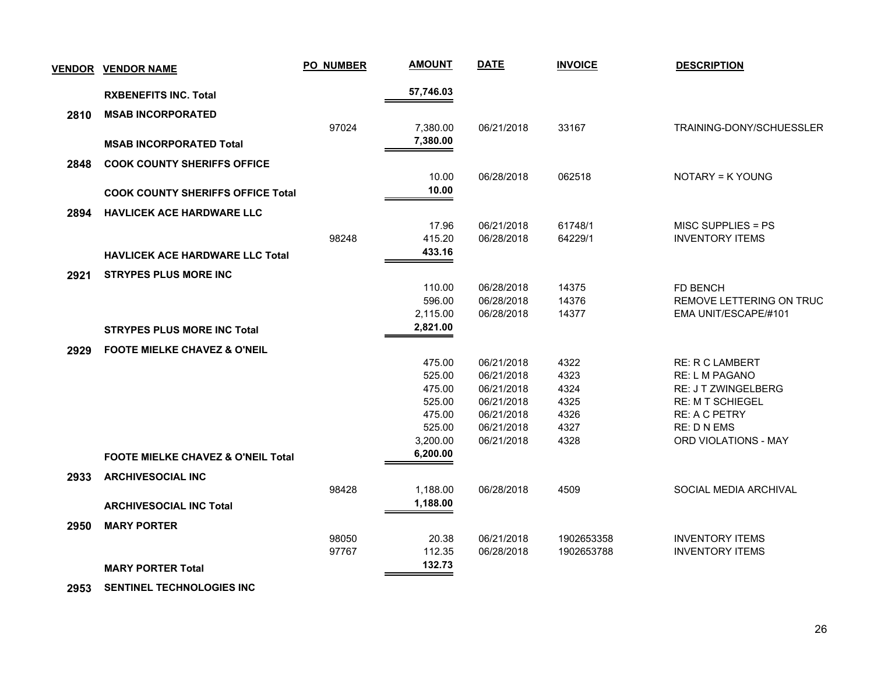| 57,746.03<br><b>RXBENEFITS INC. Total</b><br>2810<br><b>MSAB INCORPORATED</b><br>97024<br>33167<br>TRAINING-DONY/SCHUESSLER<br>7,380.00<br>06/21/2018<br>7,380.00<br><b>MSAB INCORPORATED Total</b><br><b>COOK COUNTY SHERIFFS OFFICE</b><br>2848<br>10.00<br>06/28/2018<br>062518<br>NOTARY = K YOUNG<br>10.00<br><b>COOK COUNTY SHERIFFS OFFICE Total</b><br>2894<br><b>HAVLICEK ACE HARDWARE LLC</b><br>61748/1<br>MISC SUPPLIES = PS<br>17.96<br>06/21/2018<br>98248<br>415.20<br>06/28/2018<br>64229/1<br><b>INVENTORY ITEMS</b><br>433.16<br><b>HAVLICEK ACE HARDWARE LLC Total</b><br>2921<br><b>STRYPES PLUS MORE INC</b><br>110.00<br>06/28/2018<br>14375<br><b>FD BENCH</b><br>596.00<br>06/28/2018<br>14376<br>REMOVE LETTERING ON TRUC<br>14377<br>2,115.00<br>06/28/2018<br>EMA UNIT/ESCAPE/#101<br>2,821.00<br><b>STRYPES PLUS MORE INC Total</b><br><b>FOOTE MIELKE CHAVEZ &amp; O'NEIL</b><br>2929<br>475.00<br>06/21/2018<br>4322<br><b>RE: R C LAMBERT</b><br>525.00<br>4323<br>06/21/2018<br><b>RE: L M PAGANO</b><br>475.00<br>06/21/2018<br>4324<br><b>RE: J T ZWINGELBERG</b><br>525.00<br>06/21/2018<br>4325<br><b>RE: M T SCHIEGEL</b><br>06/21/2018<br>4326<br>475.00<br><b>RE: A C PETRY</b><br>525.00<br>06/21/2018<br>4327<br><b>RE: D N EMS</b><br>06/21/2018<br>4328<br><b>ORD VIOLATIONS - MAY</b><br>3,200.00<br>6,200.00<br><b>FOOTE MIELKE CHAVEZ &amp; O'NEIL Total</b><br><b>ARCHIVESOCIAL INC</b><br>2933<br>4509<br>SOCIAL MEDIA ARCHIVAL<br>98428<br>1,188.00<br>06/28/2018<br>1,188.00<br><b>ARCHIVESOCIAL INC Total</b><br>2950<br><b>MARY PORTER</b><br>98050<br>20.38<br>06/21/2018<br>1902653358<br><b>INVENTORY ITEMS</b><br>97767<br>112.35<br>06/28/2018<br>1902653788<br><b>INVENTORY ITEMS</b><br>132.73<br><b>MARY PORTER Total</b> | <b>VENDOR</b> | <b>VENDOR NAME</b> | <b>PO_NUMBER</b> | <b>AMOUNT</b> | <b>DATE</b> | <b>INVOICE</b> | <b>DESCRIPTION</b> |
|---------------------------------------------------------------------------------------------------------------------------------------------------------------------------------------------------------------------------------------------------------------------------------------------------------------------------------------------------------------------------------------------------------------------------------------------------------------------------------------------------------------------------------------------------------------------------------------------------------------------------------------------------------------------------------------------------------------------------------------------------------------------------------------------------------------------------------------------------------------------------------------------------------------------------------------------------------------------------------------------------------------------------------------------------------------------------------------------------------------------------------------------------------------------------------------------------------------------------------------------------------------------------------------------------------------------------------------------------------------------------------------------------------------------------------------------------------------------------------------------------------------------------------------------------------------------------------------------------------------------------------------------------------------------------------------------------------------------------------------------------------------------------------------|---------------|--------------------|------------------|---------------|-------------|----------------|--------------------|
|                                                                                                                                                                                                                                                                                                                                                                                                                                                                                                                                                                                                                                                                                                                                                                                                                                                                                                                                                                                                                                                                                                                                                                                                                                                                                                                                                                                                                                                                                                                                                                                                                                                                                                                                                                                       |               |                    |                  |               |             |                |                    |
|                                                                                                                                                                                                                                                                                                                                                                                                                                                                                                                                                                                                                                                                                                                                                                                                                                                                                                                                                                                                                                                                                                                                                                                                                                                                                                                                                                                                                                                                                                                                                                                                                                                                                                                                                                                       |               |                    |                  |               |             |                |                    |
|                                                                                                                                                                                                                                                                                                                                                                                                                                                                                                                                                                                                                                                                                                                                                                                                                                                                                                                                                                                                                                                                                                                                                                                                                                                                                                                                                                                                                                                                                                                                                                                                                                                                                                                                                                                       |               |                    |                  |               |             |                |                    |
|                                                                                                                                                                                                                                                                                                                                                                                                                                                                                                                                                                                                                                                                                                                                                                                                                                                                                                                                                                                                                                                                                                                                                                                                                                                                                                                                                                                                                                                                                                                                                                                                                                                                                                                                                                                       |               |                    |                  |               |             |                |                    |
|                                                                                                                                                                                                                                                                                                                                                                                                                                                                                                                                                                                                                                                                                                                                                                                                                                                                                                                                                                                                                                                                                                                                                                                                                                                                                                                                                                                                                                                                                                                                                                                                                                                                                                                                                                                       |               |                    |                  |               |             |                |                    |
|                                                                                                                                                                                                                                                                                                                                                                                                                                                                                                                                                                                                                                                                                                                                                                                                                                                                                                                                                                                                                                                                                                                                                                                                                                                                                                                                                                                                                                                                                                                                                                                                                                                                                                                                                                                       |               |                    |                  |               |             |                |                    |
|                                                                                                                                                                                                                                                                                                                                                                                                                                                                                                                                                                                                                                                                                                                                                                                                                                                                                                                                                                                                                                                                                                                                                                                                                                                                                                                                                                                                                                                                                                                                                                                                                                                                                                                                                                                       |               |                    |                  |               |             |                |                    |
|                                                                                                                                                                                                                                                                                                                                                                                                                                                                                                                                                                                                                                                                                                                                                                                                                                                                                                                                                                                                                                                                                                                                                                                                                                                                                                                                                                                                                                                                                                                                                                                                                                                                                                                                                                                       |               |                    |                  |               |             |                |                    |
|                                                                                                                                                                                                                                                                                                                                                                                                                                                                                                                                                                                                                                                                                                                                                                                                                                                                                                                                                                                                                                                                                                                                                                                                                                                                                                                                                                                                                                                                                                                                                                                                                                                                                                                                                                                       |               |                    |                  |               |             |                |                    |
|                                                                                                                                                                                                                                                                                                                                                                                                                                                                                                                                                                                                                                                                                                                                                                                                                                                                                                                                                                                                                                                                                                                                                                                                                                                                                                                                                                                                                                                                                                                                                                                                                                                                                                                                                                                       |               |                    |                  |               |             |                |                    |
|                                                                                                                                                                                                                                                                                                                                                                                                                                                                                                                                                                                                                                                                                                                                                                                                                                                                                                                                                                                                                                                                                                                                                                                                                                                                                                                                                                                                                                                                                                                                                                                                                                                                                                                                                                                       |               |                    |                  |               |             |                |                    |
|                                                                                                                                                                                                                                                                                                                                                                                                                                                                                                                                                                                                                                                                                                                                                                                                                                                                                                                                                                                                                                                                                                                                                                                                                                                                                                                                                                                                                                                                                                                                                                                                                                                                                                                                                                                       |               |                    |                  |               |             |                |                    |
|                                                                                                                                                                                                                                                                                                                                                                                                                                                                                                                                                                                                                                                                                                                                                                                                                                                                                                                                                                                                                                                                                                                                                                                                                                                                                                                                                                                                                                                                                                                                                                                                                                                                                                                                                                                       |               |                    |                  |               |             |                |                    |
|                                                                                                                                                                                                                                                                                                                                                                                                                                                                                                                                                                                                                                                                                                                                                                                                                                                                                                                                                                                                                                                                                                                                                                                                                                                                                                                                                                                                                                                                                                                                                                                                                                                                                                                                                                                       |               |                    |                  |               |             |                |                    |
|                                                                                                                                                                                                                                                                                                                                                                                                                                                                                                                                                                                                                                                                                                                                                                                                                                                                                                                                                                                                                                                                                                                                                                                                                                                                                                                                                                                                                                                                                                                                                                                                                                                                                                                                                                                       |               |                    |                  |               |             |                |                    |
|                                                                                                                                                                                                                                                                                                                                                                                                                                                                                                                                                                                                                                                                                                                                                                                                                                                                                                                                                                                                                                                                                                                                                                                                                                                                                                                                                                                                                                                                                                                                                                                                                                                                                                                                                                                       |               |                    |                  |               |             |                |                    |
|                                                                                                                                                                                                                                                                                                                                                                                                                                                                                                                                                                                                                                                                                                                                                                                                                                                                                                                                                                                                                                                                                                                                                                                                                                                                                                                                                                                                                                                                                                                                                                                                                                                                                                                                                                                       |               |                    |                  |               |             |                |                    |
|                                                                                                                                                                                                                                                                                                                                                                                                                                                                                                                                                                                                                                                                                                                                                                                                                                                                                                                                                                                                                                                                                                                                                                                                                                                                                                                                                                                                                                                                                                                                                                                                                                                                                                                                                                                       |               |                    |                  |               |             |                |                    |
|                                                                                                                                                                                                                                                                                                                                                                                                                                                                                                                                                                                                                                                                                                                                                                                                                                                                                                                                                                                                                                                                                                                                                                                                                                                                                                                                                                                                                                                                                                                                                                                                                                                                                                                                                                                       |               |                    |                  |               |             |                |                    |
|                                                                                                                                                                                                                                                                                                                                                                                                                                                                                                                                                                                                                                                                                                                                                                                                                                                                                                                                                                                                                                                                                                                                                                                                                                                                                                                                                                                                                                                                                                                                                                                                                                                                                                                                                                                       |               |                    |                  |               |             |                |                    |
|                                                                                                                                                                                                                                                                                                                                                                                                                                                                                                                                                                                                                                                                                                                                                                                                                                                                                                                                                                                                                                                                                                                                                                                                                                                                                                                                                                                                                                                                                                                                                                                                                                                                                                                                                                                       |               |                    |                  |               |             |                |                    |
|                                                                                                                                                                                                                                                                                                                                                                                                                                                                                                                                                                                                                                                                                                                                                                                                                                                                                                                                                                                                                                                                                                                                                                                                                                                                                                                                                                                                                                                                                                                                                                                                                                                                                                                                                                                       |               |                    |                  |               |             |                |                    |
|                                                                                                                                                                                                                                                                                                                                                                                                                                                                                                                                                                                                                                                                                                                                                                                                                                                                                                                                                                                                                                                                                                                                                                                                                                                                                                                                                                                                                                                                                                                                                                                                                                                                                                                                                                                       |               |                    |                  |               |             |                |                    |
|                                                                                                                                                                                                                                                                                                                                                                                                                                                                                                                                                                                                                                                                                                                                                                                                                                                                                                                                                                                                                                                                                                                                                                                                                                                                                                                                                                                                                                                                                                                                                                                                                                                                                                                                                                                       |               |                    |                  |               |             |                |                    |
|                                                                                                                                                                                                                                                                                                                                                                                                                                                                                                                                                                                                                                                                                                                                                                                                                                                                                                                                                                                                                                                                                                                                                                                                                                                                                                                                                                                                                                                                                                                                                                                                                                                                                                                                                                                       |               |                    |                  |               |             |                |                    |
|                                                                                                                                                                                                                                                                                                                                                                                                                                                                                                                                                                                                                                                                                                                                                                                                                                                                                                                                                                                                                                                                                                                                                                                                                                                                                                                                                                                                                                                                                                                                                                                                                                                                                                                                                                                       |               |                    |                  |               |             |                |                    |
|                                                                                                                                                                                                                                                                                                                                                                                                                                                                                                                                                                                                                                                                                                                                                                                                                                                                                                                                                                                                                                                                                                                                                                                                                                                                                                                                                                                                                                                                                                                                                                                                                                                                                                                                                                                       |               |                    |                  |               |             |                |                    |
|                                                                                                                                                                                                                                                                                                                                                                                                                                                                                                                                                                                                                                                                                                                                                                                                                                                                                                                                                                                                                                                                                                                                                                                                                                                                                                                                                                                                                                                                                                                                                                                                                                                                                                                                                                                       |               |                    |                  |               |             |                |                    |
|                                                                                                                                                                                                                                                                                                                                                                                                                                                                                                                                                                                                                                                                                                                                                                                                                                                                                                                                                                                                                                                                                                                                                                                                                                                                                                                                                                                                                                                                                                                                                                                                                                                                                                                                                                                       |               |                    |                  |               |             |                |                    |
|                                                                                                                                                                                                                                                                                                                                                                                                                                                                                                                                                                                                                                                                                                                                                                                                                                                                                                                                                                                                                                                                                                                                                                                                                                                                                                                                                                                                                                                                                                                                                                                                                                                                                                                                                                                       |               |                    |                  |               |             |                |                    |
|                                                                                                                                                                                                                                                                                                                                                                                                                                                                                                                                                                                                                                                                                                                                                                                                                                                                                                                                                                                                                                                                                                                                                                                                                                                                                                                                                                                                                                                                                                                                                                                                                                                                                                                                                                                       |               |                    |                  |               |             |                |                    |
|                                                                                                                                                                                                                                                                                                                                                                                                                                                                                                                                                                                                                                                                                                                                                                                                                                                                                                                                                                                                                                                                                                                                                                                                                                                                                                                                                                                                                                                                                                                                                                                                                                                                                                                                                                                       |               |                    |                  |               |             |                |                    |

 **2953 SENTINEL TECHNOLOGIES INC**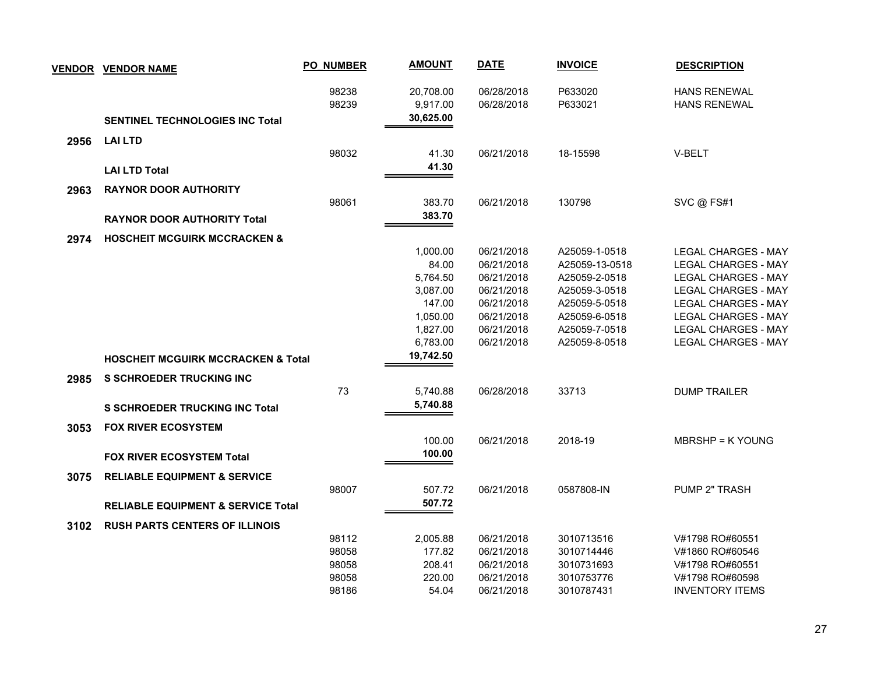|      | <b>VENDOR VENDOR NAME</b>                     | <b>PO_NUMBER</b> | <b>AMOUNT</b> | <b>DATE</b> | <b>INVOICE</b> | <b>DESCRIPTION</b>         |
|------|-----------------------------------------------|------------------|---------------|-------------|----------------|----------------------------|
|      |                                               | 98238            | 20,708.00     | 06/28/2018  | P633020        | <b>HANS RENEWAL</b>        |
|      |                                               | 98239            | 9,917.00      | 06/28/2018  | P633021        | <b>HANS RENEWAL</b>        |
|      | <b>SENTINEL TECHNOLOGIES INC Total</b>        |                  | 30,625.00     |             |                |                            |
| 2956 | <b>LAI LTD</b>                                |                  |               |             |                |                            |
|      |                                               | 98032            | 41.30         | 06/21/2018  | 18-15598       | V-BELT                     |
|      | <b>LAI LTD Total</b>                          |                  | 41.30         |             |                |                            |
| 2963 | <b>RAYNOR DOOR AUTHORITY</b>                  |                  |               |             |                |                            |
|      |                                               | 98061            | 383.70        | 06/21/2018  | 130798         | SVC @ FS#1                 |
|      | <b>RAYNOR DOOR AUTHORITY Total</b>            |                  | 383.70        |             |                |                            |
| 2974 | <b>HOSCHEIT MCGUIRK MCCRACKEN &amp;</b>       |                  |               |             |                |                            |
|      |                                               |                  | 1,000.00      | 06/21/2018  | A25059-1-0518  | <b>LEGAL CHARGES - MAY</b> |
|      |                                               |                  | 84.00         | 06/21/2018  | A25059-13-0518 | <b>LEGAL CHARGES - MAY</b> |
|      |                                               |                  | 5,764.50      | 06/21/2018  | A25059-2-0518  | <b>LEGAL CHARGES - MAY</b> |
|      |                                               |                  | 3,087.00      | 06/21/2018  | A25059-3-0518  | <b>LEGAL CHARGES - MAY</b> |
|      |                                               |                  | 147.00        | 06/21/2018  | A25059-5-0518  | <b>LEGAL CHARGES - MAY</b> |
|      |                                               |                  | 1,050.00      | 06/21/2018  | A25059-6-0518  | <b>LEGAL CHARGES - MAY</b> |
|      |                                               |                  | 1,827.00      | 06/21/2018  | A25059-7-0518  | <b>LEGAL CHARGES - MAY</b> |
|      |                                               |                  | 6,783.00      | 06/21/2018  | A25059-8-0518  | <b>LEGAL CHARGES - MAY</b> |
|      | <b>HOSCHEIT MCGUIRK MCCRACKEN &amp; Total</b> |                  | 19,742.50     |             |                |                            |
| 2985 | <b>S SCHROEDER TRUCKING INC</b>               |                  |               |             |                |                            |
|      |                                               | 73               | 5,740.88      | 06/28/2018  | 33713          | <b>DUMP TRAILER</b>        |
|      | <b>S SCHROEDER TRUCKING INC Total</b>         |                  | 5,740.88      |             |                |                            |
| 3053 | <b>FOX RIVER ECOSYSTEM</b>                    |                  |               |             |                |                            |
|      |                                               |                  | 100.00        | 06/21/2018  | 2018-19        | <b>MBRSHP = K YOUNG</b>    |
|      | <b>FOX RIVER ECOSYSTEM Total</b>              |                  | 100.00        |             |                |                            |
| 3075 | <b>RELIABLE EQUIPMENT &amp; SERVICE</b>       |                  |               |             |                |                            |
|      |                                               | 98007            | 507.72        | 06/21/2018  | 0587808-IN     | PUMP 2" TRASH              |
|      | <b>RELIABLE EQUIPMENT &amp; SERVICE Total</b> |                  | 507.72        |             |                |                            |
| 3102 | <b>RUSH PARTS CENTERS OF ILLINOIS</b>         |                  |               |             |                |                            |
|      |                                               | 98112            | 2,005.88      | 06/21/2018  | 3010713516     | V#1798 RO#60551            |
|      |                                               | 98058            | 177.82        | 06/21/2018  | 3010714446     | V#1860 RO#60546            |
|      |                                               | 98058            | 208.41        | 06/21/2018  | 3010731693     | V#1798 RO#60551            |
|      |                                               | 98058            | 220.00        | 06/21/2018  | 3010753776     | V#1798 RO#60598            |
|      |                                               | 98186            | 54.04         | 06/21/2018  | 3010787431     | <b>INVENTORY ITEMS</b>     |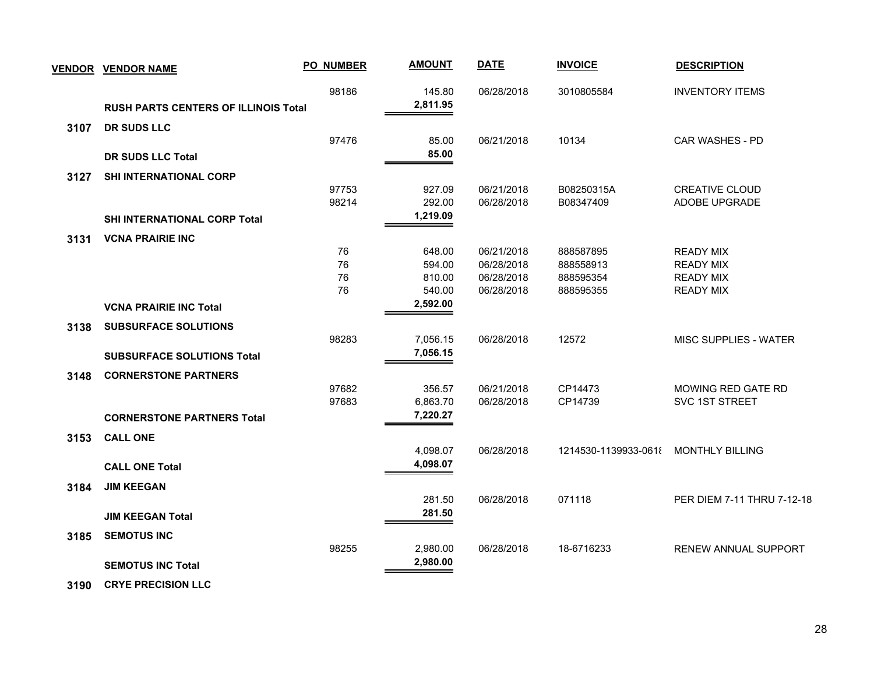| <b>VENDOR</b> | <b>VENDOR NAME</b>                          | <b>PO_NUMBER</b> | <b>AMOUNT</b>    | <b>DATE</b>              | <b>INVOICE</b>         | <b>DESCRIPTION</b>                   |
|---------------|---------------------------------------------|------------------|------------------|--------------------------|------------------------|--------------------------------------|
|               |                                             | 98186            | 145.80           | 06/28/2018               | 3010805584             | <b>INVENTORY ITEMS</b>               |
|               | <b>RUSH PARTS CENTERS OF ILLINOIS Total</b> |                  | 2,811.95         |                          |                        |                                      |
| 3107          | DR SUDS LLC                                 |                  |                  |                          |                        |                                      |
|               |                                             | 97476            | 85.00            | 06/21/2018               | 10134                  | CAR WASHES - PD                      |
|               | <b>DR SUDS LLC Total</b>                    |                  | 85.00            |                          |                        |                                      |
| 3127          | <b>SHI INTERNATIONAL CORP</b>               |                  |                  |                          |                        |                                      |
|               |                                             | 97753            | 927.09           | 06/21/2018               | B08250315A             | <b>CREATIVE CLOUD</b>                |
|               |                                             | 98214            | 292.00           | 06/28/2018               | B08347409              | ADOBE UPGRADE                        |
|               | <b>SHI INTERNATIONAL CORP Total</b>         |                  | 1,219.09         |                          |                        |                                      |
| 3131          | <b>VCNA PRAIRIE INC</b>                     |                  |                  |                          |                        |                                      |
|               |                                             | 76               | 648.00           | 06/21/2018               | 888587895              | <b>READY MIX</b>                     |
|               |                                             | 76<br>76         | 594.00<br>810.00 | 06/28/2018<br>06/28/2018 | 888558913<br>888595354 | <b>READY MIX</b><br><b>READY MIX</b> |
|               |                                             | 76               | 540.00           | 06/28/2018               | 888595355              | <b>READY MIX</b>                     |
|               | <b>VCNA PRAIRIE INC Total</b>               |                  | 2,592.00         |                          |                        |                                      |
| 3138          | <b>SUBSURFACE SOLUTIONS</b>                 |                  |                  |                          |                        |                                      |
|               |                                             | 98283            | 7,056.15         | 06/28/2018               | 12572                  | <b>MISC SUPPLIES - WATER</b>         |
|               | <b>SUBSURFACE SOLUTIONS Total</b>           |                  | 7,056.15         |                          |                        |                                      |
| 3148          | <b>CORNERSTONE PARTNERS</b>                 |                  |                  |                          |                        |                                      |
|               |                                             | 97682            | 356.57           | 06/21/2018               | CP14473                | MOWING RED GATE RD                   |
|               |                                             | 97683            | 6,863.70         | 06/28/2018               | CP14739                | SVC 1ST STREET                       |
|               | <b>CORNERSTONE PARTNERS Total</b>           |                  | 7,220.27         |                          |                        |                                      |
| 3153          | <b>CALL ONE</b>                             |                  |                  |                          |                        |                                      |
|               |                                             |                  | 4,098.07         | 06/28/2018               | 1214530-1139933-0618   | <b>MONTHLY BILLING</b>               |
|               | <b>CALL ONE Total</b>                       |                  | 4,098.07         |                          |                        |                                      |
| 3184          | <b>JIM KEEGAN</b>                           |                  |                  |                          |                        |                                      |
|               |                                             |                  | 281.50           | 06/28/2018               | 071118                 | PER DIEM 7-11 THRU 7-12-18           |
|               | <b>JIM KEEGAN Total</b>                     |                  | 281.50           |                          |                        |                                      |
| 3185          | <b>SEMOTUS INC</b>                          |                  |                  |                          |                        |                                      |
|               |                                             | 98255            | 2,980.00         | 06/28/2018               | 18-6716233             | RENEW ANNUAL SUPPORT                 |
|               | <b>SEMOTUS INC Total</b>                    |                  | 2,980.00         |                          |                        |                                      |
|               |                                             |                  |                  |                          |                        |                                      |

 **3190 CRYE PRECISION LLC**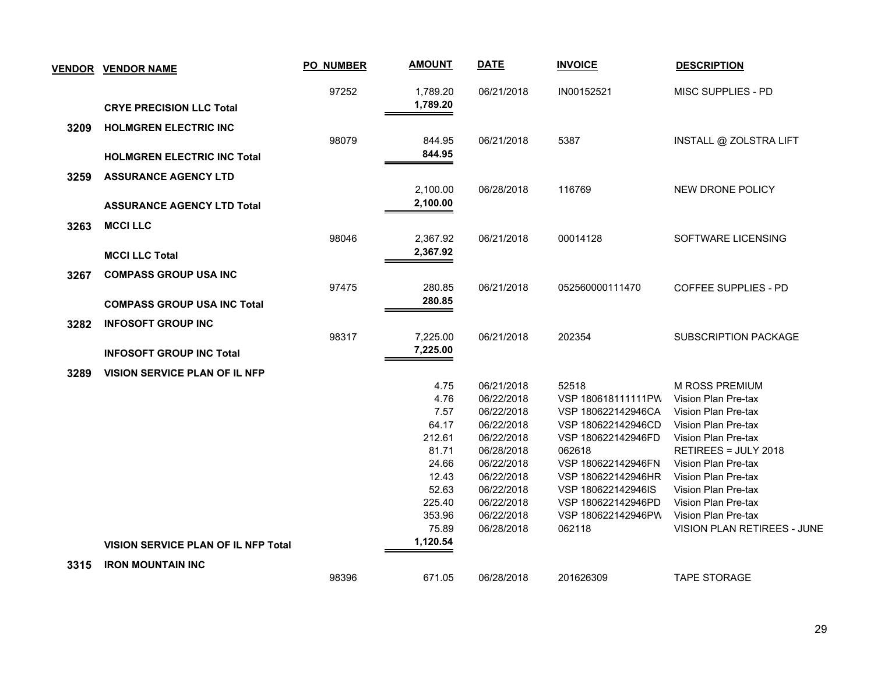|      | <b>VENDOR VENDOR NAME</b>                  | <b>PO_NUMBER</b> | <b>AMOUNT</b> | <b>DATE</b>              | <b>INVOICE</b>              | <b>DESCRIPTION</b>                    |
|------|--------------------------------------------|------------------|---------------|--------------------------|-----------------------------|---------------------------------------|
|      |                                            | 97252            | 1,789.20      | 06/21/2018               | IN00152521                  | MISC SUPPLIES - PD                    |
|      | <b>CRYE PRECISION LLC Total</b>            |                  | 1,789.20      |                          |                             |                                       |
| 3209 | <b>HOLMGREN ELECTRIC INC</b>               |                  |               |                          |                             |                                       |
|      |                                            | 98079            | 844.95        | 06/21/2018               | 5387                        | INSTALL @ ZOLSTRA LIFT                |
|      | <b>HOLMGREN ELECTRIC INC Total</b>         |                  | 844.95        |                          |                             |                                       |
| 3259 | <b>ASSURANCE AGENCY LTD</b>                |                  |               |                          |                             |                                       |
|      |                                            |                  | 2,100.00      | 06/28/2018               | 116769                      | NEW DRONE POLICY                      |
|      | <b>ASSURANCE AGENCY LTD Total</b>          |                  | 2,100.00      |                          |                             |                                       |
| 3263 | <b>MCCI LLC</b>                            |                  |               |                          |                             |                                       |
|      |                                            | 98046            | 2,367.92      | 06/21/2018               | 00014128                    | SOFTWARE LICENSING                    |
|      | <b>MCCI LLC Total</b>                      |                  | 2,367.92      |                          |                             |                                       |
|      | <b>COMPASS GROUP USA INC</b>               |                  |               |                          |                             |                                       |
| 3267 |                                            | 97475            | 280.85        | 06/21/2018               | 052560000111470             | <b>COFFEE SUPPLIES - PD</b>           |
|      | <b>COMPASS GROUP USA INC Total</b>         |                  | 280.85        |                          |                             |                                       |
|      |                                            |                  |               |                          |                             |                                       |
| 3282 | <b>INFOSOFT GROUP INC</b>                  | 98317            | 7,225.00      | 06/21/2018               | 202354                      | <b>SUBSCRIPTION PACKAGE</b>           |
|      |                                            |                  | 7,225.00      |                          |                             |                                       |
|      | <b>INFOSOFT GROUP INC Total</b>            |                  |               |                          |                             |                                       |
| 3289 | <b>VISION SERVICE PLAN OF IL NFP</b>       |                  |               |                          |                             |                                       |
|      |                                            |                  | 4.75<br>4.76  | 06/21/2018<br>06/22/2018 | 52518<br>VSP 180618111111PW | M ROSS PREMIUM<br>Vision Plan Pre-tax |
|      |                                            |                  | 7.57          | 06/22/2018               | VSP 180622142946CA          | Vision Plan Pre-tax                   |
|      |                                            |                  | 64.17         | 06/22/2018               | VSP 180622142946CD          | Vision Plan Pre-tax                   |
|      |                                            |                  | 212.61        | 06/22/2018               | VSP 180622142946FD          | Vision Plan Pre-tax                   |
|      |                                            |                  | 81.71         | 06/28/2018               | 062618                      | RETIREES = JULY 2018                  |
|      |                                            |                  | 24.66         | 06/22/2018               | VSP 180622142946FN          | Vision Plan Pre-tax                   |
|      |                                            |                  | 12.43         | 06/22/2018               | VSP 180622142946HR          | Vision Plan Pre-tax                   |
|      |                                            |                  | 52.63         | 06/22/2018               | VSP 180622142946IS          | Vision Plan Pre-tax                   |
|      |                                            |                  | 225.40        | 06/22/2018               | VSP 180622142946PD          | Vision Plan Pre-tax                   |
|      |                                            |                  | 353.96        | 06/22/2018               | VSP 180622142946PW          | Vision Plan Pre-tax                   |
|      |                                            |                  | 75.89         | 06/28/2018               | 062118                      | VISION PLAN RETIREES - JUNE           |
|      | <b>VISION SERVICE PLAN OF IL NFP Total</b> |                  | 1,120.54      |                          |                             |                                       |
| 3315 | <b>IRON MOUNTAIN INC</b>                   |                  |               |                          |                             |                                       |
|      |                                            | 98396            | 671.05        | 06/28/2018               | 201626309                   | <b>TAPE STORAGE</b>                   |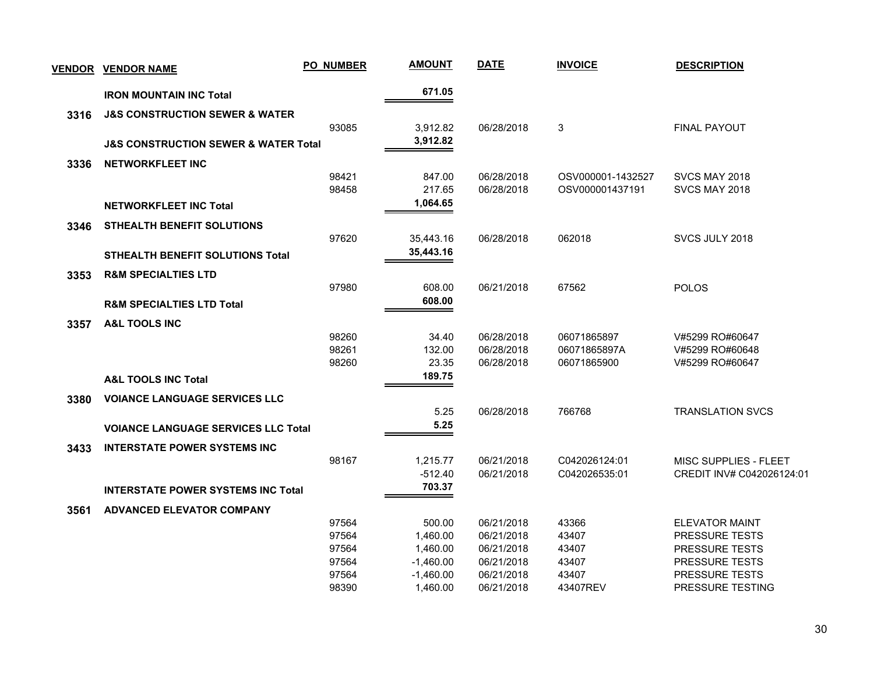| <b>VENDOR</b> | <b>VENDOR NAME</b>                                  | <b>PO_NUMBER</b> | <b>AMOUNT</b> | <b>DATE</b> | <b>INVOICE</b>    | <b>DESCRIPTION</b>        |
|---------------|-----------------------------------------------------|------------------|---------------|-------------|-------------------|---------------------------|
|               | <b>IRON MOUNTAIN INC Total</b>                      |                  | 671.05        |             |                   |                           |
| 3316          | <b>J&amp;S CONSTRUCTION SEWER &amp; WATER</b>       |                  |               |             |                   |                           |
|               |                                                     | 93085            | 3,912.82      | 06/28/2018  | 3                 | FINAL PAYOUT              |
|               | <b>J&amp;S CONSTRUCTION SEWER &amp; WATER Total</b> |                  | 3,912.82      |             |                   |                           |
| 3336          | <b>NETWORKFLEET INC</b>                             |                  |               |             |                   |                           |
|               |                                                     | 98421            | 847.00        | 06/28/2018  | OSV000001-1432527 | SVCS MAY 2018             |
|               |                                                     | 98458            | 217.65        | 06/28/2018  | OSV000001437191   | SVCS MAY 2018             |
|               | <b>NETWORKFLEET INC Total</b>                       |                  | 1,064.65      |             |                   |                           |
| 3346          | <b>STHEALTH BENEFIT SOLUTIONS</b>                   |                  |               |             |                   |                           |
|               |                                                     | 97620            | 35,443.16     | 06/28/2018  | 062018            | SVCS JULY 2018            |
|               | STHEALTH BENEFIT SOLUTIONS Total                    |                  | 35,443.16     |             |                   |                           |
| 3353          | <b>R&amp;M SPECIALTIES LTD</b>                      |                  |               |             |                   |                           |
|               |                                                     | 97980            | 608.00        | 06/21/2018  | 67562             | <b>POLOS</b>              |
|               | <b>R&amp;M SPECIALTIES LTD Total</b>                |                  | 608.00        |             |                   |                           |
| 3357          | <b>A&amp;L TOOLS INC</b>                            |                  |               |             |                   |                           |
|               |                                                     | 98260            | 34.40         | 06/28/2018  | 06071865897       | V#5299 RO#60647           |
|               |                                                     | 98261            | 132.00        | 06/28/2018  | 06071865897A      | V#5299 RO#60648           |
|               |                                                     | 98260            | 23.35         | 06/28/2018  | 06071865900       | V#5299 RO#60647           |
|               | <b>A&amp;L TOOLS INC Total</b>                      |                  | 189.75        |             |                   |                           |
| 3380          | <b>VOIANCE LANGUAGE SERVICES LLC</b>                |                  |               |             |                   |                           |
|               |                                                     |                  | 5.25          | 06/28/2018  | 766768            | <b>TRANSLATION SVCS</b>   |
|               | <b>VOIANCE LANGUAGE SERVICES LLC Total</b>          |                  | 5.25          |             |                   |                           |
| 3433          | <b>INTERSTATE POWER SYSTEMS INC</b>                 |                  |               |             |                   |                           |
|               |                                                     | 98167            | 1,215.77      | 06/21/2018  | C042026124:01     | MISC SUPPLIES - FLEET     |
|               |                                                     |                  | $-512.40$     | 06/21/2018  | C042026535:01     | CREDIT INV# C042026124:01 |
|               | <b>INTERSTATE POWER SYSTEMS INC Total</b>           |                  | 703.37        |             |                   |                           |
| 3561          | <b>ADVANCED ELEVATOR COMPANY</b>                    |                  |               |             |                   |                           |
|               |                                                     | 97564            | 500.00        | 06/21/2018  | 43366             | <b>ELEVATOR MAINT</b>     |
|               |                                                     | 97564            | 1,460.00      | 06/21/2018  | 43407             | PRESSURE TESTS            |
|               |                                                     | 97564            | 1,460.00      | 06/21/2018  | 43407             | PRESSURE TESTS            |
|               |                                                     | 97564            | $-1,460.00$   | 06/21/2018  | 43407             | PRESSURE TESTS            |
|               |                                                     | 97564            | $-1,460.00$   | 06/21/2018  | 43407             | PRESSURE TESTS            |
|               |                                                     | 98390            | 1,460.00      | 06/21/2018  | 43407REV          | PRESSURE TESTING          |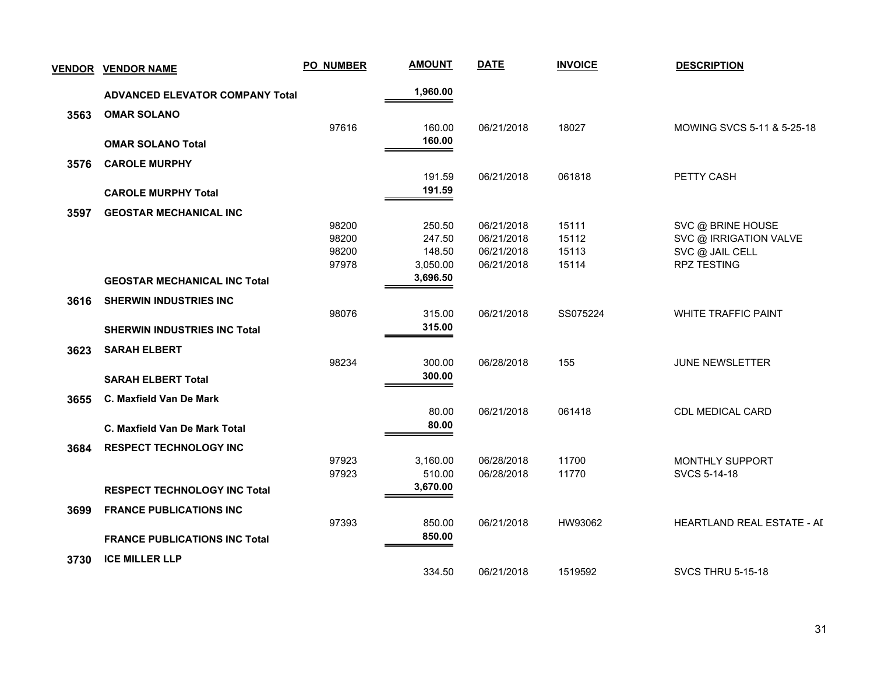| <b>VENDOR</b> | <b>VENDOR NAME</b>                     | <b>PO_NUMBER</b> | <b>AMOUNT</b> | <b>DATE</b> | <b>INVOICE</b> | <b>DESCRIPTION</b>         |
|---------------|----------------------------------------|------------------|---------------|-------------|----------------|----------------------------|
|               | <b>ADVANCED ELEVATOR COMPANY Total</b> |                  | 1,960.00      |             |                |                            |
| 3563          | <b>OMAR SOLANO</b>                     |                  |               |             |                |                            |
|               |                                        | 97616            | 160.00        | 06/21/2018  | 18027          | MOWING SVCS 5-11 & 5-25-18 |
|               | <b>OMAR SOLANO Total</b>               |                  | 160.00        |             |                |                            |
| 3576          | <b>CAROLE MURPHY</b>                   |                  |               |             |                |                            |
|               |                                        |                  | 191.59        | 06/21/2018  | 061818         | PETTY CASH                 |
|               | <b>CAROLE MURPHY Total</b>             |                  | 191.59        |             |                |                            |
| 3597          | <b>GEOSTAR MECHANICAL INC</b>          |                  |               |             |                |                            |
|               |                                        | 98200            | 250.50        | 06/21/2018  | 15111          | SVC @ BRINE HOUSE          |
|               |                                        | 98200            | 247.50        | 06/21/2018  | 15112          | SVC @ IRRIGATION VALVE     |
|               |                                        | 98200            | 148.50        | 06/21/2018  | 15113          | SVC @ JAIL CELL            |
|               |                                        | 97978            | 3,050.00      | 06/21/2018  | 15114          | <b>RPZ TESTING</b>         |
|               | <b>GEOSTAR MECHANICAL INC Total</b>    |                  | 3,696.50      |             |                |                            |
| 3616          | <b>SHERWIN INDUSTRIES INC</b>          |                  |               |             |                |                            |
|               |                                        | 98076            | 315.00        | 06/21/2018  | SS075224       | <b>WHITE TRAFFIC PAINT</b> |
|               | <b>SHERWIN INDUSTRIES INC Total</b>    |                  | 315.00        |             |                |                            |
| 3623          | <b>SARAH ELBERT</b>                    |                  |               |             |                |                            |
|               |                                        | 98234            | 300.00        | 06/28/2018  | 155            | <b>JUNE NEWSLETTER</b>     |
|               | <b>SARAH ELBERT Total</b>              |                  | 300.00        |             |                |                            |
| 3655          | C. Maxfield Van De Mark                |                  |               |             |                |                            |
|               |                                        |                  | 80.00         | 06/21/2018  | 061418         | CDL MEDICAL CARD           |
|               | C. Maxfield Van De Mark Total          |                  | 80.00         |             |                |                            |
| 3684          | <b>RESPECT TECHNOLOGY INC</b>          |                  |               |             |                |                            |
|               |                                        | 97923            | 3,160.00      | 06/28/2018  | 11700          | MONTHLY SUPPORT            |
|               |                                        | 97923            | 510.00        | 06/28/2018  | 11770          | SVCS 5-14-18               |
|               | <b>RESPECT TECHNOLOGY INC Total</b>    |                  | 3,670.00      |             |                |                            |
| 3699          | <b>FRANCE PUBLICATIONS INC</b>         |                  |               |             |                |                            |
|               |                                        | 97393            | 850.00        | 06/21/2018  | HW93062        | HEARTLAND REAL ESTATE - AI |
|               | <b>FRANCE PUBLICATIONS INC Total</b>   |                  | 850.00        |             |                |                            |
| 3730          | <b>ICE MILLER LLP</b>                  |                  |               |             |                |                            |
|               |                                        |                  | 334.50        | 06/21/2018  | 1519592        | <b>SVCS THRU 5-15-18</b>   |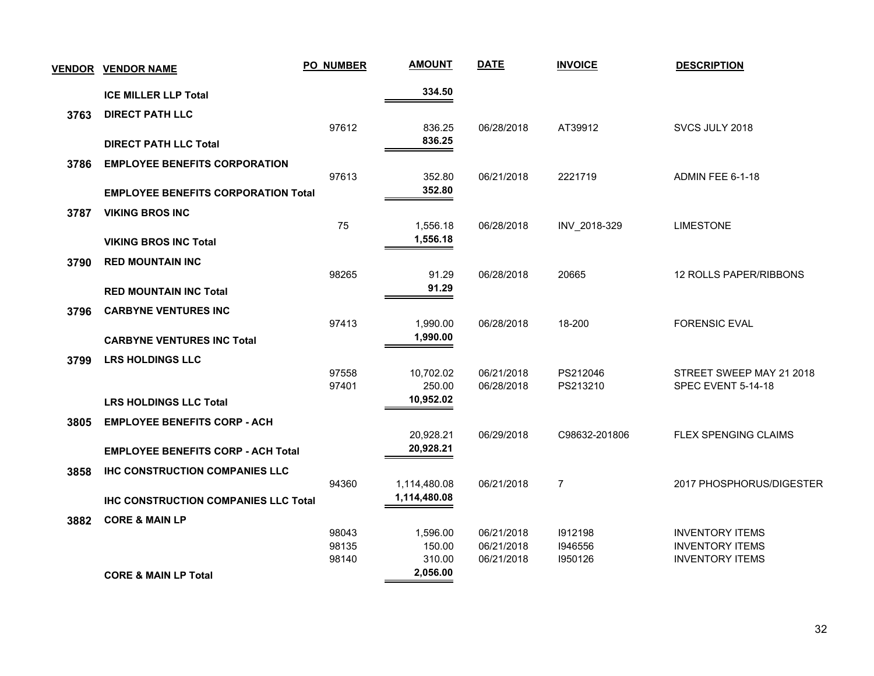| <b>VENDOR</b> | <b>VENDOR NAME</b>                          | <b>PO_NUMBER</b> | <b>AMOUNT</b>        | <b>DATE</b>              | <b>INVOICE</b>     | <b>DESCRIPTION</b>                               |
|---------------|---------------------------------------------|------------------|----------------------|--------------------------|--------------------|--------------------------------------------------|
|               | <b>ICE MILLER LLP Total</b>                 |                  | 334.50               |                          |                    |                                                  |
| 3763          | <b>DIRECT PATH LLC</b>                      |                  |                      |                          |                    |                                                  |
|               | <b>DIRECT PATH LLC Total</b>                | 97612            | 836.25<br>836.25     | 06/28/2018               | AT39912            | SVCS JULY 2018                                   |
| 3786          | <b>EMPLOYEE BENEFITS CORPORATION</b>        |                  |                      |                          |                    |                                                  |
|               |                                             | 97613            | 352.80               | 06/21/2018               | 2221719            | ADMIN FEE 6-1-18                                 |
|               | <b>EMPLOYEE BENEFITS CORPORATION Total</b>  |                  | 352.80               |                          |                    |                                                  |
| 3787          | <b>VIKING BROS INC</b>                      |                  |                      |                          |                    |                                                  |
|               |                                             | 75               | 1,556.18<br>1,556.18 | 06/28/2018               | INV 2018-329       | <b>LIMESTONE</b>                                 |
|               | <b>VIKING BROS INC Total</b>                |                  |                      |                          |                    |                                                  |
| 3790          | <b>RED MOUNTAIN INC</b>                     |                  |                      |                          |                    |                                                  |
|               |                                             | 98265            | 91.29<br>91.29       | 06/28/2018               | 20665              | 12 ROLLS PAPER/RIBBONS                           |
|               | <b>RED MOUNTAIN INC Total</b>               |                  |                      |                          |                    |                                                  |
| 3796          | <b>CARBYNE VENTURES INC</b>                 | 97413            | 1,990.00             | 06/28/2018               | 18-200             | <b>FORENSIC EVAL</b>                             |
|               | <b>CARBYNE VENTURES INC Total</b>           |                  | 1,990.00             |                          |                    |                                                  |
|               |                                             |                  |                      |                          |                    |                                                  |
| 3799          | <b>LRS HOLDINGS LLC</b>                     | 97558            | 10,702.02            | 06/21/2018               | PS212046           | STREET SWEEP MAY 21 2018                         |
|               |                                             | 97401            | 250.00               | 06/28/2018               | PS213210           | SPEC EVENT 5-14-18                               |
|               | <b>LRS HOLDINGS LLC Total</b>               |                  | 10,952.02            |                          |                    |                                                  |
| 3805          | <b>EMPLOYEE BENEFITS CORP - ACH</b>         |                  |                      |                          |                    |                                                  |
|               |                                             |                  | 20,928.21            | 06/29/2018               | C98632-201806      | FLEX SPENGING CLAIMS                             |
|               | <b>EMPLOYEE BENEFITS CORP - ACH Total</b>   |                  | 20,928.21            |                          |                    |                                                  |
| 3858          | <b>IHC CONSTRUCTION COMPANIES LLC</b>       |                  |                      |                          |                    |                                                  |
|               |                                             | 94360            | 1,114,480.08         | 06/21/2018               | $\overline{7}$     | 2017 PHOSPHORUS/DIGESTER                         |
|               | <b>IHC CONSTRUCTION COMPANIES LLC Total</b> |                  | 1,114,480.08         |                          |                    |                                                  |
| 3882          | <b>CORE &amp; MAIN LP</b>                   |                  |                      |                          |                    |                                                  |
|               |                                             | 98043            | 1,596.00             | 06/21/2018               | 1912198            | <b>INVENTORY ITEMS</b>                           |
|               |                                             | 98135<br>98140   | 150.00<br>310.00     | 06/21/2018<br>06/21/2018 | 1946556<br>1950126 | <b>INVENTORY ITEMS</b><br><b>INVENTORY ITEMS</b> |
|               | <b>CORE &amp; MAIN LP Total</b>             |                  | 2,056.00             |                          |                    |                                                  |
|               |                                             |                  |                      |                          |                    |                                                  |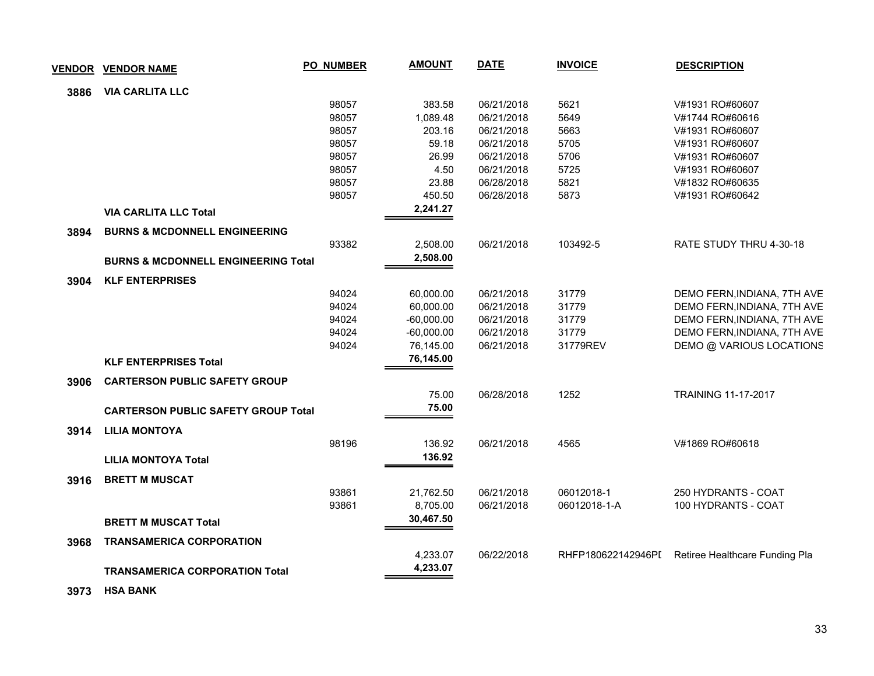| <b>VENDOR</b> | <b>VENDOR NAME</b>                             | <b>PO_NUMBER</b> | <b>AMOUNT</b> | <b>DATE</b> | <b>INVOICE</b>     | <b>DESCRIPTION</b>             |  |
|---------------|------------------------------------------------|------------------|---------------|-------------|--------------------|--------------------------------|--|
| 3886          | <b>VIA CARLITA LLC</b>                         |                  |               |             |                    |                                |  |
|               |                                                | 98057            | 383.58        | 06/21/2018  | 5621               | V#1931 RO#60607                |  |
|               |                                                | 98057            | 1,089.48      | 06/21/2018  | 5649               | V#1744 RO#60616                |  |
|               |                                                | 98057            | 203.16        | 06/21/2018  | 5663               | V#1931 RO#60607                |  |
|               |                                                | 98057            | 59.18         | 06/21/2018  | 5705               | V#1931 RO#60607                |  |
|               |                                                | 98057            | 26.99         | 06/21/2018  | 5706               | V#1931 RO#60607                |  |
|               |                                                | 98057            | 4.50          | 06/21/2018  | 5725               | V#1931 RO#60607                |  |
|               |                                                | 98057            | 23.88         | 06/28/2018  | 5821               | V#1832 RO#60635                |  |
|               |                                                | 98057            | 450.50        | 06/28/2018  | 5873               | V#1931 RO#60642                |  |
|               | <b>VIA CARLITA LLC Total</b>                   |                  | 2,241.27      |             |                    |                                |  |
| 3894          | <b>BURNS &amp; MCDONNELL ENGINEERING</b>       |                  |               |             |                    |                                |  |
|               |                                                | 93382            | 2,508.00      | 06/21/2018  | 103492-5           | RATE STUDY THRU 4-30-18        |  |
|               | <b>BURNS &amp; MCDONNELL ENGINEERING Total</b> |                  | 2,508.00      |             |                    |                                |  |
| 3904          | <b>KLF ENTERPRISES</b>                         |                  |               |             |                    |                                |  |
|               |                                                | 94024            | 60,000.00     | 06/21/2018  | 31779              | DEMO FERN, INDIANA, 7TH AVE    |  |
|               |                                                | 94024            | 60,000.00     | 06/21/2018  | 31779              | DEMO FERN, INDIANA, 7TH AVE    |  |
|               |                                                | 94024            | $-60,000.00$  | 06/21/2018  | 31779              | DEMO FERN, INDIANA, 7TH AVE    |  |
|               |                                                | 94024            | $-60,000.00$  | 06/21/2018  | 31779              | DEMO FERN, INDIANA, 7TH AVE    |  |
|               |                                                | 94024            | 76,145.00     | 06/21/2018  | 31779REV           | DEMO @ VARIOUS LOCATIONS       |  |
|               | <b>KLF ENTERPRISES Total</b>                   |                  | 76,145.00     |             |                    |                                |  |
| 3906          | <b>CARTERSON PUBLIC SAFETY GROUP</b>           |                  |               |             |                    |                                |  |
|               |                                                |                  | 75.00         | 06/28/2018  | 1252               | <b>TRAINING 11-17-2017</b>     |  |
|               | <b>CARTERSON PUBLIC SAFETY GROUP Total</b>     |                  | 75.00         |             |                    |                                |  |
| 3914          | <b>LILIA MONTOYA</b>                           |                  |               |             |                    |                                |  |
|               |                                                | 98196            | 136.92        | 06/21/2018  | 4565               | V#1869 RO#60618                |  |
|               | <b>LILIA MONTOYA Total</b>                     |                  | 136.92        |             |                    |                                |  |
| 3916          | <b>BRETT M MUSCAT</b>                          |                  |               |             |                    |                                |  |
|               |                                                | 93861            | 21,762.50     | 06/21/2018  | 06012018-1         | 250 HYDRANTS - COAT            |  |
|               |                                                | 93861            | 8,705.00      | 06/21/2018  | 06012018-1-A       | 100 HYDRANTS - COAT            |  |
|               | <b>BRETT M MUSCAT Total</b>                    |                  | 30,467.50     |             |                    |                                |  |
| 3968          | <b>TRANSAMERICA CORPORATION</b>                |                  |               |             |                    |                                |  |
|               |                                                |                  | 4,233.07      | 06/22/2018  | RHFP180622142946PI | Retiree Healthcare Funding Pla |  |
|               | <b>TRANSAMERICA CORPORATION Total</b>          |                  | 4,233.07      |             |                    |                                |  |
|               |                                                |                  |               |             |                    |                                |  |

 **3973 HSA BANK**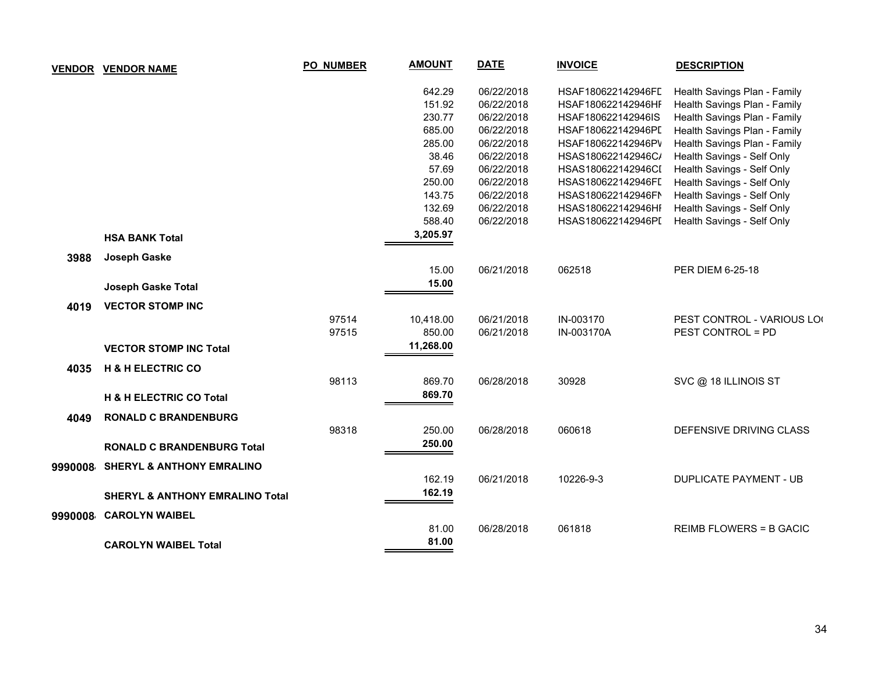| <b>VENDOR</b> | <b>VENDOR NAME</b>                         | <b>PO_NUMBER</b> | <b>AMOUNT</b> | <b>DATE</b> | <b>INVOICE</b>     | <b>DESCRIPTION</b>             |
|---------------|--------------------------------------------|------------------|---------------|-------------|--------------------|--------------------------------|
|               |                                            |                  | 642.29        | 06/22/2018  | HSAF180622142946FL | Health Savings Plan - Family   |
|               |                                            |                  | 151.92        | 06/22/2018  | HSAF180622142946HF | Health Savings Plan - Family   |
|               |                                            |                  | 230.77        | 06/22/2018  | HSAF180622142946IS | Health Savings Plan - Family   |
|               |                                            |                  | 685.00        | 06/22/2018  | HSAF180622142946PI | Health Savings Plan - Family   |
|               |                                            |                  | 285.00        | 06/22/2018  | HSAF180622142946PV | Health Savings Plan - Family   |
|               |                                            |                  | 38.46         | 06/22/2018  | HSAS180622142946C/ | Health Savings - Self Only     |
|               |                                            |                  | 57.69         | 06/22/2018  | HSAS180622142946CI | Health Savings - Self Only     |
|               |                                            |                  | 250.00        | 06/22/2018  | HSAS180622142946FI | Health Savings - Self Only     |
|               |                                            |                  | 143.75        | 06/22/2018  | HSAS180622142946FN | Health Savings - Self Only     |
|               |                                            |                  | 132.69        | 06/22/2018  | HSAS180622142946HI | Health Savings - Self Only     |
|               |                                            |                  | 588.40        | 06/22/2018  | HSAS180622142946PI | Health Savings - Self Only     |
|               | <b>HSA BANK Total</b>                      |                  | 3,205.97      |             |                    |                                |
| 3988          | Joseph Gaske                               |                  |               |             |                    |                                |
|               |                                            |                  | 15.00         | 06/21/2018  | 062518             | PER DIEM 6-25-18               |
|               | Joseph Gaske Total                         |                  | 15.00         |             |                    |                                |
| 4019          | <b>VECTOR STOMP INC</b>                    |                  |               |             |                    |                                |
|               |                                            | 97514            | 10,418.00     | 06/21/2018  | IN-003170          | PEST CONTROL - VARIOUS LOI     |
|               |                                            | 97515            | 850.00        | 06/21/2018  | IN-003170A         | <b>PEST CONTROL = PD</b>       |
|               | <b>VECTOR STOMP INC Total</b>              |                  | 11,268.00     |             |                    |                                |
| 4035          | <b>H &amp; H ELECTRIC CO</b>               |                  |               |             |                    |                                |
|               |                                            | 98113            | 869.70        | 06/28/2018  | 30928              | SVC @ 18 ILLINOIS ST           |
|               | <b>H &amp; H ELECTRIC CO Total</b>         |                  | 869.70        |             |                    |                                |
| 4049          | <b>RONALD C BRANDENBURG</b>                |                  |               |             |                    |                                |
|               |                                            | 98318            | 250.00        | 06/28/2018  | 060618             | DEFENSIVE DRIVING CLASS        |
|               | <b>RONALD C BRANDENBURG Total</b>          |                  | 250.00        |             |                    |                                |
| 9990008       | <b>SHERYL &amp; ANTHONY EMRALINO</b>       |                  |               |             |                    |                                |
|               |                                            |                  | 162.19        | 06/21/2018  | 10226-9-3          | <b>DUPLICATE PAYMENT - UB</b>  |
|               |                                            |                  | 162.19        |             |                    |                                |
|               | <b>SHERYL &amp; ANTHONY EMRALINO Total</b> |                  |               |             |                    |                                |
| 9990008       | <b>CAROLYN WAIBEL</b>                      |                  |               |             |                    |                                |
|               |                                            |                  | 81.00         | 06/28/2018  | 061818             | <b>REIMB FLOWERS = B GACIC</b> |
|               | <b>CAROLYN WAIBEL Total</b>                |                  | 81.00         |             |                    |                                |